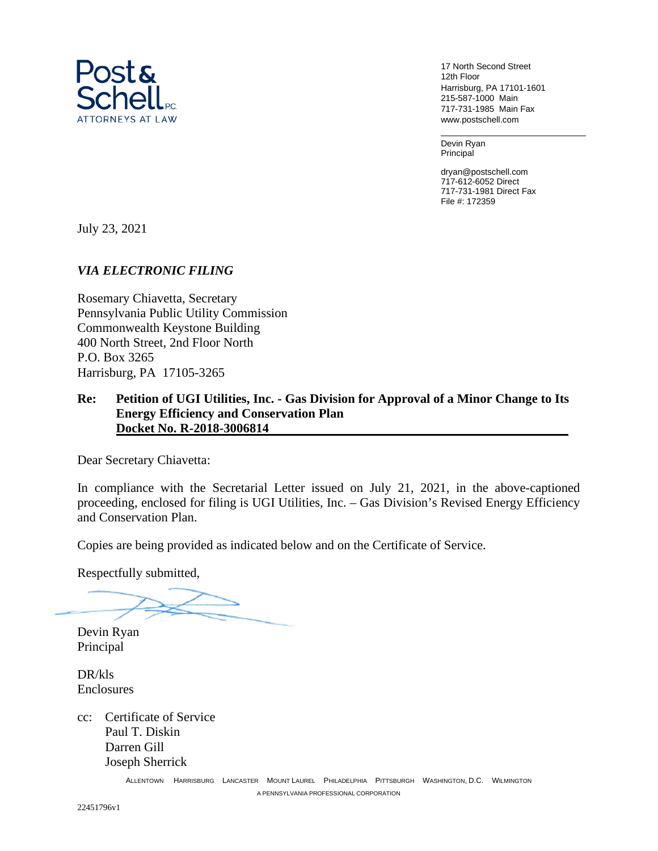

17 North Second Street 12th Floor Harrisburg, PA 17101-1601 215-587-1000 Main 717-731-1985 Main Fax www.postschell.com

Devin Ryan Principal

dryan@postschell.com 717-612-6052 Direct 717-731-1981 Direct Fax File #: 172359

July 23, 2021

#### *VIA ELECTRONIC FILING*

Rosemary Chiavetta, Secretary Pennsylvania Public Utility Commission Commonwealth Keystone Building 400 North Street, 2nd Floor North P.O. Box 3265 Harrisburg, PA 17105-3265

#### **Re: Petition of UGI Utilities, Inc. - Gas Division for Approval of a Minor Change to Its Energy Efficiency and Conservation Plan Docket No. R-2018-3006814**

Dear Secretary Chiavetta:

In compliance with the Secretarial Letter issued on July 21, 2021, in the above-captioned proceeding, enclosed for filing is UGI Utilities, Inc. – Gas Division's Revised Energy Efficiency and Conservation Plan.

Copies are being provided as indicated below and on the Certificate of Service.

Respectfully submitted,

Devin Ryan Principal

DR/kls Enclosures

cc: Certificate of Service Paul T. Diskin Darren Gill Joseph Sherrick

> ALLENTOWN HARRISBURG LANCASTER MOUNT LAUREL PHILADELPHIA PITTSBURGH WASHINGTON, D.C. WILMINGTON A PENNSYLVANIA PROFESSIONAL CORPORATION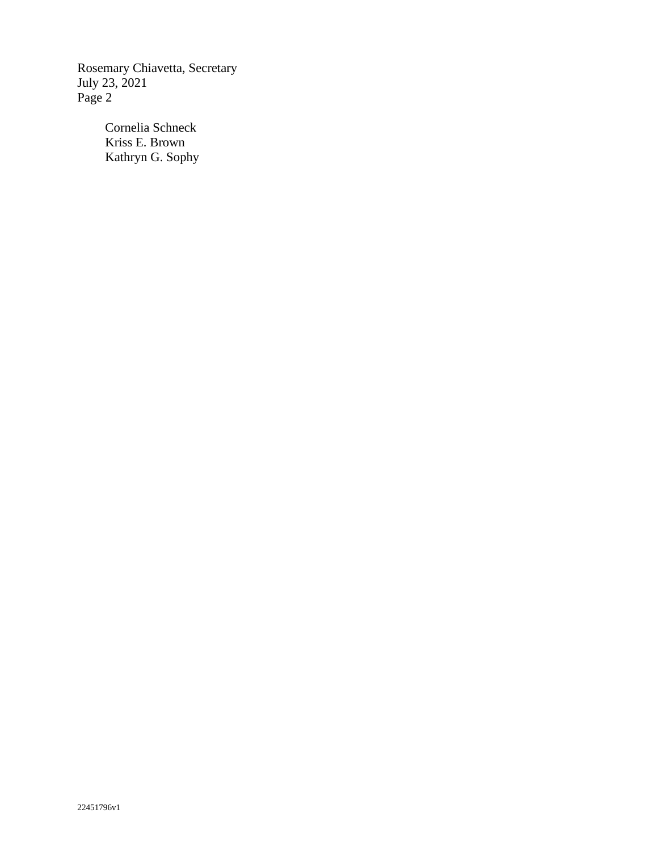Rosemary Chiavetta, Secretary July 23, 2021 Page 2

> Cornelia Schneck Kriss E. Brown Kathryn G. Sophy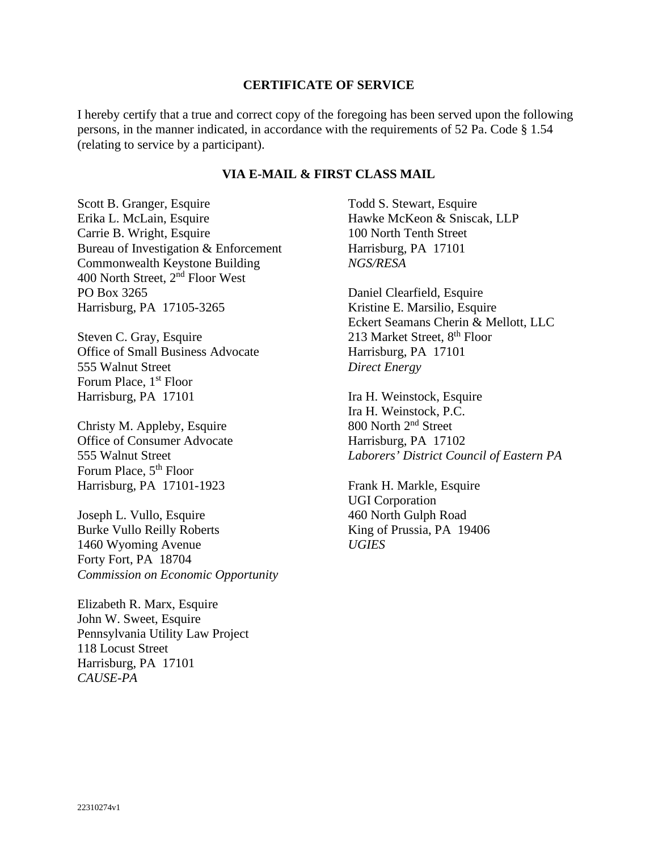#### **CERTIFICATE OF SERVICE**

I hereby certify that a true and correct copy of the foregoing has been served upon the following persons, in the manner indicated, in accordance with the requirements of 52 Pa. Code § 1.54 (relating to service by a participant).

#### **VIA E-MAIL & FIRST CLASS MAIL**

Scott B. Granger, Esquire Erika L. McLain, Esquire Carrie B. Wright, Esquire Bureau of Investigation & Enforcement Commonwealth Keystone Building 400 North Street, 2nd Floor West PO Box 3265 Harrisburg, PA 17105-3265

Steven C. Gray, Esquire Office of Small Business Advocate 555 Walnut Street Forum Place, 1<sup>st</sup> Floor Harrisburg, PA 17101

Christy M. Appleby, Esquire Office of Consumer Advocate 555 Walnut Street Forum Place,  $5<sup>th</sup>$  Floor Harrisburg, PA 17101-1923

Joseph L. Vullo, Esquire Burke Vullo Reilly Roberts 1460 Wyoming Avenue Forty Fort, PA 18704 *Commission on Economic Opportunity* 

Elizabeth R. Marx, Esquire John W. Sweet, Esquire Pennsylvania Utility Law Project 118 Locust Street Harrisburg, PA 17101 *CAUSE-PA* 

Todd S. Stewart, Esquire Hawke McKeon & Sniscak, LLP 100 North Tenth Street Harrisburg, PA 17101 *NGS/RESA* 

Daniel Clearfield, Esquire Kristine E. Marsilio, Esquire Eckert Seamans Cherin & Mellott, LLC 213 Market Street, 8<sup>th</sup> Floor Harrisburg, PA 17101 *Direct Energy* 

Ira H. Weinstock, Esquire Ira H. Weinstock, P.C. 800 North 2nd Street Harrisburg, PA 17102 *Laborers' District Council of Eastern PA* 

Frank H. Markle, Esquire UGI Corporation 460 North Gulph Road King of Prussia, PA 19406 *UGIES*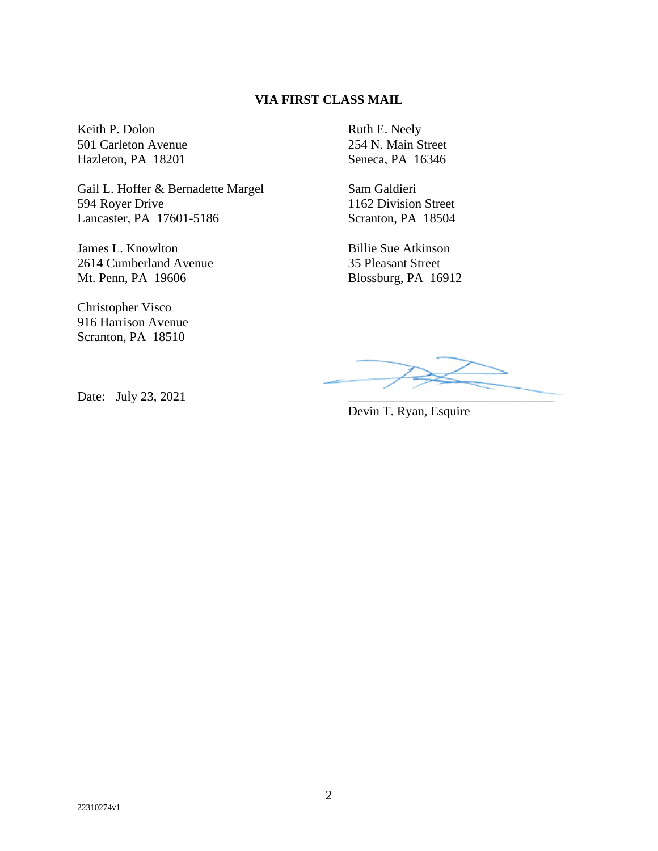#### **VIA FIRST CLASS MAIL**

Keith P. Dolon 501 Carleton Avenue Hazleton, PA 18201

Gail L. Hoffer & Bernadette Margel 594 Royer Drive Lancaster, PA 17601-5186

James L. Knowlton 2614 Cumberland Avenue Mt. Penn, PA 19606

Christopher Visco 916 Harrison Avenue Scranton, PA 18510

Ruth E. Neely 254 N. Main Street Seneca, PA 16346

Sam Galdieri 1162 Division Street Scranton, PA 18504

Billie Sue Atkinson 35 Pleasant Street Blossburg, PA 16912

Devin T. Ryan, Esquire

Date: July 23, 2021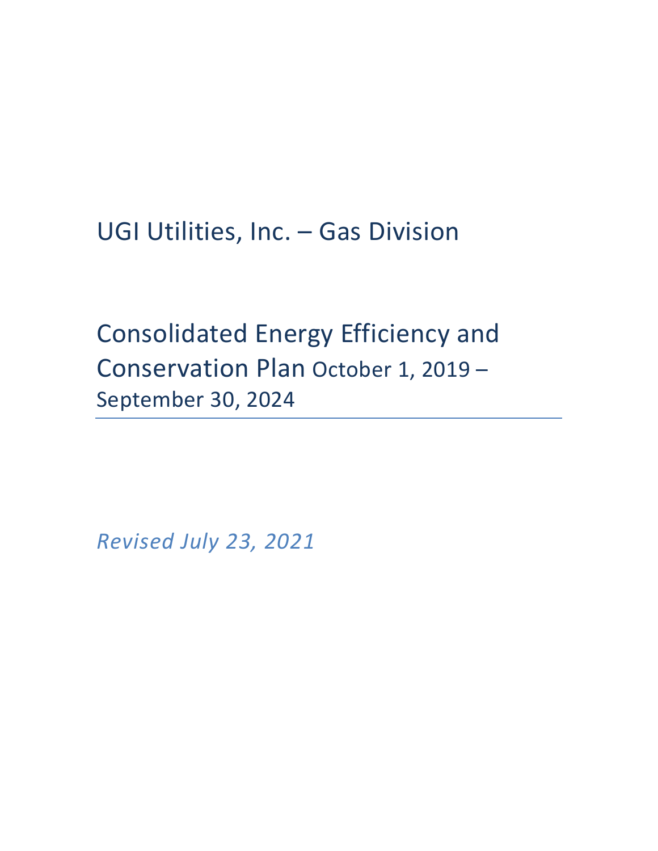UGI Utilities, Inc. – Gas Division

Consolidated Energy Efficiency and Conservation Plan October 1, 2019 – September 30, 2024

*Revised July 23, 2021*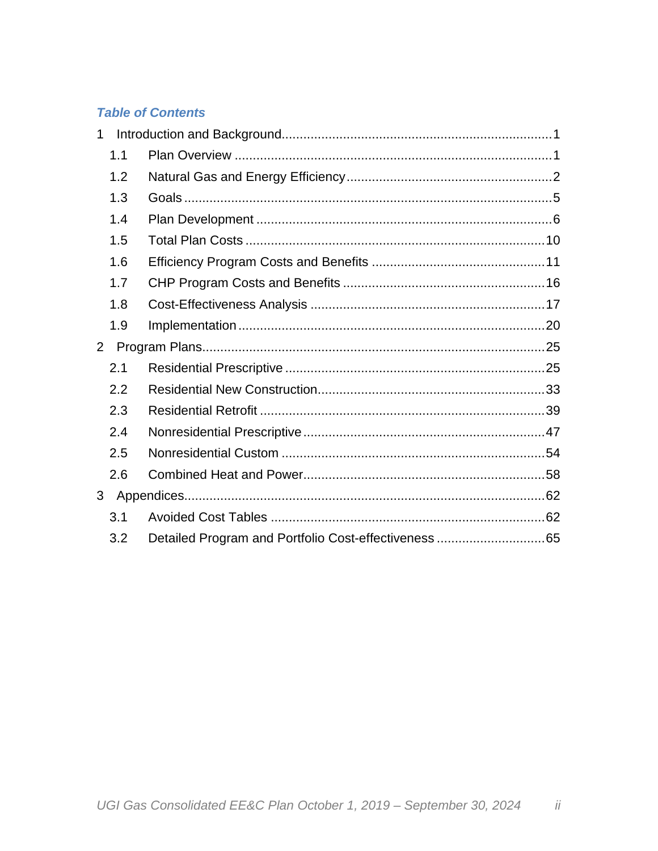## **Table of Contents**

| 1              |     |  |
|----------------|-----|--|
|                | 1.1 |  |
|                | 1.2 |  |
|                | 1.3 |  |
|                | 1.4 |  |
|                | 1.5 |  |
|                | 1.6 |  |
|                | 1.7 |  |
|                | 1.8 |  |
|                | 1.9 |  |
| $\overline{2}$ |     |  |
|                | 2.1 |  |
|                | 2.2 |  |
|                | 2.3 |  |
|                | 2.4 |  |
|                | 2.5 |  |
|                | 2.6 |  |
| 3 <sup>1</sup> |     |  |
|                | 3.1 |  |
|                | 3.2 |  |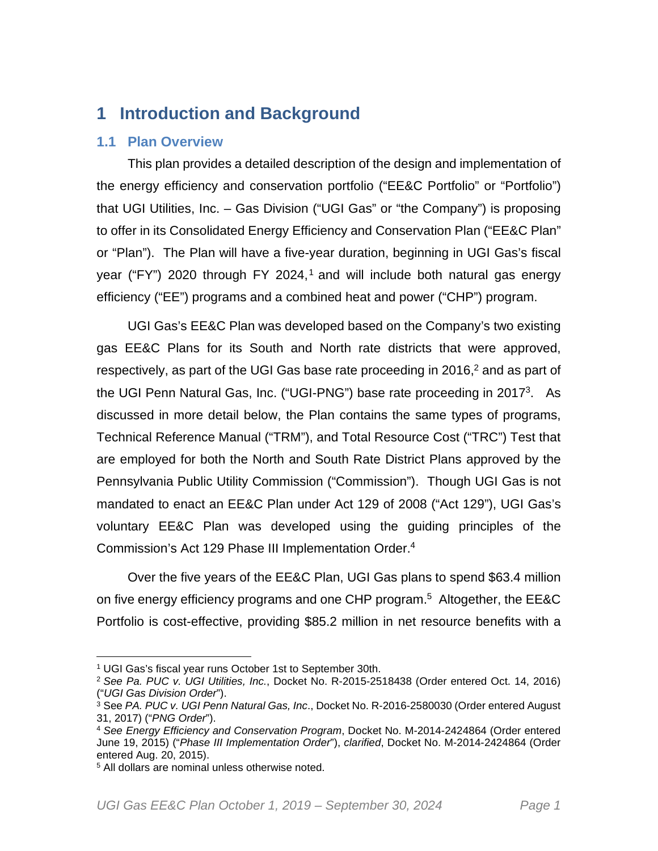## **1 Introduction and Background**

## **1.1 Plan Overview**

This plan provides a detailed description of the design and implementation of the energy efficiency and conservation portfolio ("EE&C Portfolio" or "Portfolio") that UGI Utilities, Inc. – Gas Division ("UGI Gas" or "the Company") is proposing to offer in its Consolidated Energy Efficiency and Conservation Plan ("EE&C Plan" or "Plan"). The Plan will have a five-year duration, beginning in UGI Gas's fiscal year ("FY") 2020 through FY 2024,<sup>1</sup> and will include both natural gas energy efficiency ("EE") programs and a combined heat and power ("CHP") program.

UGI Gas's EE&C Plan was developed based on the Company's two existing gas EE&C Plans for its South and North rate districts that were approved, respectively, as part of the UGI Gas base rate proceeding in 2016, $2$  and as part of the UGI Penn Natural Gas, Inc. ("UGI-PNG") base rate proceeding in 2017<sup>3</sup>. As discussed in more detail below, the Plan contains the same types of programs, Technical Reference Manual ("TRM"), and Total Resource Cost ("TRC") Test that are employed for both the North and South Rate District Plans approved by the Pennsylvania Public Utility Commission ("Commission"). Though UGI Gas is not mandated to enact an EE&C Plan under Act 129 of 2008 ("Act 129"), UGI Gas's voluntary EE&C Plan was developed using the guiding principles of the Commission's Act 129 Phase III Implementation Order.<sup>4</sup>

Over the five years of the EE&C Plan, UGI Gas plans to spend \$63.4 million on five energy efficiency programs and one CHP program.<sup>5</sup> Altogether, the EE&C Portfolio is cost-effective, providing \$85.2 million in net resource benefits with a

<sup>1</sup> UGI Gas's fiscal year runs October 1st to September 30th.

<sup>2</sup> *See Pa. PUC v. UGI Utilities, Inc.*, Docket No. R-2015-2518438 (Order entered Oct. 14, 2016) ("*UGI Gas Division Order*").

<sup>3</sup> See *PA. PUC v. UGI Penn Natural Gas, Inc*., Docket No. R-2016-2580030 (Order entered August 31, 2017) ("*PNG Order*").

<sup>4</sup> *See Energy Efficiency and Conservation Program*, Docket No. M-2014-2424864 (Order entered June 19, 2015) ("*Phase III Implementation Order*"), *clarified*, Docket No. M-2014-2424864 (Order entered Aug. 20, 2015).

<sup>5</sup> All dollars are nominal unless otherwise noted.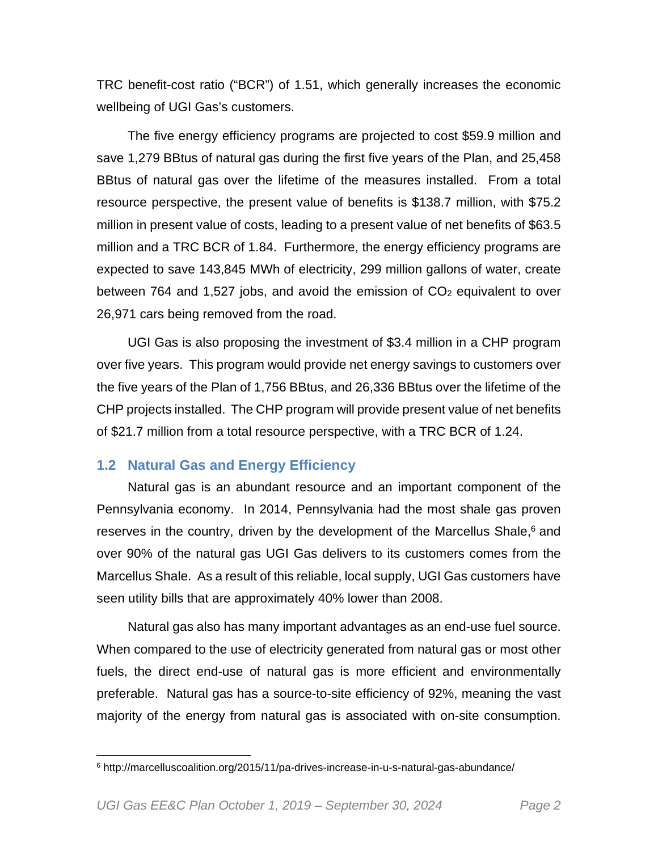TRC benefit-cost ratio ("BCR") of 1.51, which generally increases the economic wellbeing of UGI Gas's customers.

The five energy efficiency programs are projected to cost \$59.9 million and save 1,279 BBtus of natural gas during the first five years of the Plan, and 25,458 BBtus of natural gas over the lifetime of the measures installed. From a total resource perspective, the present value of benefits is \$138.7 million, with \$75.2 million in present value of costs, leading to a present value of net benefits of \$63.5 million and a TRC BCR of 1.84. Furthermore, the energy efficiency programs are expected to save 143,845 MWh of electricity, 299 million gallons of water, create between 764 and 1,527 jobs, and avoid the emission of  $CO<sub>2</sub>$  equivalent to over 26,971 cars being removed from the road.

UGI Gas is also proposing the investment of \$3.4 million in a CHP program over five years. This program would provide net energy savings to customers over the five years of the Plan of 1,756 BBtus, and 26,336 BBtus over the lifetime of the CHP projects installed. The CHP program will provide present value of net benefits of \$21.7 million from a total resource perspective, with a TRC BCR of 1.24.

## **1.2 Natural Gas and Energy Efficiency**

Natural gas is an abundant resource and an important component of the Pennsylvania economy. In 2014, Pennsylvania had the most shale gas proven reserves in the country, driven by the development of the Marcellus Shale, $6$  and over 90% of the natural gas UGI Gas delivers to its customers comes from the Marcellus Shale. As a result of this reliable, local supply, UGI Gas customers have seen utility bills that are approximately 40% lower than 2008.

Natural gas also has many important advantages as an end-use fuel source. When compared to the use of electricity generated from natural gas or most other fuels, the direct end-use of natural gas is more efficient and environmentally preferable. Natural gas has a source-to-site efficiency of 92%, meaning the vast majority of the energy from natural gas is associated with on-site consumption.

<sup>6</sup> http://marcelluscoalition.org/2015/11/pa-drives-increase-in-u-s-natural-gas-abundance/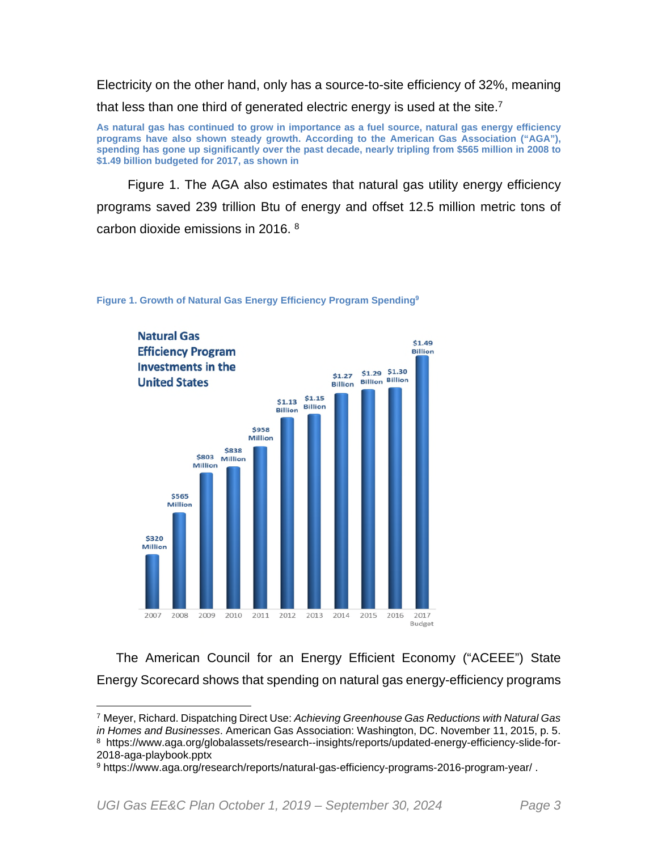Electricity on the other hand, only has a source-to-site efficiency of 32%, meaning that less than one third of generated electric energy is used at the site.<sup>7</sup>

**As natural gas has continued to grow in importance as a fuel source, natural gas energy efficiency programs have also shown steady growth. According to the American Gas Association ("AGA"), spending has gone up significantly over the past decade, nearly tripling from \$565 million in 2008 to \$1.49 billion budgeted for 2017, as shown in** 

Figure 1. The AGA also estimates that natural gas utility energy efficiency programs saved 239 trillion Btu of energy and offset 12.5 million metric tons of carbon dioxide emissions in 2016. <sup>8</sup>



#### **Figure 1. Growth of Natural Gas Energy Efficiency Program Spending<sup>9</sup>**

The American Council for an Energy Efficient Economy ("ACEEE") State Energy Scorecard shows that spending on natural gas energy-efficiency programs

<sup>7</sup> Meyer, Richard. Dispatching Direct Use: *Achieving Greenhouse Gas Reductions with Natural Gas in Homes and Businesses*. American Gas Association: Washington, DC. November 11, 2015, p. 5. 8 https://www.aga.org/globalassets/research--insights/reports/updated-energy-efficiency-slide-for-2018-aga-playbook.pptx

<sup>9</sup> https://www.aga.org/research/reports/natural-gas-efficiency-programs-2016-program-year/ .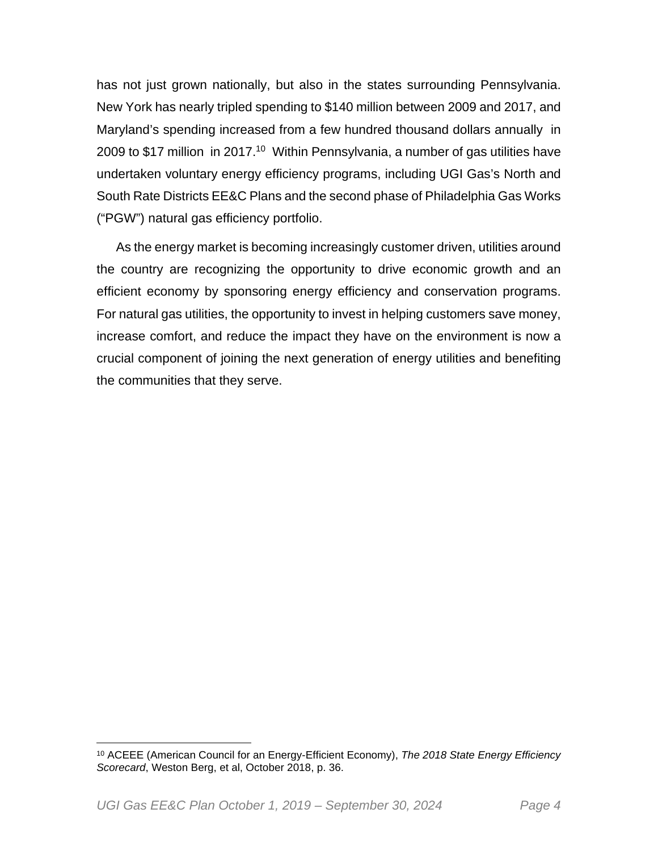has not just grown nationally, but also in the states surrounding Pennsylvania. New York has nearly tripled spending to \$140 million between 2009 and 2017, and Maryland's spending increased from a few hundred thousand dollars annually in 2009 to \$17 million in 2017.<sup>10</sup> Within Pennsylvania, a number of gas utilities have undertaken voluntary energy efficiency programs, including UGI Gas's North and South Rate Districts EE&C Plans and the second phase of Philadelphia Gas Works ("PGW") natural gas efficiency portfolio.

As the energy market is becoming increasingly customer driven, utilities around the country are recognizing the opportunity to drive economic growth and an efficient economy by sponsoring energy efficiency and conservation programs. For natural gas utilities, the opportunity to invest in helping customers save money, increase comfort, and reduce the impact they have on the environment is now a crucial component of joining the next generation of energy utilities and benefiting the communities that they serve.

<sup>10</sup> ACEEE (American Council for an Energy-Efficient Economy), *The 2018 State Energy Efficiency Scorecard*, Weston Berg, et al, October 2018, p. 36.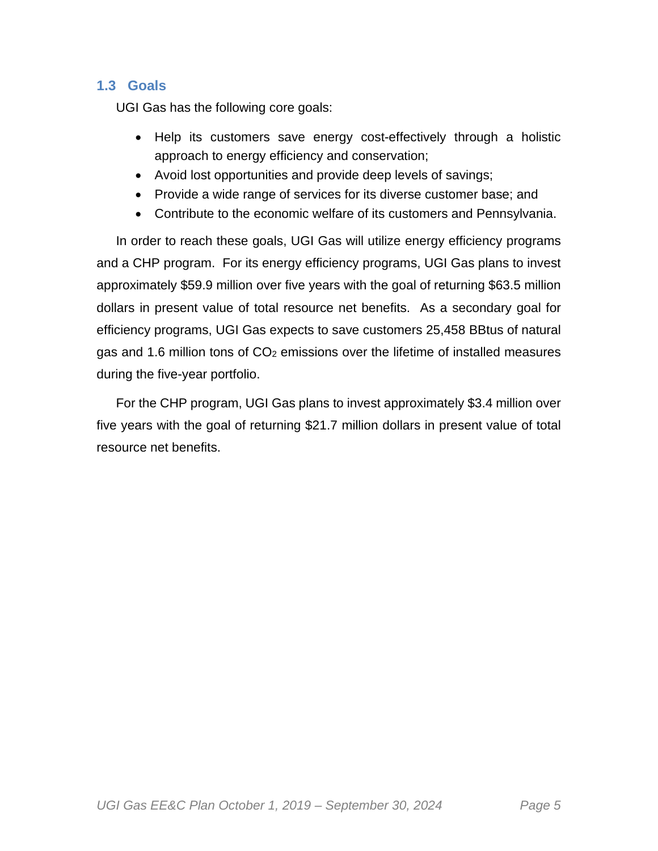## **1.3 Goals**

UGI Gas has the following core goals:

- Help its customers save energy cost-effectively through a holistic approach to energy efficiency and conservation;
- Avoid lost opportunities and provide deep levels of savings;
- Provide a wide range of services for its diverse customer base; and
- Contribute to the economic welfare of its customers and Pennsylvania.

In order to reach these goals, UGI Gas will utilize energy efficiency programs and a CHP program. For its energy efficiency programs, UGI Gas plans to invest approximately \$59.9 million over five years with the goal of returning \$63.5 million dollars in present value of total resource net benefits. As a secondary goal for efficiency programs, UGI Gas expects to save customers 25,458 BBtus of natural gas and 1.6 million tons of  $CO<sub>2</sub>$  emissions over the lifetime of installed measures during the five-year portfolio.

For the CHP program, UGI Gas plans to invest approximately \$3.4 million over five years with the goal of returning \$21.7 million dollars in present value of total resource net benefits.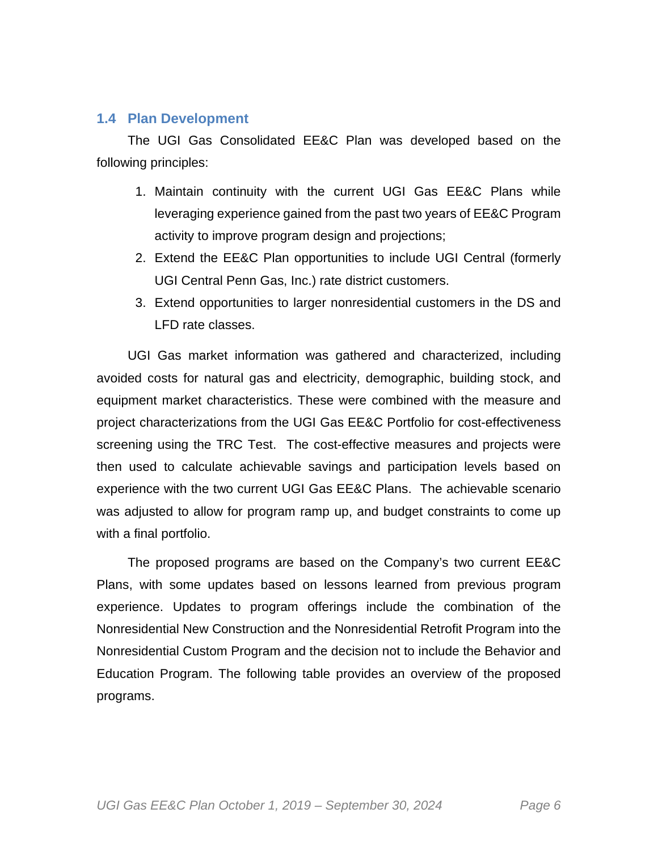## **1.4 Plan Development**

The UGI Gas Consolidated EE&C Plan was developed based on the following principles:

- 1. Maintain continuity with the current UGI Gas EE&C Plans while leveraging experience gained from the past two years of EE&C Program activity to improve program design and projections;
- 2. Extend the EE&C Plan opportunities to include UGI Central (formerly UGI Central Penn Gas, Inc.) rate district customers.
- 3. Extend opportunities to larger nonresidential customers in the DS and LFD rate classes.

UGI Gas market information was gathered and characterized, including avoided costs for natural gas and electricity, demographic, building stock, and equipment market characteristics. These were combined with the measure and project characterizations from the UGI Gas EE&C Portfolio for cost-effectiveness screening using the TRC Test. The cost-effective measures and projects were then used to calculate achievable savings and participation levels based on experience with the two current UGI Gas EE&C Plans. The achievable scenario was adjusted to allow for program ramp up, and budget constraints to come up with a final portfolio.

The proposed programs are based on the Company's two current EE&C Plans, with some updates based on lessons learned from previous program experience. Updates to program offerings include the combination of the Nonresidential New Construction and the Nonresidential Retrofit Program into the Nonresidential Custom Program and the decision not to include the Behavior and Education Program. The following table provides an overview of the proposed programs.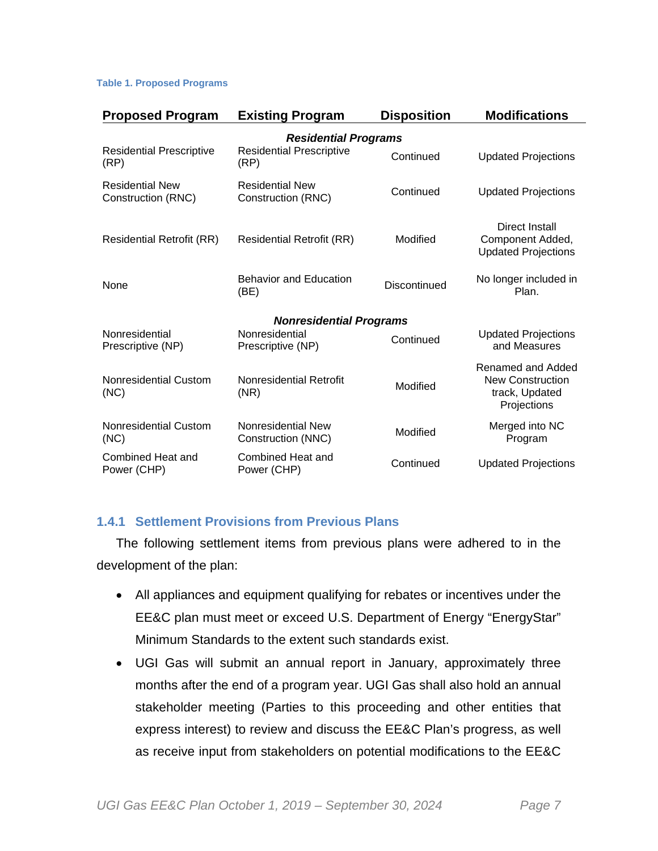#### **Table 1. Proposed Programs**

| <b>Proposed Program</b>                      | <b>Existing Program</b>                      | <b>Disposition</b> | <b>Modifications</b>                                                          |
|----------------------------------------------|----------------------------------------------|--------------------|-------------------------------------------------------------------------------|
|                                              | <b>Residential Programs</b>                  |                    |                                                                               |
| <b>Residential Prescriptive</b><br>(RP)      | <b>Residential Prescriptive</b><br>(RP)      | Continued          | <b>Updated Projections</b>                                                    |
| <b>Residential New</b><br>Construction (RNC) | <b>Residential New</b><br>Construction (RNC) | Continued          | <b>Updated Projections</b>                                                    |
| <b>Residential Retrofit (RR)</b>             | <b>Residential Retrofit (RR)</b>             | Modified           | Direct Install<br>Component Added,<br><b>Updated Projections</b>              |
| None                                         | <b>Behavior and Education</b><br>(BE)        | Discontinued       | No longer included in<br>Plan.                                                |
|                                              | <b>Nonresidential Programs</b>               |                    |                                                                               |
| Nonresidential<br>Prescriptive (NP)          | Nonresidential<br>Prescriptive (NP)          | Continued          | <b>Updated Projections</b><br>and Measures                                    |
| <b>Nonresidential Custom</b><br>(NC)         | Nonresidential Retrofit<br>(NR)              | Modified           | Renamed and Added<br><b>New Construction</b><br>track, Updated<br>Projections |
| Nonresidential Custom<br>(NC)                | Nonresidential New<br>Construction (NNC)     | Modified           | Merged into NC<br>Program                                                     |
| Combined Heat and<br>Power (CHP)             | Combined Heat and<br>Power (CHP)             | Continued          | <b>Updated Projections</b>                                                    |

## **1.4.1 Settlement Provisions from Previous Plans**

The following settlement items from previous plans were adhered to in the development of the plan:

- All appliances and equipment qualifying for rebates or incentives under the EE&C plan must meet or exceed U.S. Department of Energy "EnergyStar" Minimum Standards to the extent such standards exist.
- UGI Gas will submit an annual report in January, approximately three months after the end of a program year. UGI Gas shall also hold an annual stakeholder meeting (Parties to this proceeding and other entities that express interest) to review and discuss the EE&C Plan's progress, as well as receive input from stakeholders on potential modifications to the EE&C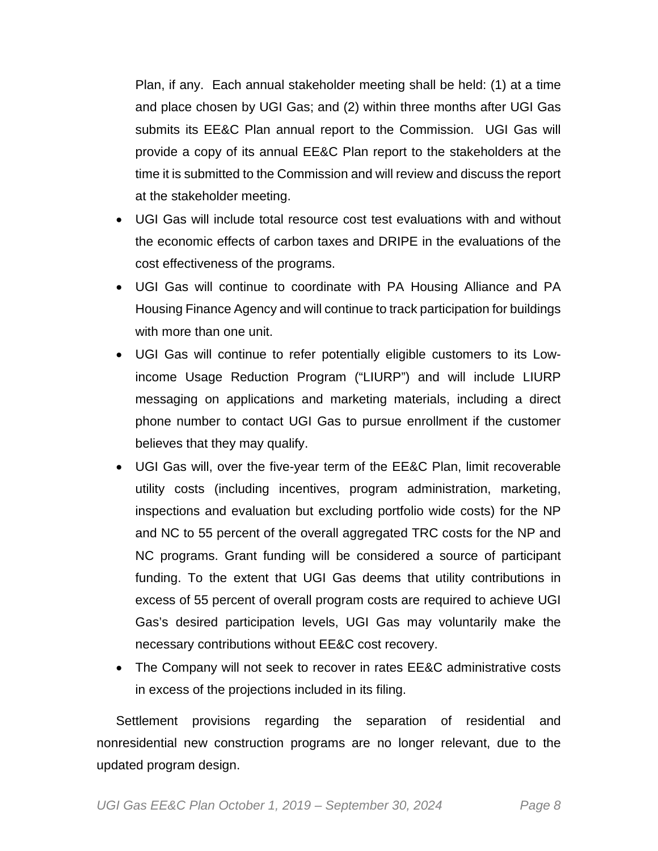Plan, if any. Each annual stakeholder meeting shall be held: (1) at a time and place chosen by UGI Gas; and (2) within three months after UGI Gas submits its EE&C Plan annual report to the Commission. UGI Gas will provide a copy of its annual EE&C Plan report to the stakeholders at the time it is submitted to the Commission and will review and discuss the report at the stakeholder meeting.

- UGI Gas will include total resource cost test evaluations with and without the economic effects of carbon taxes and DRIPE in the evaluations of the cost effectiveness of the programs.
- UGI Gas will continue to coordinate with PA Housing Alliance and PA Housing Finance Agency and will continue to track participation for buildings with more than one unit.
- UGI Gas will continue to refer potentially eligible customers to its Lowincome Usage Reduction Program ("LIURP") and will include LIURP messaging on applications and marketing materials, including a direct phone number to contact UGI Gas to pursue enrollment if the customer believes that they may qualify.
- UGI Gas will, over the five-year term of the EE&C Plan, limit recoverable utility costs (including incentives, program administration, marketing, inspections and evaluation but excluding portfolio wide costs) for the NP and NC to 55 percent of the overall aggregated TRC costs for the NP and NC programs. Grant funding will be considered a source of participant funding. To the extent that UGI Gas deems that utility contributions in excess of 55 percent of overall program costs are required to achieve UGI Gas's desired participation levels, UGI Gas may voluntarily make the necessary contributions without EE&C cost recovery.
- The Company will not seek to recover in rates EE&C administrative costs in excess of the projections included in its filing.

Settlement provisions regarding the separation of residential and nonresidential new construction programs are no longer relevant, due to the updated program design.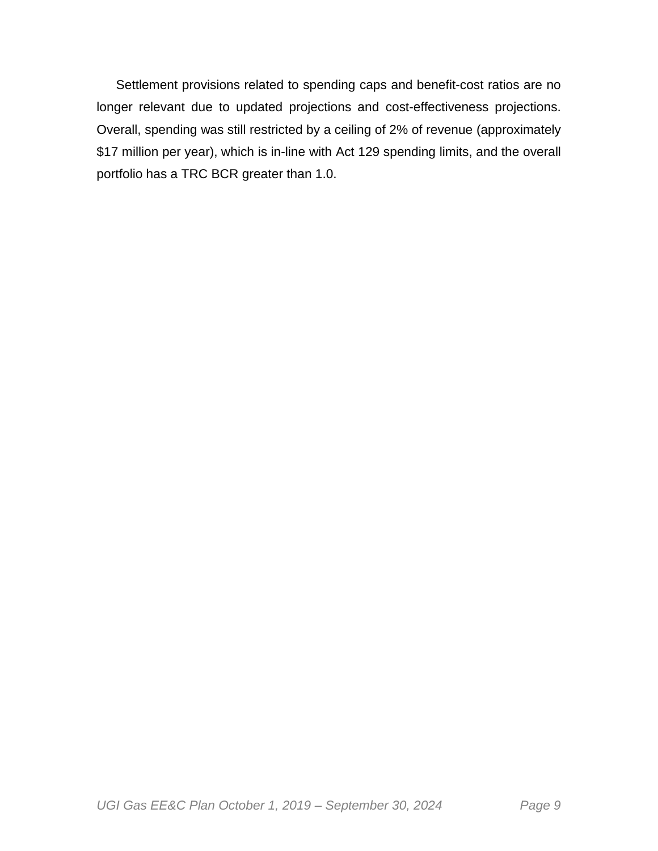Settlement provisions related to spending caps and benefit-cost ratios are no longer relevant due to updated projections and cost-effectiveness projections. Overall, spending was still restricted by a ceiling of 2% of revenue (approximately \$17 million per year), which is in-line with Act 129 spending limits, and the overall portfolio has a TRC BCR greater than 1.0.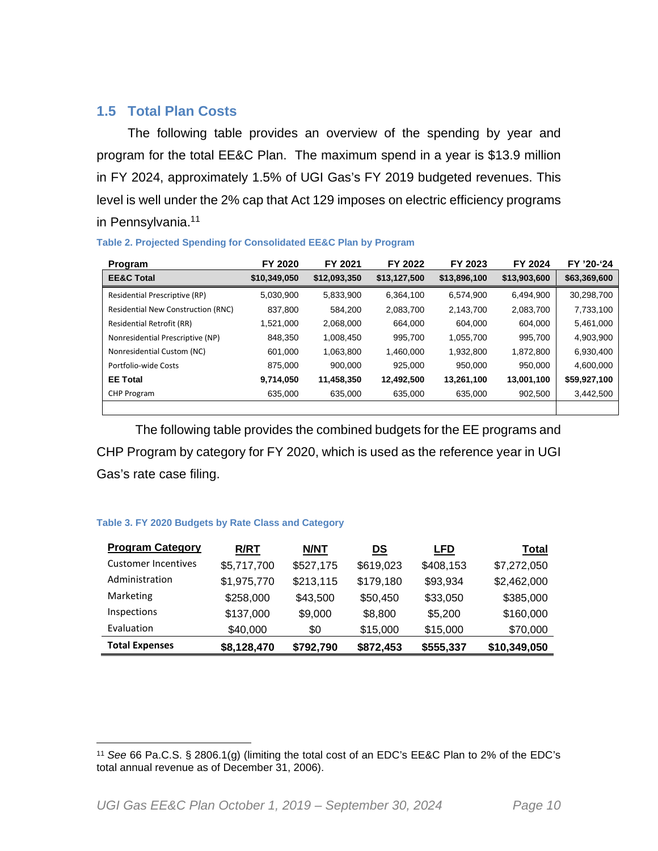## **1.5 Total Plan Costs**

The following table provides an overview of the spending by year and program for the total EE&C Plan. The maximum spend in a year is \$13.9 million in FY 2024, approximately 1.5% of UGI Gas's FY 2019 budgeted revenues. This level is well under the 2% cap that Act 129 imposes on electric efficiency programs in Pennsylvania.<sup>11</sup>

| Program                                   | FY 2020      | FY 2021      | FY 2022      | FY 2023      | FY 2024      | FY '20-'24   |
|-------------------------------------------|--------------|--------------|--------------|--------------|--------------|--------------|
| <b>EE&amp;C Total</b>                     | \$10,349,050 | \$12,093,350 | \$13,127,500 | \$13,896,100 | \$13,903,600 | \$63,369,600 |
| Residential Prescriptive (RP)             | 5.030.900    | 5.833.900    | 6.364.100    | 6.574.900    | 6.494.900    | 30,298,700   |
| <b>Residential New Construction (RNC)</b> | 837.800      | 584.200      | 2,083,700    | 2,143,700    | 2,083,700    | 7,733,100    |
| <b>Residential Retrofit (RR)</b>          | 1.521.000    | 2,068,000    | 664.000      | 604,000      | 604.000      | 5,461,000    |
| Nonresidential Prescriptive (NP)          | 848.350      | 1.008.450    | 995.700      | 1,055,700    | 995.700      | 4,903,900    |
| Nonresidential Custom (NC)                | 601.000      | 1.063.800    | 1.460.000    | 1,932,800    | 1,872,800    | 6,930,400    |
| Portfolio-wide Costs                      | 875,000      | 900.000      | 925.000      | 950.000      | 950,000      | 4,600,000    |
| <b>EE Total</b>                           | 9,714,050    | 11,458,350   | 12,492,500   | 13,261,100   | 13,001,100   | \$59,927,100 |
| <b>CHP Program</b>                        | 635,000      | 635,000      | 635,000      | 635,000      | 902,500      | 3,442,500    |
|                                           |              |              |              |              |              |              |

#### **Table 2. Projected Spending for Consolidated EE&C Plan by Program**

The following table provides the combined budgets for the EE programs and CHP Program by category for FY 2020, which is used as the reference year in UGI Gas's rate case filing.

#### **Table 3. FY 2020 Budgets by Rate Class and Category**

| <b>Program Category</b>    | <b>R/RT</b> | <b>N/NT</b> | DS        | <b>LFD</b> | Total        |
|----------------------------|-------------|-------------|-----------|------------|--------------|
| <b>Customer Incentives</b> | \$5,717,700 | \$527,175   | \$619,023 | \$408,153  | \$7,272,050  |
| Administration             | \$1,975,770 | \$213,115   | \$179,180 | \$93,934   | \$2,462,000  |
| Marketing                  | \$258,000   | \$43,500    | \$50,450  | \$33,050   | \$385,000    |
| Inspections                | \$137,000   | \$9,000     | \$8,800   | \$5,200    | \$160,000    |
| Evaluation                 | \$40,000    | \$0         | \$15,000  | \$15,000   | \$70,000     |
| <b>Total Expenses</b>      | \$8,128,470 | \$792,790   | \$872,453 | \$555,337  | \$10,349,050 |

<sup>11</sup> *See* 66 Pa.C.S. § 2806.1(g) (limiting the total cost of an EDC's EE&C Plan to 2% of the EDC's total annual revenue as of December 31, 2006).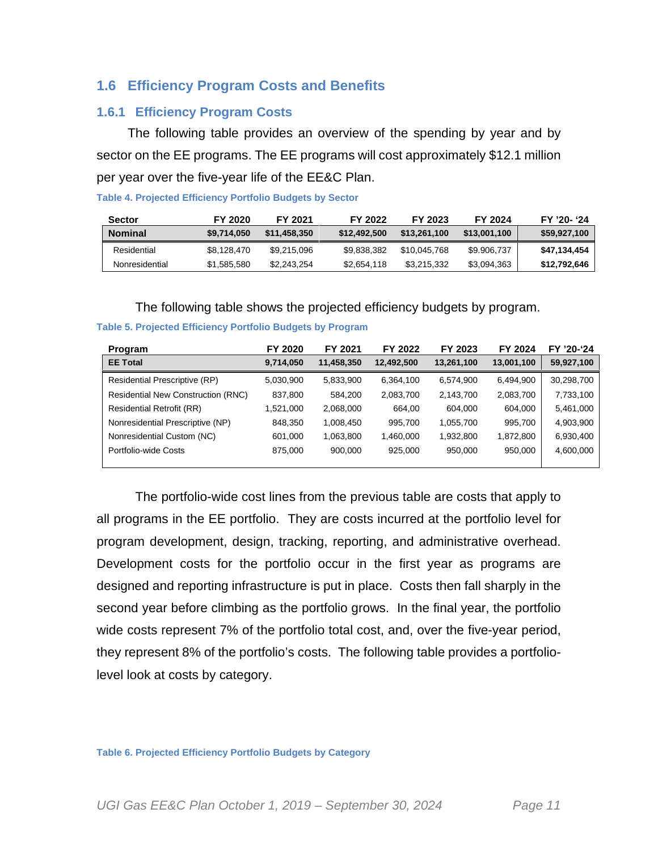## **1.6 Efficiency Program Costs and Benefits**

#### **1.6.1 Efficiency Program Costs**

The following table provides an overview of the spending by year and by sector on the EE programs. The EE programs will cost approximately \$12.1 million per year over the five-year life of the EE&C Plan.

| <b>Sector</b>  | FY 2020     | FY 2021      | FY 2022      | FY 2023      | FY 2024      | FY '20- '24  |
|----------------|-------------|--------------|--------------|--------------|--------------|--------------|
| <b>Nominal</b> | \$9.714.050 | \$11.458.350 | \$12,492,500 | \$13,261,100 | \$13,001,100 | \$59,927,100 |
| Residential    | \$8.128.470 | \$9.215.096  | \$9.838.382  | \$10,045.768 | \$9.906,737  | \$47.134.454 |
| Nonresidential | \$1,585,580 | \$2.243.254  | \$2.654.118  | \$3.215.332  | \$3,094,363  | \$12,792,646 |

#### **Table 4. Projected Efficiency Portfolio Budgets by Sector**

The following table shows the projected efficiency budgets by program.

| Program                                   | FY 2020   | FY 2021    | FY 2022    | FY 2023    | <b>FY 2024</b> | FY '20-'24 |
|-------------------------------------------|-----------|------------|------------|------------|----------------|------------|
| <b>EE Total</b>                           | 9,714,050 | 11,458,350 | 12,492,500 | 13,261,100 | 13,001,100     | 59,927,100 |
| Residential Prescriptive (RP)             | 5,030,900 | 5,833,900  | 6,364,100  | 6,574,900  | 6,494,900      | 30,298,700 |
| <b>Residential New Construction (RNC)</b> | 837,800   | 584.200    | 2,083,700  | 2,143,700  | 2,083,700      | 7,733,100  |
| <b>Residential Retrofit (RR)</b>          | 1,521,000 | 2,068,000  | 664.00     | 604.000    | 604.000        | 5,461,000  |
| Nonresidential Prescriptive (NP)          | 848.350   | 1,008,450  | 995,700    | 1,055,700  | 995.700        | 4,903,900  |
| Nonresidential Custom (NC)                | 601,000   | 1,063,800  | 1,460,000  | 1,932,800  | 1,872,800      | 6,930,400  |
| Portfolio-wide Costs                      | 875,000   | 900.000    | 925,000    | 950,000    | 950.000        | 4,600,000  |
|                                           |           |            |            |            |                |            |

#### **Table 5. Projected Efficiency Portfolio Budgets by Program**

The portfolio-wide cost lines from the previous table are costs that apply to all programs in the EE portfolio. They are costs incurred at the portfolio level for program development, design, tracking, reporting, and administrative overhead. Development costs for the portfolio occur in the first year as programs are designed and reporting infrastructure is put in place. Costs then fall sharply in the second year before climbing as the portfolio grows. In the final year, the portfolio wide costs represent 7% of the portfolio total cost, and, over the five-year period, they represent 8% of the portfolio's costs. The following table provides a portfoliolevel look at costs by category.

**Table 6. Projected Efficiency Portfolio Budgets by Category**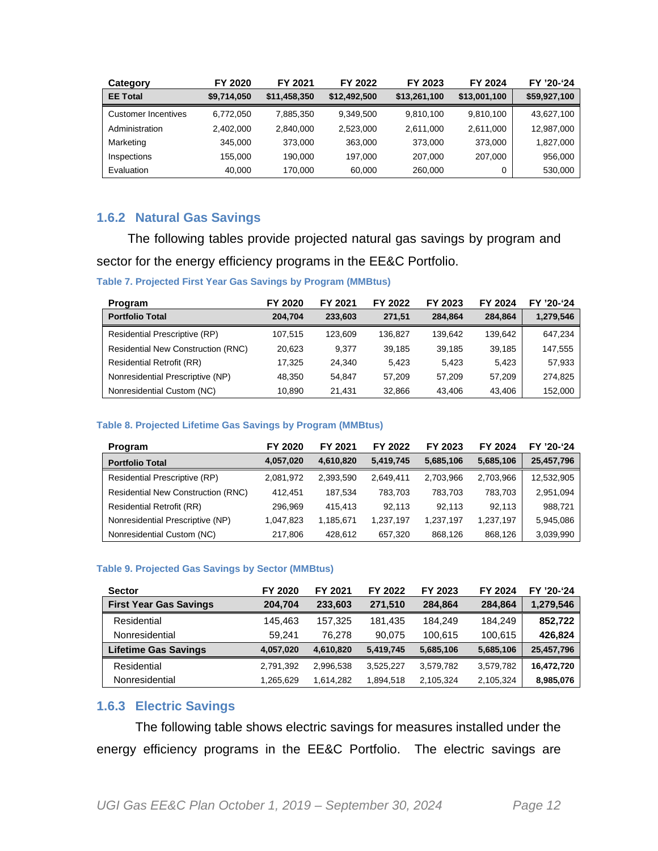| Category            | FY 2020     | FY 2021      | FY 2022      | FY 2023      | FY 2024      | FY '20-'24   |
|---------------------|-------------|--------------|--------------|--------------|--------------|--------------|
| <b>EE Total</b>     | \$9,714,050 | \$11,458,350 | \$12,492,500 | \$13,261,100 | \$13,001,100 | \$59,927,100 |
| Customer Incentives | 6.772.050   | 7,885,350    | 9.349.500    | 9.810.100    | 9,810,100    | 43,627,100   |
| Administration      | 2.402.000   | 2.840.000    | 2.523.000    | 2.611.000    | 2.611.000    | 12,987,000   |
| Marketing           | 345,000     | 373,000      | 363,000      | 373,000      | 373.000      | 1,827,000    |
| Inspections         | 155.000     | 190.000      | 197.000      | 207,000      | 207.000      | 956,000      |
| Evaluation          | 40.000      | 170.000      | 60,000       | 260,000      | 0            | 530,000      |

## **1.6.2 Natural Gas Savings**

The following tables provide projected natural gas savings by program and sector for the energy efficiency programs in the EE&C Portfolio.

#### **Table 7. Projected First Year Gas Savings by Program (MMBtus)**

| <b>Program</b>                            | FY 2020 | FY 2021 | FY 2022 | FY 2023 | FY 2024 | FY '20-'24 |
|-------------------------------------------|---------|---------|---------|---------|---------|------------|
| <b>Portfolio Total</b>                    | 204.704 | 233,603 | 271.51  | 284.864 | 284.864 | 1,279,546  |
| Residential Prescriptive (RP)             | 107.515 | 123.609 | 136.827 | 139.642 | 139.642 | 647,234    |
| <b>Residential New Construction (RNC)</b> | 20.623  | 9.377   | 39.185  | 39.185  | 39.185  | 147,555    |
| <b>Residential Retrofit (RR)</b>          | 17.325  | 24.340  | 5.423   | 5.423   | 5.423   | 57,933     |
| Nonresidential Prescriptive (NP)          | 48.350  | 54.847  | 57.209  | 57.209  | 57.209  | 274.825    |
| Nonresidential Custom (NC)                | 10,890  | 21.431  | 32,866  | 43.406  | 43.406  | 152,000    |

#### **Table 8. Projected Lifetime Gas Savings by Program (MMBtus)**

| Program                                   | FY 2020   | FY 2021   | FY 2022   | FY 2023   | FY 2024   | FY '20-'24 |
|-------------------------------------------|-----------|-----------|-----------|-----------|-----------|------------|
| <b>Portfolio Total</b>                    | 4,057,020 | 4.610.820 | 5,419,745 | 5,685,106 | 5,685,106 | 25,457,796 |
| Residential Prescriptive (RP)             | 2,081,972 | 2.393.590 | 2.649.411 | 2.703.966 | 2,703,966 | 12,532,905 |
| <b>Residential New Construction (RNC)</b> | 412.451   | 187.534   | 783.703   | 783.703   | 783.703   | 2,951,094  |
| <b>Residential Retrofit (RR)</b>          | 296.969   | 415.413   | 92.113    | 92.113    | 92.113    | 988,721    |
| Nonresidential Prescriptive (NP)          | 1,047,823 | 1,185,671 | 1,237,197 | 1,237,197 | 1,237,197 | 5,945,086  |
| Nonresidential Custom (NC)                | 217,806   | 428.612   | 657.320   | 868.126   | 868,126   | 3,039,990  |

#### **Table 9. Projected Gas Savings by Sector (MMBtus)**

| <b>Sector</b>                 | FY 2020   | FY 2021   | FY 2022   | FY 2023   | <b>FY 2024</b> | FY '20-'24 |
|-------------------------------|-----------|-----------|-----------|-----------|----------------|------------|
| <b>First Year Gas Savings</b> | 204.704   | 233.603   | 271.510   | 284.864   | 284.864        | 1,279,546  |
| Residential                   | 145.463   | 157,325   | 181.435   | 184.249   | 184.249        | 852,722    |
| Nonresidential                | 59.241    | 76.278    | 90.075    | 100.615   | 100,615        | 426.824    |
| <b>Lifetime Gas Savings</b>   | 4,057,020 | 4,610,820 | 5,419,745 | 5,685,106 | 5,685,106      | 25,457,796 |
| Residential                   | 2,791,392 | 2,996,538 | 3,525,227 | 3,579,782 | 3,579,782      | 16,472,720 |
| Nonresidential                | 1,265,629 | 1.614.282 | 1,894,518 | 2,105,324 | 2,105,324      | 8,985,076  |

## **1.6.3 Electric Savings**

The following table shows electric savings for measures installed under the energy efficiency programs in the EE&C Portfolio. The electric savings are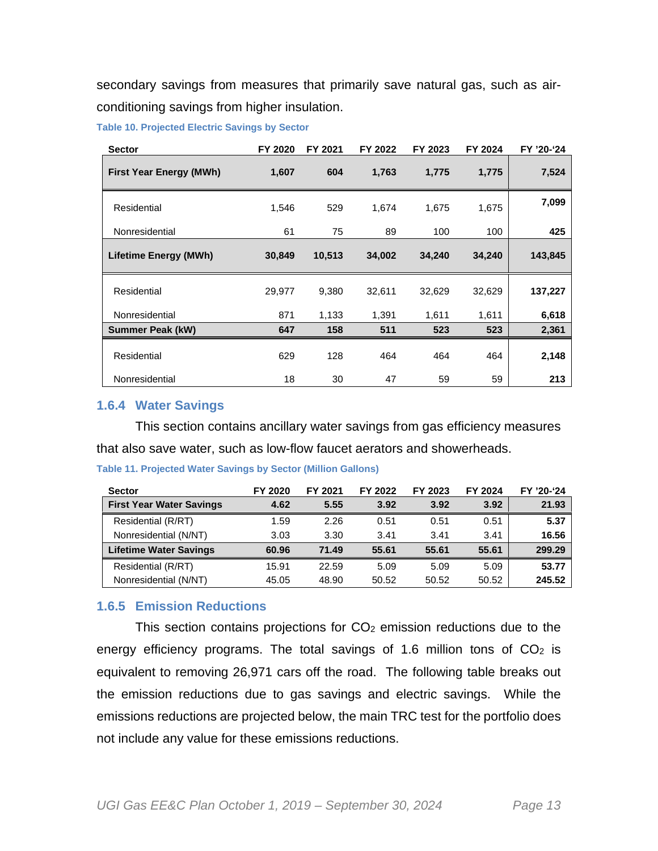secondary savings from measures that primarily save natural gas, such as airconditioning savings from higher insulation.

**Table 10. Projected Electric Savings by Sector** 

| <b>Sector</b>                  | FY 2020 | FY 2021 | FY 2022 | FY 2023 | FY 2024 | FY '20-'24 |
|--------------------------------|---------|---------|---------|---------|---------|------------|
| <b>First Year Energy (MWh)</b> | 1,607   | 604     | 1,763   | 1,775   | 1,775   | 7,524      |
| Residential                    | 1,546   | 529     | 1,674   | 1,675   | 1,675   | 7,099      |
| Nonresidential                 | 61      | 75      | 89      | 100     | 100     | 425        |
| <b>Lifetime Energy (MWh)</b>   | 30,849  | 10,513  | 34,002  | 34,240  | 34,240  | 143,845    |
| Residential                    | 29,977  | 9,380   | 32,611  | 32,629  | 32,629  | 137,227    |
| Nonresidential                 | 871     | 1,133   | 1,391   | 1,611   | 1,611   | 6,618      |
| <b>Summer Peak (kW)</b>        | 647     | 158     | 511     | 523     | 523     | 2,361      |
| Residential                    | 629     | 128     | 464     | 464     | 464     | 2,148      |
| Nonresidential                 | 18      | 30      | 47      | 59      | 59      | 213        |

#### **1.6.4 Water Savings**

This section contains ancillary water savings from gas efficiency measures that also save water, such as low-flow faucet aerators and showerheads.

| <b>Sector</b>                   | FY 2020 | FY 2021 | FY 2022 | FY 2023 | FY 2024 | FY '20-'24 |
|---------------------------------|---------|---------|---------|---------|---------|------------|
| <b>First Year Water Savings</b> | 4.62    | 5.55    | 3.92    | 3.92    | 3.92    | 21.93      |
| Residential (R/RT)              | 1.59    | 2.26    | 0.51    | 0.51    | 0.51    | 5.37       |
| Nonresidential (N/NT)           | 3.03    | 3.30    | 3.41    | 3.41    | 3.41    | 16.56      |
| <b>Lifetime Water Savings</b>   | 60.96   | 71.49   | 55.61   | 55.61   | 55.61   | 299.29     |
| Residential (R/RT)              | 15.91   | 22.59   | 5.09    | 5.09    | 5.09    | 53.77      |
| Nonresidential (N/NT)           | 45.05   | 48.90   | 50.52   | 50.52   | 50.52   | 245.52     |

#### **Table 11. Projected Water Savings by Sector (Million Gallons)**

#### **1.6.5 Emission Reductions**

This section contains projections for  $CO<sub>2</sub>$  emission reductions due to the energy efficiency programs. The total savings of 1.6 million tons of  $CO<sub>2</sub>$  is equivalent to removing 26,971 cars off the road. The following table breaks out the emission reductions due to gas savings and electric savings. While the emissions reductions are projected below, the main TRC test for the portfolio does not include any value for these emissions reductions.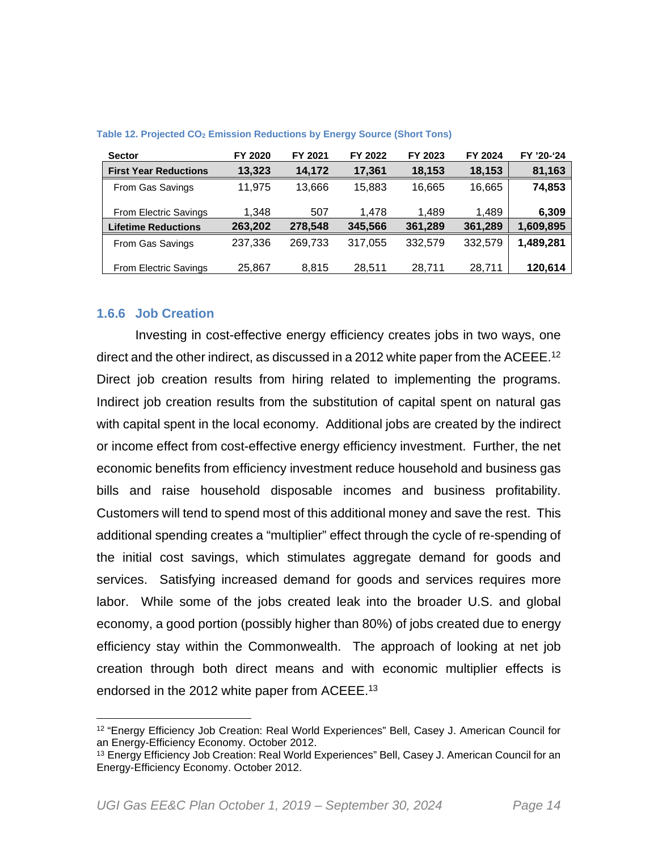| <b>Sector</b>                | FY 2020 | FY 2021 | FY 2022 | FY 2023 | FY 2024 | FY '20-'24 |
|------------------------------|---------|---------|---------|---------|---------|------------|
| <b>First Year Reductions</b> | 13,323  | 14.172  | 17,361  | 18,153  | 18,153  | 81,163     |
| From Gas Savings             | 11.975  | 13.666  | 15.883  | 16,665  | 16,665  | 74,853     |
| <b>From Electric Savings</b> | 1,348   | 507     | 1.478   | 1.489   | 1.489   | 6,309      |
| <b>Lifetime Reductions</b>   | 263,202 | 278,548 | 345,566 | 361,289 | 361,289 | 1,609,895  |
| From Gas Savings             | 237,336 | 269.733 | 317,055 | 332.579 | 332,579 | 1,489,281  |
| <b>From Electric Savings</b> | 25,867  | 8,815   | 28,511  | 28,711  | 28,711  | 120,614    |

#### **Table 12. Projected CO2 Emission Reductions by Energy Source (Short Tons)**

#### **1.6.6 Job Creation**

Investing in cost-effective energy efficiency creates jobs in two ways, one direct and the other indirect, as discussed in a 2012 white paper from the ACEEE.<sup>12</sup> Direct job creation results from hiring related to implementing the programs. Indirect job creation results from the substitution of capital spent on natural gas with capital spent in the local economy. Additional jobs are created by the indirect or income effect from cost-effective energy efficiency investment. Further, the net economic benefits from efficiency investment reduce household and business gas bills and raise household disposable incomes and business profitability. Customers will tend to spend most of this additional money and save the rest. This additional spending creates a "multiplier" effect through the cycle of re-spending of the initial cost savings, which stimulates aggregate demand for goods and services. Satisfying increased demand for goods and services requires more labor. While some of the jobs created leak into the broader U.S. and global economy, a good portion (possibly higher than 80%) of jobs created due to energy efficiency stay within the Commonwealth. The approach of looking at net job creation through both direct means and with economic multiplier effects is endorsed in the 2012 white paper from ACEEE.<sup>13</sup>

<sup>12 &</sup>quot;Energy Efficiency Job Creation: Real World Experiences" Bell, Casey J. American Council for an Energy-Efficiency Economy. October 2012.

<sup>&</sup>lt;sup>13</sup> Energy Efficiency Job Creation: Real World Experiences" Bell, Casey J. American Council for an Energy-Efficiency Economy. October 2012.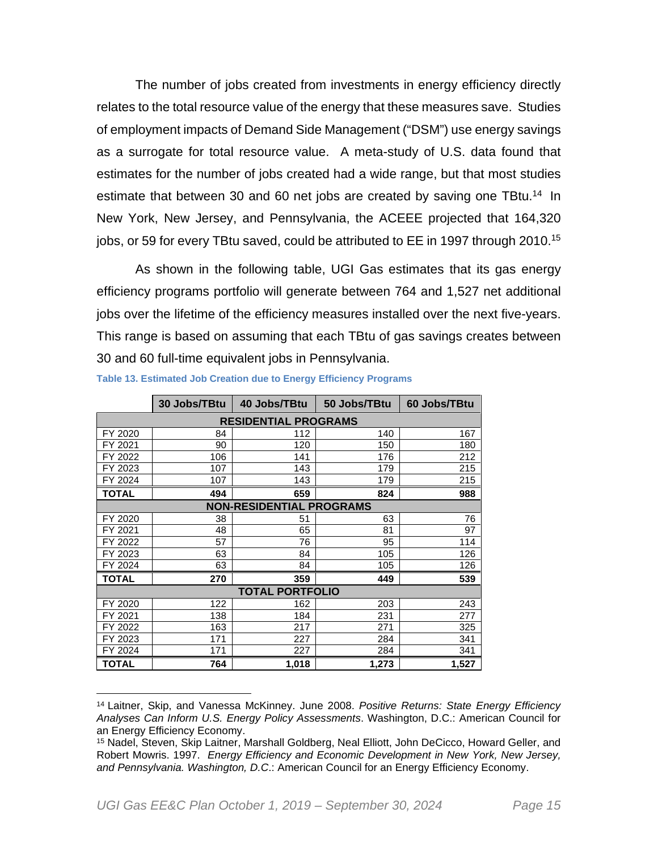The number of jobs created from investments in energy efficiency directly relates to the total resource value of the energy that these measures save. Studies of employment impacts of Demand Side Management ("DSM") use energy savings as a surrogate for total resource value. A meta-study of U.S. data found that estimates for the number of jobs created had a wide range, but that most studies estimate that between 30 and 60 net jobs are created by saving one TBtu.<sup>14</sup> In New York, New Jersey, and Pennsylvania, the ACEEE projected that 164,320 jobs, or 59 for every TBtu saved, could be attributed to EE in 1997 through 2010.<sup>15</sup>

As shown in the following table, UGI Gas estimates that its gas energy efficiency programs portfolio will generate between 764 and 1,527 net additional jobs over the lifetime of the efficiency measures installed over the next five-years. This range is based on assuming that each TBtu of gas savings creates between 30 and 60 full-time equivalent jobs in Pennsylvania.

|                             | 30 Jobs/TBtu | 40 Jobs/TBtu                    | 50 Jobs/TBtu | 60 Jobs/TBtu |  |  |  |  |  |  |
|-----------------------------|--------------|---------------------------------|--------------|--------------|--|--|--|--|--|--|
| <b>RESIDENTIAL PROGRAMS</b> |              |                                 |              |              |  |  |  |  |  |  |
| FY 2020                     | 84           | 112                             | 140          | 167          |  |  |  |  |  |  |
| FY 2021                     | 90           | 120                             | 150          | 180          |  |  |  |  |  |  |
| FY 2022                     | 106          | 141                             | 176          | 212          |  |  |  |  |  |  |
| FY 2023                     | 107          | 143                             | 179          | 215          |  |  |  |  |  |  |
| FY 2024                     | 107          | 143                             | 179          | 215          |  |  |  |  |  |  |
| TOTAL                       | 494          | 659                             | 824          | 988          |  |  |  |  |  |  |
|                             |              | <b>NON-RESIDENTIAL PROGRAMS</b> |              |              |  |  |  |  |  |  |
| FY 2020                     | 38           | 51                              | 63           | 76           |  |  |  |  |  |  |
| FY 2021                     | 48           | 65                              | 81           | 97           |  |  |  |  |  |  |
| FY 2022                     | 57           | 76                              | 95           | 114          |  |  |  |  |  |  |
| FY 2023                     | 63           | 84                              | 105          | 126          |  |  |  |  |  |  |
| FY 2024                     | 63           | 84                              | 105          | 126          |  |  |  |  |  |  |
| <b>TOTAL</b>                | 270          | 359                             | 449          | 539          |  |  |  |  |  |  |
|                             |              | <b>TOTAL PORTFOLIO</b>          |              |              |  |  |  |  |  |  |
| FY 2020                     | 122          | 162                             | 203          | 243          |  |  |  |  |  |  |
| FY 2021                     | 138          | 184                             | 231          | 277          |  |  |  |  |  |  |
| FY 2022                     | 163          | 217                             | 271          | 325          |  |  |  |  |  |  |
| FY 2023                     | 171          | 227                             | 284          | 341          |  |  |  |  |  |  |
| FY 2024                     | 171          | 227                             | 284          | 341          |  |  |  |  |  |  |
| TOTAL                       | 764          | 1,018                           | 1,273        | 1,527        |  |  |  |  |  |  |

**Table 13. Estimated Job Creation due to Energy Efficiency Programs** 

<sup>14</sup> Laitner, Skip, and Vanessa McKinney. June 2008. *Positive Returns: State Energy Efficiency Analyses Can Inform U.S. Energy Policy Assessments*. Washington, D.C.: American Council for an Energy Efficiency Economy.

<sup>15</sup> Nadel, Steven, Skip Laitner, Marshall Goldberg, Neal Elliott, John DeCicco, Howard Geller, and Robert Mowris. 1997. *Energy Efficiency and Economic Development in New York, New Jersey, and Pennsylvania. Washington, D.C*.: American Council for an Energy Efficiency Economy.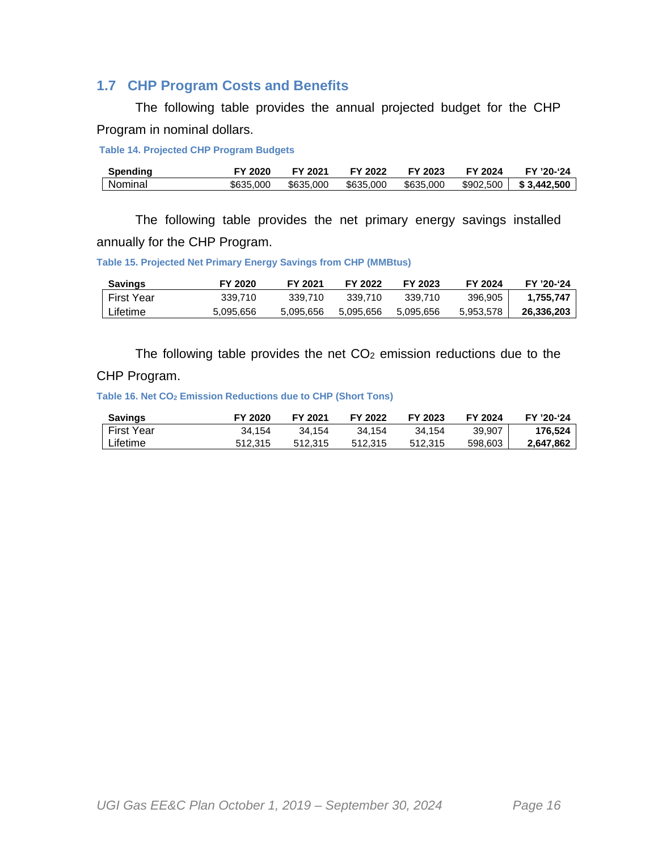## **1.7 CHP Program Costs and Benefits**

The following table provides the annual projected budget for the CHP Program in nominal dollars.

 **Table 14. Projected CHP Program Budgets** 

| <b>Spending</b> | FY 2020   | FY 2021   | FY 2022   | FY 2023   | FY 2024   | FY '20-'24  |
|-----------------|-----------|-----------|-----------|-----------|-----------|-------------|
| Nominal         | \$635,000 | \$635,000 | \$635,000 | \$635,000 | \$902,500 | \$3.442.500 |

The following table provides the net primary energy savings installed annually for the CHP Program.

**Table 15. Projected Net Primary Energy Savings from CHP (MMBtus)** 

| <b>Savings</b> | FY 2020   | FY 2021   | FY 2022   | FY 2023   | FY 2024   | FY '20-'24 |
|----------------|-----------|-----------|-----------|-----------|-----------|------------|
| First Year     | 339.710   | 339.710   | 339.710   | 339.710   | 396,905   | 1.755.747  |
| Lifetime       | 5,095,656 | 5.095.656 | 5.095.656 | 5.095.656 | 5.953.578 | 26.336.203 |

The following table provides the net  $CO<sub>2</sub>$  emission reductions due to the

#### CHP Program.

**Table 16. Net CO2 Emission Reductions due to CHP (Short Tons)** 

| <b>Savings</b> | FY 2020 | FY 2021 | FY 2022 | FY 2023 | FY 2024 | FY '20-'24 |
|----------------|---------|---------|---------|---------|---------|------------|
| First Year     | 34.154  | 34.154  | 34.154  | 34.154  | 39.907  | 176.524    |
| Lifetime       | 512.315 | 512.315 | 512.315 | 512.315 | 598,603 | 2.647.862  |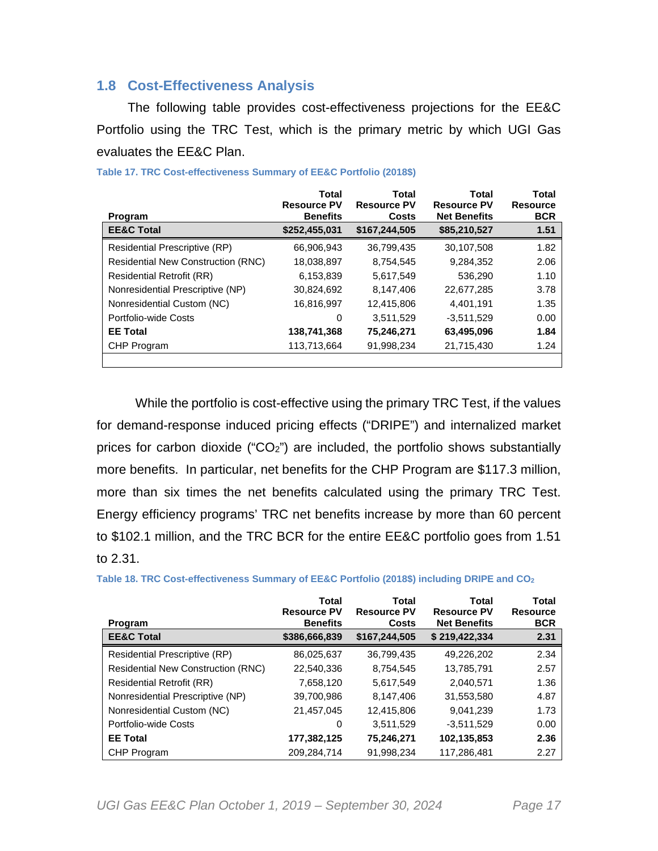## **1.8 Cost-Effectiveness Analysis**

The following table provides cost-effectiveness projections for the EE&C Portfolio using the TRC Test, which is the primary metric by which UGI Gas evaluates the EE&C Plan.

| Program                                   | <b>Total</b><br><b>Resource PV</b><br><b>Benefits</b> | Total<br><b>Resource PV</b><br>Costs | Total<br><b>Resource PV</b><br><b>Net Benefits</b> | Total<br><b>Resource</b><br><b>BCR</b> |
|-------------------------------------------|-------------------------------------------------------|--------------------------------------|----------------------------------------------------|----------------------------------------|
| <b>EE&amp;C Total</b>                     | \$252,455,031                                         | \$167,244,505                        | \$85,210,527                                       | 1.51                                   |
| Residential Prescriptive (RP)             | 66,906,943                                            | 36,799,435                           | 30,107,508                                         | 1.82                                   |
| <b>Residential New Construction (RNC)</b> | 18,038,897                                            | 8,754,545                            | 9,284,352                                          | 2.06                                   |
| <b>Residential Retrofit (RR)</b>          | 6,153,839                                             | 5,617,549                            | 536,290                                            | 1.10                                   |
| Nonresidential Prescriptive (NP)          | 30,824,692                                            | 8,147,406                            | 22,677,285                                         | 3.78                                   |
| Nonresidential Custom (NC)                | 16,816,997                                            | 12,415,806                           | 4,401,191                                          | 1.35                                   |
| Portfolio-wide Costs                      | 0                                                     | 3,511,529                            | $-3,511,529$                                       | 0.00                                   |
| <b>EE Total</b>                           | 138,741,368                                           | 75,246,271                           | 63,495,096                                         | 1.84                                   |
| CHP Program                               | 113,713,664                                           | 91,998,234                           | 21,715,430                                         | 1.24                                   |
|                                           |                                                       |                                      |                                                    |                                        |

**Table 17. TRC Cost-effectiveness Summary of EE&C Portfolio (2018\$)** 

While the portfolio is cost-effective using the primary TRC Test, if the values for demand-response induced pricing effects ("DRIPE") and internalized market prices for carbon dioxide ("CO2") are included, the portfolio shows substantially more benefits. In particular, net benefits for the CHP Program are \$117.3 million, more than six times the net benefits calculated using the primary TRC Test. Energy efficiency programs' TRC net benefits increase by more than 60 percent to \$102.1 million, and the TRC BCR for the entire EE&C portfolio goes from 1.51 to 2.31.

|                                           | Total<br><b>Resource PV</b> | Total<br><b>Resource PV</b> | Total<br><b>Resource PV</b> | Total<br><b>Resource</b> |
|-------------------------------------------|-----------------------------|-----------------------------|-----------------------------|--------------------------|
| Program                                   | <b>Benefits</b>             | Costs                       | <b>Net Benefits</b>         | <b>BCR</b>               |
| <b>EE&amp;C Total</b>                     | \$386,666,839               | \$167,244,505               | \$219,422,334               | 2.31                     |
| Residential Prescriptive (RP)             | 86,025,637                  | 36,799,435                  | 49.226.202                  | 2.34                     |
| <b>Residential New Construction (RNC)</b> | 22,540,336                  | 8,754,545                   | 13,785,791                  | 2.57                     |
| <b>Residential Retrofit (RR)</b>          | 7,658,120                   | 5,617,549                   | 2,040,571                   | 1.36                     |
| Nonresidential Prescriptive (NP)          | 39,700,986                  | 8,147,406                   | 31,553,580                  | 4.87                     |
| Nonresidential Custom (NC)                | 21,457,045                  | 12,415,806                  | 9,041,239                   | 1.73                     |
| Portfolio-wide Costs                      | 0                           | 3,511,529                   | $-3.511.529$                | 0.00                     |
| <b>EE</b> Total                           | 177,382,125                 | 75,246,271                  | 102,135,853                 | 2.36                     |
| CHP Program                               | 209,284,714                 | 91,998,234                  | 117,286,481                 | 2.27                     |

**Table 18. TRC Cost-effectiveness Summary of EE&C Portfolio (2018\$) including DRIPE and CO<sup>2</sup>**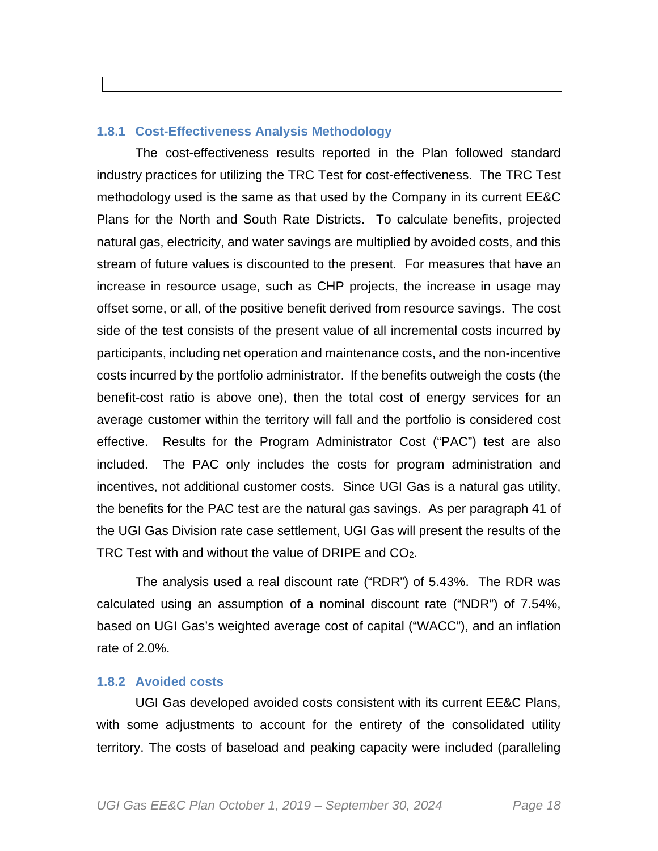#### **1.8.1 Cost-Effectiveness Analysis Methodology**

The cost-effectiveness results reported in the Plan followed standard industry practices for utilizing the TRC Test for cost-effectiveness. The TRC Test methodology used is the same as that used by the Company in its current EE&C Plans for the North and South Rate Districts. To calculate benefits, projected natural gas, electricity, and water savings are multiplied by avoided costs, and this stream of future values is discounted to the present. For measures that have an increase in resource usage, such as CHP projects, the increase in usage may offset some, or all, of the positive benefit derived from resource savings. The cost side of the test consists of the present value of all incremental costs incurred by participants, including net operation and maintenance costs, and the non-incentive costs incurred by the portfolio administrator. If the benefits outweigh the costs (the benefit-cost ratio is above one), then the total cost of energy services for an average customer within the territory will fall and the portfolio is considered cost effective. Results for the Program Administrator Cost ("PAC") test are also included. The PAC only includes the costs for program administration and incentives, not additional customer costs. Since UGI Gas is a natural gas utility, the benefits for the PAC test are the natural gas savings. As per paragraph 41 of the UGI Gas Division rate case settlement, UGI Gas will present the results of the TRC Test with and without the value of DRIPE and CO2.

The analysis used a real discount rate ("RDR") of 5.43%. The RDR was calculated using an assumption of a nominal discount rate ("NDR") of 7.54%, based on UGI Gas's weighted average cost of capital ("WACC"), and an inflation rate of 2.0%.

#### **1.8.2 Avoided costs**

UGI Gas developed avoided costs consistent with its current EE&C Plans, with some adjustments to account for the entirety of the consolidated utility territory. The costs of baseload and peaking capacity were included (paralleling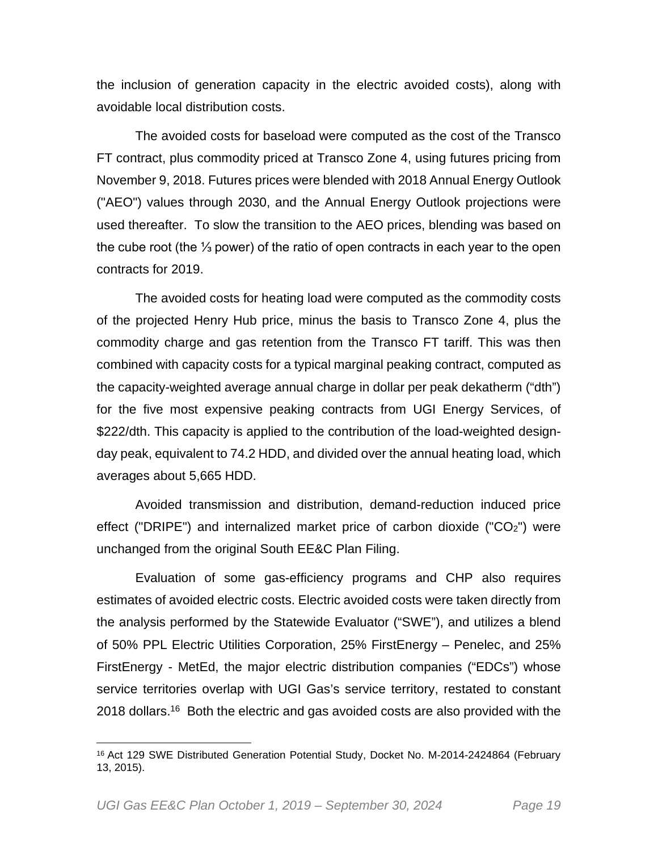the inclusion of generation capacity in the electric avoided costs), along with avoidable local distribution costs.

The avoided costs for baseload were computed as the cost of the Transco FT contract, plus commodity priced at Transco Zone 4, using futures pricing from November 9, 2018. Futures prices were blended with 2018 Annual Energy Outlook ("AEO") values through 2030, and the Annual Energy Outlook projections were used thereafter. To slow the transition to the AEO prices, blending was based on the cube root (the ⅓ power) of the ratio of open contracts in each year to the open contracts for 2019.

The avoided costs for heating load were computed as the commodity costs of the projected Henry Hub price, minus the basis to Transco Zone 4, plus the commodity charge and gas retention from the Transco FT tariff. This was then combined with capacity costs for a typical marginal peaking contract, computed as the capacity-weighted average annual charge in dollar per peak dekatherm ("dth") for the five most expensive peaking contracts from UGI Energy Services, of \$222/dth. This capacity is applied to the contribution of the load-weighted designday peak, equivalent to 74.2 HDD, and divided over the annual heating load, which averages about 5,665 HDD.

Avoided transmission and distribution, demand-reduction induced price effect ("DRIPE") and internalized market price of carbon dioxide (" $CO<sub>2</sub>$ ") were unchanged from the original South EE&C Plan Filing.

Evaluation of some gas-efficiency programs and CHP also requires estimates of avoided electric costs. Electric avoided costs were taken directly from the analysis performed by the Statewide Evaluator ("SWE"), and utilizes a blend of 50% PPL Electric Utilities Corporation, 25% FirstEnergy – Penelec, and 25% FirstEnergy - MetEd, the major electric distribution companies ("EDCs") whose service territories overlap with UGI Gas's service territory, restated to constant 2018 dollars.<sup>16</sup> Both the electric and gas avoided costs are also provided with the

<sup>&</sup>lt;sup>16</sup> Act 129 SWE Distributed Generation Potential Study, Docket No. M-2014-2424864 (February 13, 2015).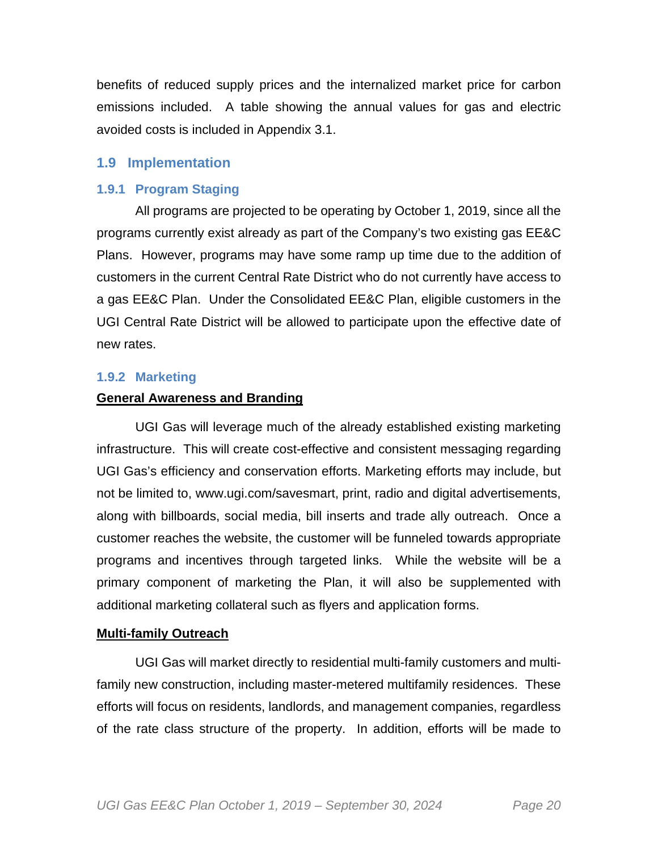benefits of reduced supply prices and the internalized market price for carbon emissions included. A table showing the annual values for gas and electric avoided costs is included in Appendix 3.1.

#### **1.9 Implementation**

#### **1.9.1 Program Staging**

All programs are projected to be operating by October 1, 2019, since all the programs currently exist already as part of the Company's two existing gas EE&C Plans. However, programs may have some ramp up time due to the addition of customers in the current Central Rate District who do not currently have access to a gas EE&C Plan. Under the Consolidated EE&C Plan, eligible customers in the UGI Central Rate District will be allowed to participate upon the effective date of new rates.

#### **1.9.2 Marketing**

#### **General Awareness and Branding**

UGI Gas will leverage much of the already established existing marketing infrastructure. This will create cost-effective and consistent messaging regarding UGI Gas's efficiency and conservation efforts. Marketing efforts may include, but not be limited to, www.ugi.com/savesmart, print, radio and digital advertisements, along with billboards, social media, bill inserts and trade ally outreach. Once a customer reaches the website, the customer will be funneled towards appropriate programs and incentives through targeted links. While the website will be a primary component of marketing the Plan, it will also be supplemented with additional marketing collateral such as flyers and application forms.

#### **Multi-family Outreach**

UGI Gas will market directly to residential multi-family customers and multifamily new construction, including master-metered multifamily residences. These efforts will focus on residents, landlords, and management companies, regardless of the rate class structure of the property. In addition, efforts will be made to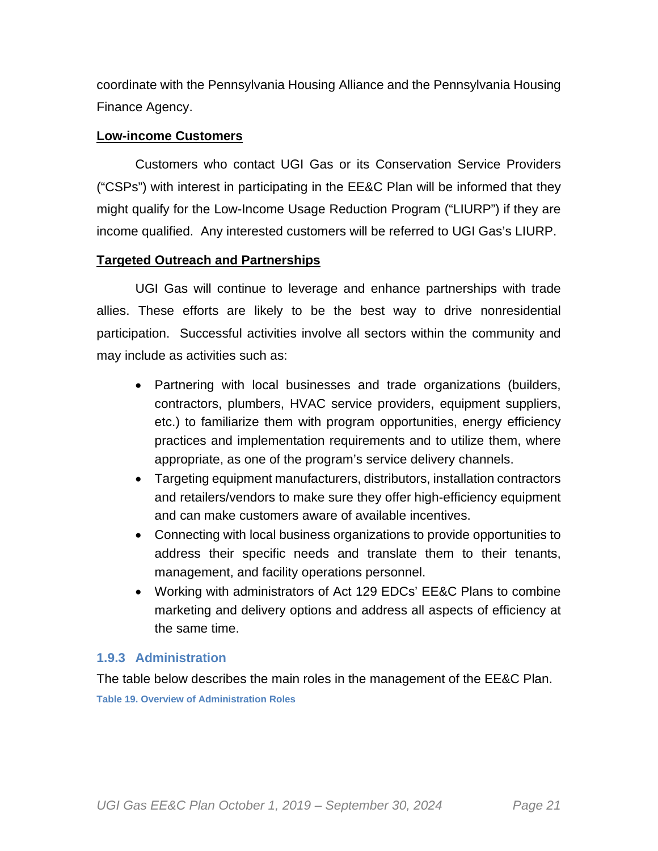coordinate with the Pennsylvania Housing Alliance and the Pennsylvania Housing Finance Agency.

## **Low-income Customers**

Customers who contact UGI Gas or its Conservation Service Providers ("CSPs") with interest in participating in the EE&C Plan will be informed that they might qualify for the Low-Income Usage Reduction Program ("LIURP") if they are income qualified. Any interested customers will be referred to UGI Gas's LIURP.

## **Targeted Outreach and Partnerships**

UGI Gas will continue to leverage and enhance partnerships with trade allies. These efforts are likely to be the best way to drive nonresidential participation. Successful activities involve all sectors within the community and may include as activities such as:

- Partnering with local businesses and trade organizations (builders, contractors, plumbers, HVAC service providers, equipment suppliers, etc.) to familiarize them with program opportunities, energy efficiency practices and implementation requirements and to utilize them, where appropriate, as one of the program's service delivery channels.
- Targeting equipment manufacturers, distributors, installation contractors and retailers/vendors to make sure they offer high-efficiency equipment and can make customers aware of available incentives.
- Connecting with local business organizations to provide opportunities to address their specific needs and translate them to their tenants, management, and facility operations personnel.
- Working with administrators of Act 129 EDCs' EE&C Plans to combine marketing and delivery options and address all aspects of efficiency at the same time.

## **1.9.3 Administration**

The table below describes the main roles in the management of the EE&C Plan.

**Table 19. Overview of Administration Roles**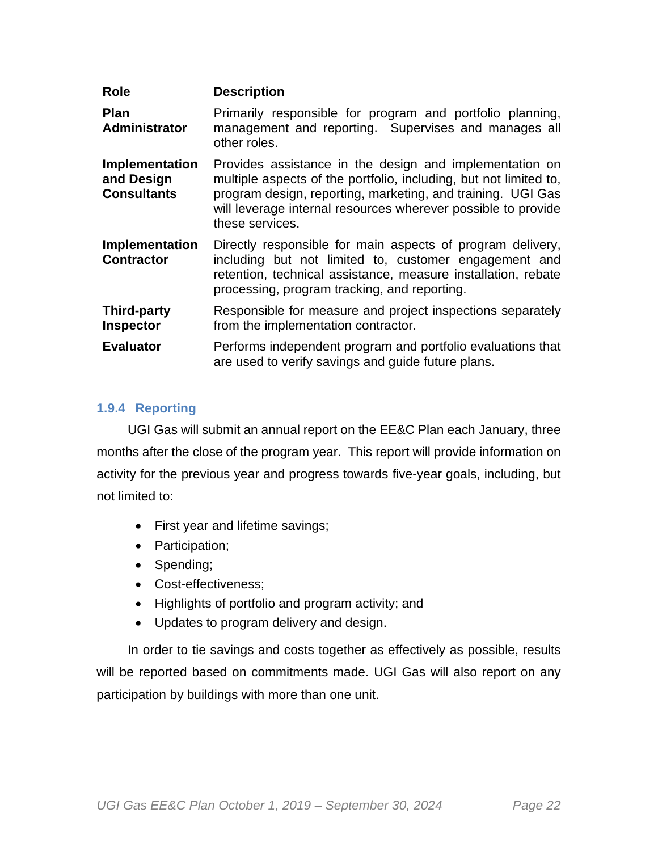| <b>Role</b>                                               | <b>Description</b>                                                                                                                                                                                                                                                              |
|-----------------------------------------------------------|---------------------------------------------------------------------------------------------------------------------------------------------------------------------------------------------------------------------------------------------------------------------------------|
| <b>Plan</b><br>Administrator                              | Primarily responsible for program and portfolio planning,<br>management and reporting. Supervises and manages all<br>other roles.                                                                                                                                               |
| <b>Implementation</b><br>and Design<br><b>Consultants</b> | Provides assistance in the design and implementation on<br>multiple aspects of the portfolio, including, but not limited to,<br>program design, reporting, marketing, and training. UGI Gas<br>will leverage internal resources wherever possible to provide<br>these services. |
| Implementation<br><b>Contractor</b>                       | Directly responsible for main aspects of program delivery,<br>including but not limited to, customer engagement and<br>retention, technical assistance, measure installation, rebate<br>processing, program tracking, and reporting.                                            |
| <b>Third-party</b><br>Inspector                           | Responsible for measure and project inspections separately<br>from the implementation contractor.                                                                                                                                                                               |
| <b>Evaluator</b>                                          | Performs independent program and portfolio evaluations that<br>are used to verify savings and guide future plans.                                                                                                                                                               |

### **1.9.4 Reporting**

UGI Gas will submit an annual report on the EE&C Plan each January, three months after the close of the program year. This report will provide information on activity for the previous year and progress towards five-year goals, including, but not limited to:

- First year and lifetime savings;
- Participation;
- Spending;
- Cost-effectiveness:
- Highlights of portfolio and program activity; and
- Updates to program delivery and design.

In order to tie savings and costs together as effectively as possible, results will be reported based on commitments made. UGI Gas will also report on any participation by buildings with more than one unit.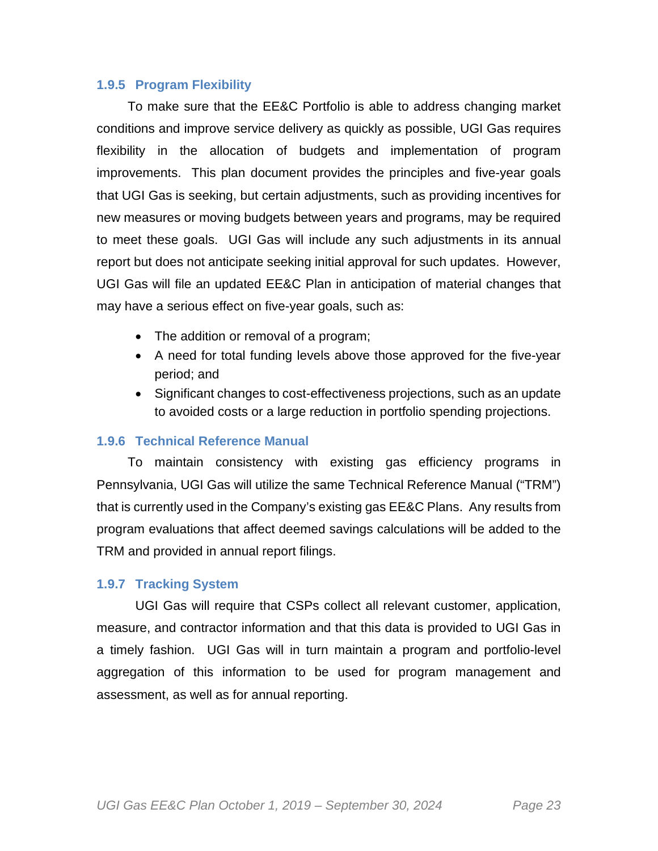#### **1.9.5 Program Flexibility**

To make sure that the EE&C Portfolio is able to address changing market conditions and improve service delivery as quickly as possible, UGI Gas requires flexibility in the allocation of budgets and implementation of program improvements. This plan document provides the principles and five-year goals that UGI Gas is seeking, but certain adjustments, such as providing incentives for new measures or moving budgets between years and programs, may be required to meet these goals. UGI Gas will include any such adjustments in its annual report but does not anticipate seeking initial approval for such updates. However, UGI Gas will file an updated EE&C Plan in anticipation of material changes that may have a serious effect on five-year goals, such as:

- The addition or removal of a program;
- A need for total funding levels above those approved for the five-year period; and
- Significant changes to cost-effectiveness projections, such as an update to avoided costs or a large reduction in portfolio spending projections.

#### **1.9.6 Technical Reference Manual**

To maintain consistency with existing gas efficiency programs in Pennsylvania, UGI Gas will utilize the same Technical Reference Manual ("TRM") that is currently used in the Company's existing gas EE&C Plans. Any results from program evaluations that affect deemed savings calculations will be added to the TRM and provided in annual report filings.

#### **1.9.7 Tracking System**

UGI Gas will require that CSPs collect all relevant customer, application, measure, and contractor information and that this data is provided to UGI Gas in a timely fashion. UGI Gas will in turn maintain a program and portfolio-level aggregation of this information to be used for program management and assessment, as well as for annual reporting.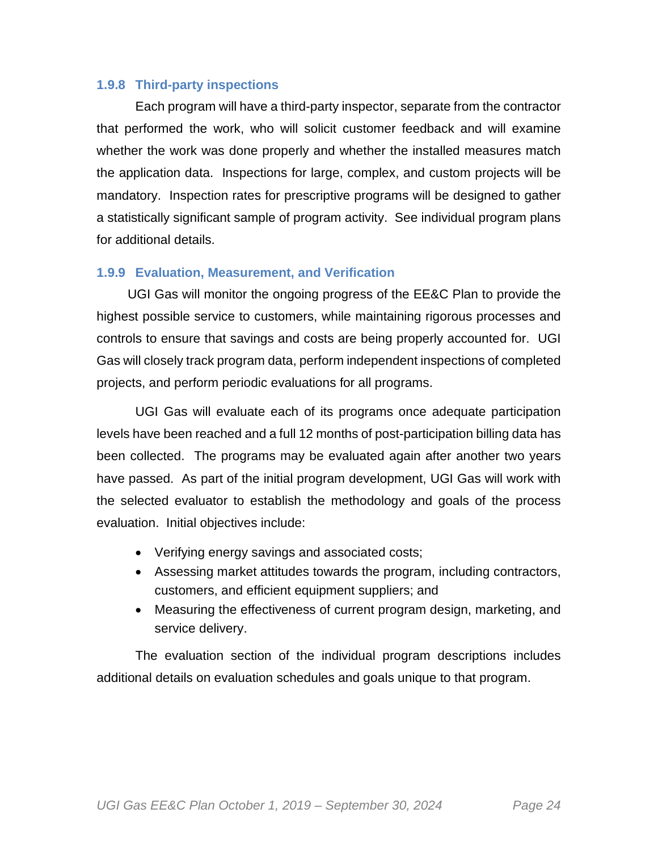#### **1.9.8 Third-party inspections**

Each program will have a third-party inspector, separate from the contractor that performed the work, who will solicit customer feedback and will examine whether the work was done properly and whether the installed measures match the application data. Inspections for large, complex, and custom projects will be mandatory. Inspection rates for prescriptive programs will be designed to gather a statistically significant sample of program activity. See individual program plans for additional details.

#### **1.9.9 Evaluation, Measurement, and Verification**

UGI Gas will monitor the ongoing progress of the EE&C Plan to provide the highest possible service to customers, while maintaining rigorous processes and controls to ensure that savings and costs are being properly accounted for. UGI Gas will closely track program data, perform independent inspections of completed projects, and perform periodic evaluations for all programs.

UGI Gas will evaluate each of its programs once adequate participation levels have been reached and a full 12 months of post-participation billing data has been collected. The programs may be evaluated again after another two years have passed. As part of the initial program development, UGI Gas will work with the selected evaluator to establish the methodology and goals of the process evaluation. Initial objectives include:

- Verifying energy savings and associated costs;
- Assessing market attitudes towards the program, including contractors, customers, and efficient equipment suppliers; and
- Measuring the effectiveness of current program design, marketing, and service delivery.

The evaluation section of the individual program descriptions includes additional details on evaluation schedules and goals unique to that program.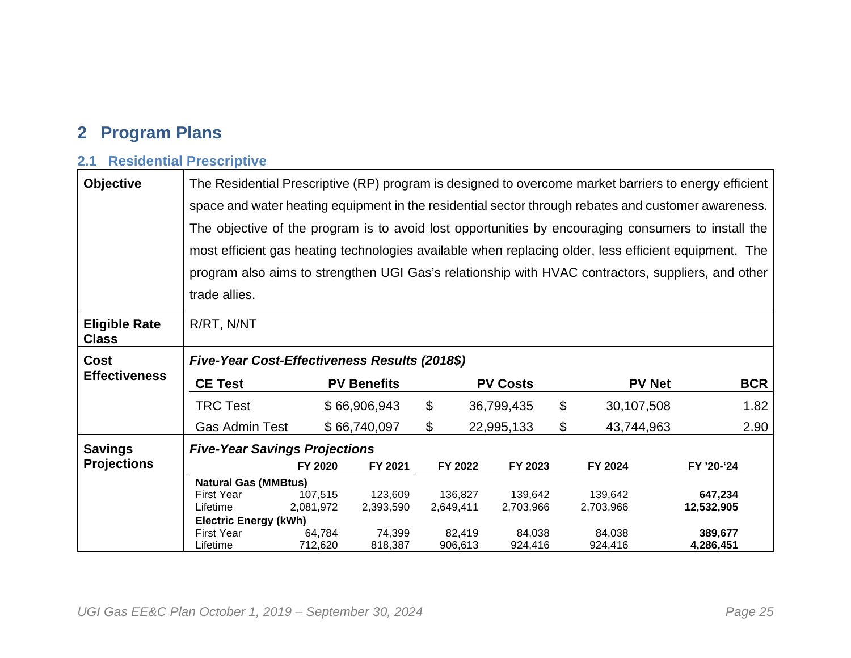# **2 Program Plans**

# **2.1 Residential Prescriptive**

| <b>Objective</b>                     | The Residential Prescriptive (RP) program is designed to overcome market barriers to energy efficient |           |                    |                |           |                 |    |               |            |  |
|--------------------------------------|-------------------------------------------------------------------------------------------------------|-----------|--------------------|----------------|-----------|-----------------|----|---------------|------------|--|
|                                      | space and water heating equipment in the residential sector through rebates and customer awareness.   |           |                    |                |           |                 |    |               |            |  |
|                                      | The objective of the program is to avoid lost opportunities by encouraging consumers to install the   |           |                    |                |           |                 |    |               |            |  |
|                                      | most efficient gas heating technologies available when replacing older, less efficient equipment. The |           |                    |                |           |                 |    |               |            |  |
|                                      | program also aims to strengthen UGI Gas's relationship with HVAC contractors, suppliers, and other    |           |                    |                |           |                 |    |               |            |  |
|                                      | trade allies.                                                                                         |           |                    |                |           |                 |    |               |            |  |
| <b>Eligible Rate</b><br><b>Class</b> | R/RT, N/NT                                                                                            |           |                    |                |           |                 |    |               |            |  |
| Cost                                 | Five-Year Cost-Effectiveness Results (2018\$)                                                         |           |                    |                |           |                 |    |               |            |  |
| <b>Effectiveness</b>                 | <b>CE Test</b>                                                                                        |           | <b>PV Benefits</b> |                |           | <b>PV Costs</b> |    | <b>PV Net</b> | <b>BCR</b> |  |
|                                      | <b>TRC Test</b>                                                                                       |           | \$66,906,943       | \$             |           | 36,799,435      | \$ | 30,107,508    | 1.82       |  |
|                                      | <b>Gas Admin Test</b>                                                                                 |           | \$66,740,097       | $\mathfrak{F}$ |           | 22,995,133      | \$ | 43,744,963    | 2.90       |  |
| <b>Savings</b>                       | <b>Five-Year Savings Projections</b>                                                                  |           |                    |                |           |                 |    |               |            |  |
| <b>Projections</b>                   |                                                                                                       | FY 2020   | FY 2021            |                | FY 2022   | FY 2023         |    | FY 2024       | FY '20-'24 |  |
|                                      | <b>Natural Gas (MMBtus)</b>                                                                           |           |                    |                |           |                 |    |               |            |  |
|                                      | <b>First Year</b>                                                                                     | 107,515   | 123,609            |                | 136,827   | 139,642         |    | 139,642       | 647,234    |  |
|                                      | Lifetime                                                                                              | 2,081,972 | 2,393,590          |                | 2,649,411 | 2,703,966       |    | 2,703,966     | 12,532,905 |  |
|                                      | <b>Electric Energy (kWh)</b>                                                                          |           |                    |                |           |                 |    |               |            |  |
|                                      | First Year                                                                                            | 64.784    | 74,399             |                | 82.419    | 84,038          |    | 84,038        | 389,677    |  |
|                                      | Lifetime                                                                                              | 712,620   | 818,387            |                | 906,613   | 924,416         |    | 924,416       | 4,286,451  |  |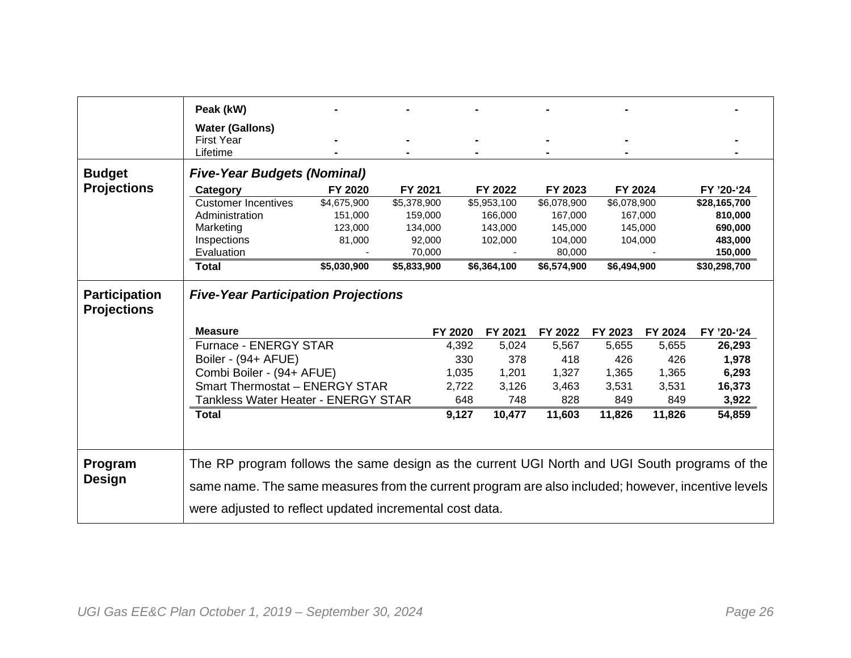|                                            | Peak (kW)                                                                                          |             |             |         |             |             |             |         |              |  |
|--------------------------------------------|----------------------------------------------------------------------------------------------------|-------------|-------------|---------|-------------|-------------|-------------|---------|--------------|--|
|                                            |                                                                                                    |             |             |         |             |             |             |         |              |  |
|                                            | <b>Water (Gallons)</b>                                                                             |             |             |         |             |             |             |         |              |  |
|                                            | <b>First Year</b>                                                                                  |             |             |         |             |             |             |         |              |  |
|                                            | Lifetime                                                                                           |             |             |         |             |             |             |         |              |  |
| <b>Budget</b>                              | <b>Five-Year Budgets (Nominal)</b>                                                                 |             |             |         |             |             |             |         |              |  |
| <b>Projections</b>                         | Category                                                                                           | FY 2020     | FY 2021     |         | FY 2022     | FY 2023     | FY 2024     |         | FY '20-'24   |  |
|                                            | <b>Customer Incentives</b>                                                                         | \$4,675,900 | \$5,378,900 |         | \$5,953,100 | \$6,078,900 | \$6,078,900 |         | \$28,165,700 |  |
|                                            | Administration                                                                                     | 151,000     | 159,000     |         | 166,000     | 167,000     |             | 167,000 | 810,000      |  |
|                                            | Marketing                                                                                          | 123,000     | 134,000     |         | 143,000     | 145,000     |             | 145,000 | 690,000      |  |
|                                            | Inspections                                                                                        | 81,000      | 92,000      |         | 102,000     | 104,000     |             | 104,000 | 483,000      |  |
|                                            | Evaluation                                                                                         |             | 70,000      |         |             | 80,000      |             |         | 150,000      |  |
|                                            | <b>Total</b>                                                                                       | \$5,030,900 | \$5,833,900 |         | \$6,364,100 | \$6,574,900 | \$6,494,900 |         | \$30,298,700 |  |
| <b>Participation</b><br><b>Projections</b> | <b>Five-Year Participation Projections</b>                                                         |             |             |         |             |             |             |         |              |  |
|                                            | <b>Measure</b>                                                                                     |             |             | FY 2020 | FY 2021     | FY 2022     | FY 2023     | FY 2024 | FY '20-'24   |  |
|                                            | Furnace - ENERGY STAR                                                                              |             |             | 4,392   | 5,024       | 5,567       | 5,655       | 5,655   | 26,293       |  |
|                                            | Boiler - (94+ AFUE)                                                                                |             |             | 330     | 378         | 418         | 426         | 426     | 1,978        |  |
|                                            | Combi Boiler - (94+ AFUE)                                                                          |             |             | 1,035   | 1,201       | 1,327       | 1,365       | 1,365   | 6,293        |  |
|                                            | Smart Thermostat - ENERGY STAR                                                                     |             |             | 2,722   | 3,126       | 3,463       | 3,531       | 3,531   | 16,373       |  |
|                                            | <b>Tankless Water Heater - ENERGY STAR</b>                                                         |             |             | 648     | 748         | 828         | 849         | 849     | 3,922        |  |
|                                            | <b>Total</b>                                                                                       |             |             | 9,127   | 10,477      | 11,603      | 11,826      | 11,826  | 54,859       |  |
|                                            |                                                                                                    |             |             |         |             |             |             |         |              |  |
| Program                                    | The RP program follows the same design as the current UGI North and UGI South programs of the      |             |             |         |             |             |             |         |              |  |
| Design                                     | same name. The same measures from the current program are also included; however, incentive levels |             |             |         |             |             |             |         |              |  |
|                                            |                                                                                                    |             |             |         |             |             |             |         |              |  |
|                                            | were adjusted to reflect updated incremental cost data.                                            |             |             |         |             |             |             |         |              |  |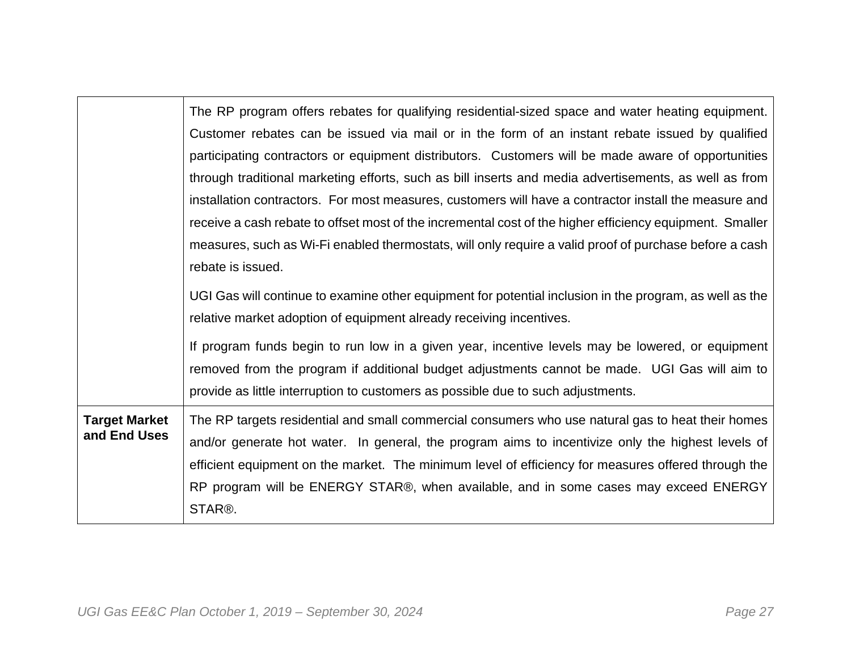|                      | The RP program offers rebates for qualifying residential-sized space and water heating equipment.        |
|----------------------|----------------------------------------------------------------------------------------------------------|
|                      | Customer rebates can be issued via mail or in the form of an instant rebate issued by qualified          |
|                      | participating contractors or equipment distributors. Customers will be made aware of opportunities       |
|                      | through traditional marketing efforts, such as bill inserts and media advertisements, as well as from    |
|                      | installation contractors. For most measures, customers will have a contractor install the measure and    |
|                      | receive a cash rebate to offset most of the incremental cost of the higher efficiency equipment. Smaller |
|                      | measures, such as Wi-Fi enabled thermostats, will only require a valid proof of purchase before a cash   |
|                      | rebate is issued.                                                                                        |
|                      | UGI Gas will continue to examine other equipment for potential inclusion in the program, as well as the  |
|                      | relative market adoption of equipment already receiving incentives.                                      |
|                      | If program funds begin to run low in a given year, incentive levels may be lowered, or equipment         |
|                      | removed from the program if additional budget adjustments cannot be made. UGI Gas will aim to            |
|                      | provide as little interruption to customers as possible due to such adjustments.                         |
| <b>Target Market</b> | The RP targets residential and small commercial consumers who use natural gas to heat their homes        |
| and End Uses         | and/or generate hot water. In general, the program aims to incentivize only the highest levels of        |
|                      | efficient equipment on the market. The minimum level of efficiency for measures offered through the      |
|                      | RP program will be ENERGY STAR®, when available, and in some cases may exceed ENERGY                     |
|                      | STAR®.                                                                                                   |
|                      |                                                                                                          |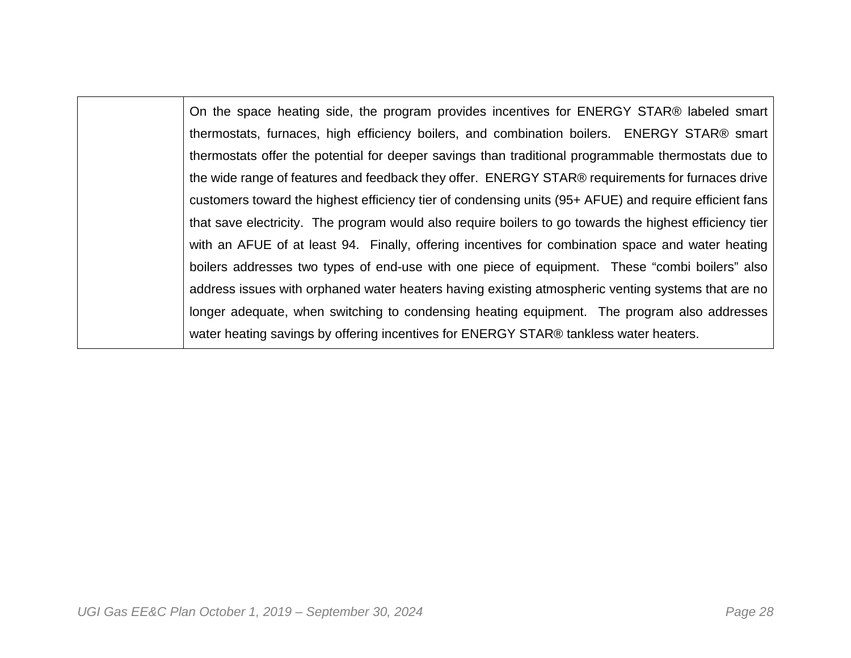On the space heating side, the program provides incentives for ENERGY STAR® labeled smart thermostats, furnaces, high efficiency boilers, and combination boilers. ENERGY STAR® smart thermostats offer the potential for deeper savings than traditional programmable thermostats due to the wide range of features and feedback they offer. ENERGY STAR® requirements for furnaces drive customers toward the highest efficiency tier of condensing units (95+ AFUE) and require efficient fans that save electricity. The program would also require boilers to go towards the highest efficiency tier with an AFUE of at least 94. Finally, offering incentives for combination space and water heating boilers addresses two types of end-use with one piece of equipment. These "combi boilers" also address issues with orphaned water heaters having existing atmospheric venting systems that are no longer adequate, when switching to condensing heating equipment. The program also addresses water heating savings by offering incentives for ENERGY STAR® tankless water heaters.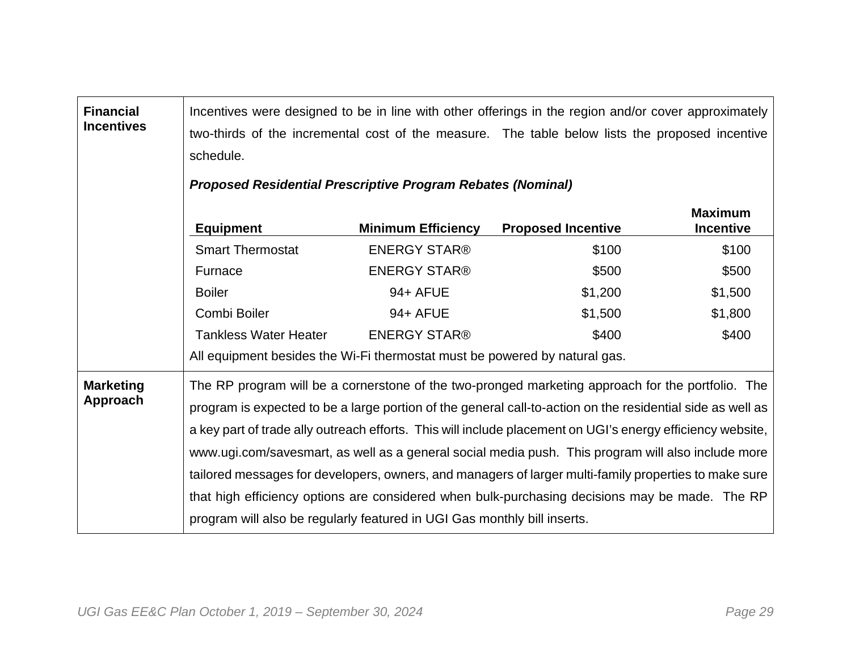| <b>Financial</b><br><b>Incentives</b> | Incentives were designed to be in line with other offerings in the region and/or cover approximately<br>two-thirds of the incremental cost of the measure. The table below lists the proposed incentive<br>schedule. |                           |                                                                                                            |                                    |  |  |  |  |  |  |
|---------------------------------------|----------------------------------------------------------------------------------------------------------------------------------------------------------------------------------------------------------------------|---------------------------|------------------------------------------------------------------------------------------------------------|------------------------------------|--|--|--|--|--|--|
|                                       | <b>Proposed Residential Prescriptive Program Rebates (Nominal)</b>                                                                                                                                                   |                           |                                                                                                            |                                    |  |  |  |  |  |  |
|                                       | <b>Equipment</b>                                                                                                                                                                                                     | <b>Minimum Efficiency</b> | <b>Proposed Incentive</b>                                                                                  | <b>Maximum</b><br><b>Incentive</b> |  |  |  |  |  |  |
|                                       | <b>Smart Thermostat</b>                                                                                                                                                                                              | <b>ENERGY STAR®</b>       | \$100                                                                                                      | \$100                              |  |  |  |  |  |  |
|                                       | Furnace                                                                                                                                                                                                              | <b>ENERGY STAR®</b>       | \$500                                                                                                      | \$500                              |  |  |  |  |  |  |
|                                       | <b>Boiler</b>                                                                                                                                                                                                        | 94+ AFUE                  | \$1,200                                                                                                    | \$1,500                            |  |  |  |  |  |  |
|                                       | Combi Boiler                                                                                                                                                                                                         | 94+ AFUE                  | \$1,500                                                                                                    | \$1,800                            |  |  |  |  |  |  |
|                                       | <b>Tankless Water Heater</b>                                                                                                                                                                                         | <b>ENERGY STAR®</b>       | \$400                                                                                                      | \$400                              |  |  |  |  |  |  |
|                                       | All equipment besides the Wi-Fi thermostat must be powered by natural gas.                                                                                                                                           |                           |                                                                                                            |                                    |  |  |  |  |  |  |
| <b>Marketing</b>                      |                                                                                                                                                                                                                      |                           | The RP program will be a cornerstone of the two-pronged marketing approach for the portfolio. The          |                                    |  |  |  |  |  |  |
| Approach                              |                                                                                                                                                                                                                      |                           | program is expected to be a large portion of the general call-to-action on the residential side as well as |                                    |  |  |  |  |  |  |
|                                       |                                                                                                                                                                                                                      |                           | a key part of trade ally outreach efforts. This will include placement on UGI's energy efficiency website, |                                    |  |  |  |  |  |  |
|                                       |                                                                                                                                                                                                                      |                           | www.ugi.com/savesmart, as well as a general social media push. This program will also include more         |                                    |  |  |  |  |  |  |
|                                       |                                                                                                                                                                                                                      |                           | tailored messages for developers, owners, and managers of larger multi-family properties to make sure      |                                    |  |  |  |  |  |  |
|                                       |                                                                                                                                                                                                                      |                           | that high efficiency options are considered when bulk-purchasing decisions may be made. The RP             |                                    |  |  |  |  |  |  |
|                                       | program will also be regularly featured in UGI Gas monthly bill inserts.                                                                                                                                             |                           |                                                                                                            |                                    |  |  |  |  |  |  |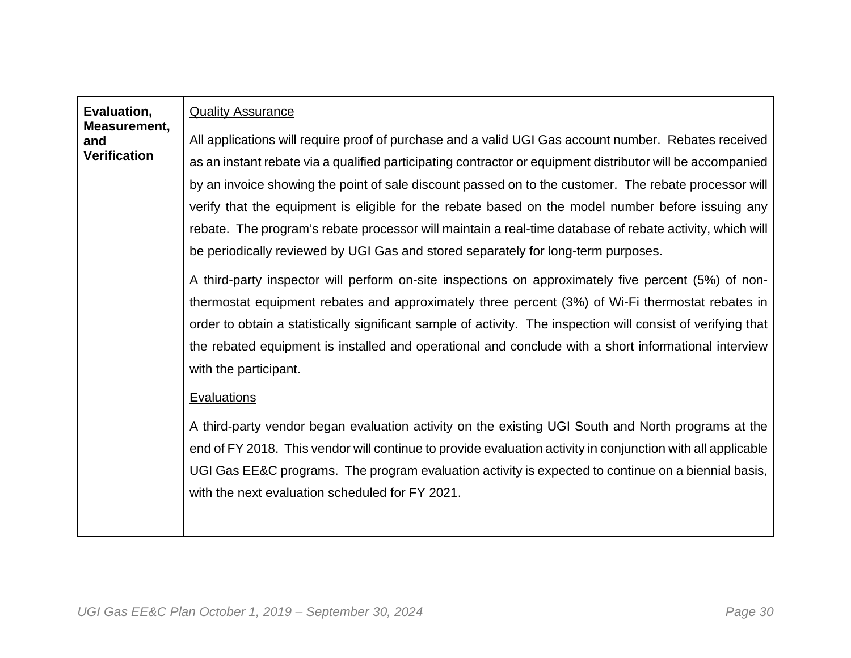| Evaluation,<br>Measurement, | <b>Quality Assurance</b>                                                                                      |
|-----------------------------|---------------------------------------------------------------------------------------------------------------|
| and<br><b>Verification</b>  | All applications will require proof of purchase and a valid UGI Gas account number. Rebates received          |
|                             | as an instant rebate via a qualified participating contractor or equipment distributor will be accompanied    |
|                             | by an invoice showing the point of sale discount passed on to the customer. The rebate processor will         |
|                             | verify that the equipment is eligible for the rebate based on the model number before issuing any             |
|                             | rebate. The program's rebate processor will maintain a real-time database of rebate activity, which will      |
|                             | be periodically reviewed by UGI Gas and stored separately for long-term purposes.                             |
|                             | A third-party inspector will perform on-site inspections on approximately five percent (5%) of non-           |
|                             | thermostat equipment rebates and approximately three percent (3%) of Wi-Fi thermostat rebates in              |
|                             | order to obtain a statistically significant sample of activity. The inspection will consist of verifying that |
|                             | the rebated equipment is installed and operational and conclude with a short informational interview          |
|                             | with the participant.                                                                                         |
|                             | <b>Evaluations</b>                                                                                            |
|                             | A third-party vendor began evaluation activity on the existing UGI South and North programs at the            |
|                             | end of FY 2018. This vendor will continue to provide evaluation activity in conjunction with all applicable   |
|                             | UGI Gas EE&C programs. The program evaluation activity is expected to continue on a biennial basis,           |
|                             | with the next evaluation scheduled for FY 2021.                                                               |
|                             |                                                                                                               |
|                             |                                                                                                               |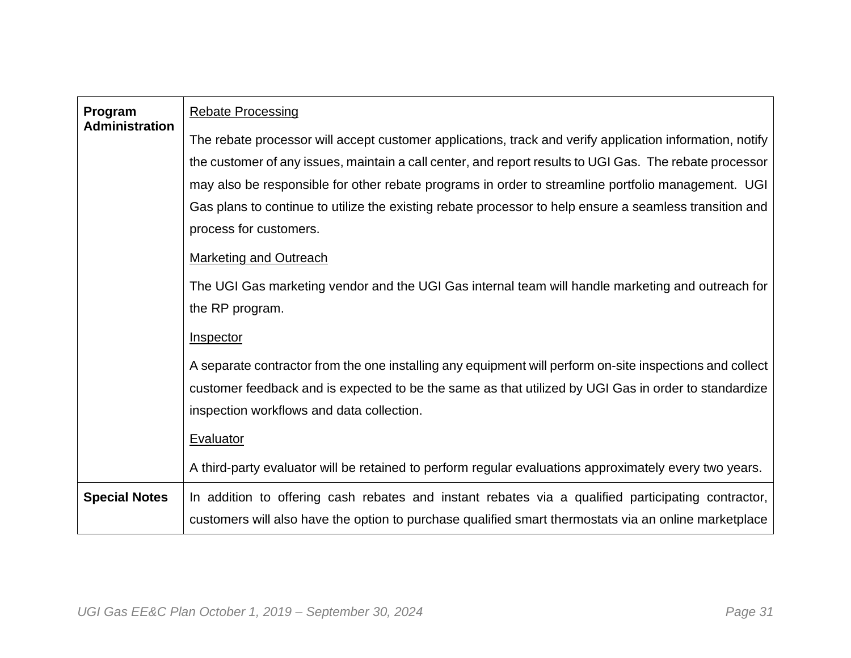| Program<br><b>Administration</b> | <b>Rebate Processing</b>                                                                                 |
|----------------------------------|----------------------------------------------------------------------------------------------------------|
|                                  | The rebate processor will accept customer applications, track and verify application information, notify |
|                                  | the customer of any issues, maintain a call center, and report results to UGI Gas. The rebate processor  |
|                                  | may also be responsible for other rebate programs in order to streamline portfolio management. UGI       |
|                                  | Gas plans to continue to utilize the existing rebate processor to help ensure a seamless transition and  |
|                                  | process for customers.                                                                                   |
|                                  | <b>Marketing and Outreach</b>                                                                            |
|                                  | The UGI Gas marketing vendor and the UGI Gas internal team will handle marketing and outreach for        |
|                                  | the RP program.                                                                                          |
|                                  | Inspector                                                                                                |
|                                  | A separate contractor from the one installing any equipment will perform on-site inspections and collect |
|                                  | customer feedback and is expected to be the same as that utilized by UGI Gas in order to standardize     |
|                                  | inspection workflows and data collection.                                                                |
|                                  | Evaluator                                                                                                |
|                                  | A third-party evaluator will be retained to perform regular evaluations approximately every two years.   |
| <b>Special Notes</b>             | In addition to offering cash rebates and instant rebates via a qualified participating contractor,       |
|                                  | customers will also have the option to purchase qualified smart thermostats via an online marketplace    |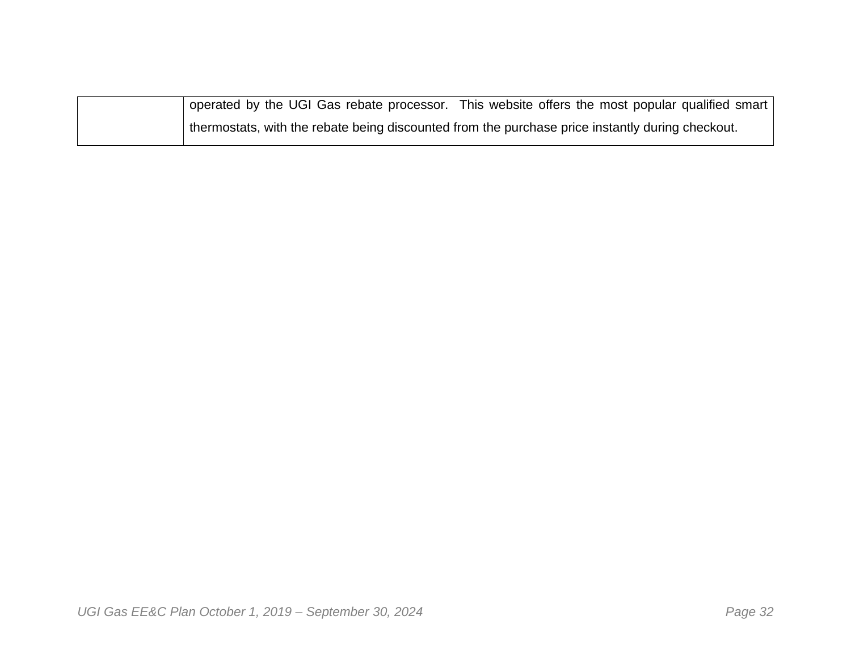| operated by the UGI Gas rebate processor. This website offers the most popular qualified smart   |
|--------------------------------------------------------------------------------------------------|
| thermostats, with the rebate being discounted from the purchase price instantly during checkout. |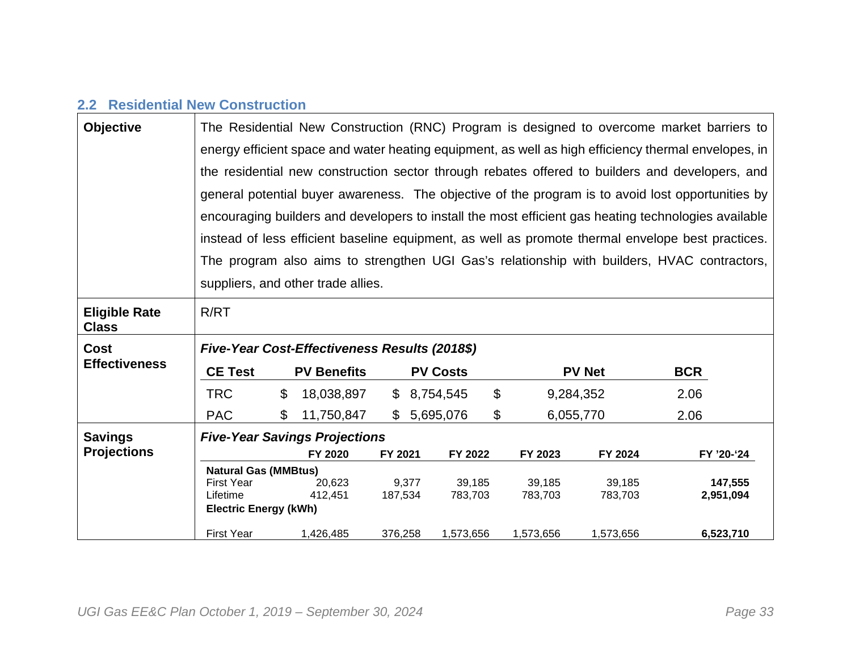## **2.2 Residential New Construction**

| <b>Objective</b>                     | The Residential New Construction (RNC) Program is designed to overcome market barriers to |                                                                                                      |                                               |              |       |                 |                |           |                                                                                                      |            |  |
|--------------------------------------|-------------------------------------------------------------------------------------------|------------------------------------------------------------------------------------------------------|-----------------------------------------------|--------------|-------|-----------------|----------------|-----------|------------------------------------------------------------------------------------------------------|------------|--|
|                                      |                                                                                           | energy efficient space and water heating equipment, as well as high efficiency thermal envelopes, in |                                               |              |       |                 |                |           |                                                                                                      |            |  |
|                                      |                                                                                           | the residential new construction sector through rebates offered to builders and developers, and      |                                               |              |       |                 |                |           |                                                                                                      |            |  |
|                                      |                                                                                           |                                                                                                      |                                               |              |       |                 |                |           | general potential buyer awareness. The objective of the program is to avoid lost opportunities by    |            |  |
|                                      |                                                                                           |                                                                                                      |                                               |              |       |                 |                |           | encouraging builders and developers to install the most efficient gas heating technologies available |            |  |
|                                      |                                                                                           |                                                                                                      |                                               |              |       |                 |                |           | instead of less efficient baseline equipment, as well as promote thermal envelope best practices.    |            |  |
|                                      |                                                                                           |                                                                                                      |                                               |              |       |                 |                |           | The program also aims to strengthen UGI Gas's relationship with builders, HVAC contractors,          |            |  |
|                                      |                                                                                           |                                                                                                      | suppliers, and other trade allies.            |              |       |                 |                |           |                                                                                                      |            |  |
| <b>Eligible Rate</b><br><b>Class</b> | R/RT                                                                                      |                                                                                                      |                                               |              |       |                 |                |           |                                                                                                      |            |  |
| <b>Cost</b>                          |                                                                                           |                                                                                                      | Five-Year Cost-Effectiveness Results (2018\$) |              |       |                 |                |           |                                                                                                      |            |  |
| <b>Effectiveness</b>                 | <b>CE Test</b>                                                                            |                                                                                                      | <b>PV Benefits</b>                            |              |       | <b>PV Costs</b> |                |           | <b>PV Net</b>                                                                                        | <b>BCR</b> |  |
|                                      | <b>TRC</b>                                                                                | \$                                                                                                   | 18,038,897                                    | $\mathbb{S}$ |       | 8,754,545       | $\mathfrak{S}$ | 9,284,352 |                                                                                                      | 2.06       |  |
|                                      | <b>PAC</b>                                                                                | \$                                                                                                   | 11,750,847                                    |              |       | \$5,695,076     | \$             | 6,055,770 |                                                                                                      | 2.06       |  |
| <b>Savings</b>                       |                                                                                           |                                                                                                      | <b>Five-Year Savings Projections</b>          |              |       |                 |                |           |                                                                                                      |            |  |
| <b>Projections</b>                   |                                                                                           |                                                                                                      | FY 2020                                       | FY 2021      |       | FY 2022         |                | FY 2023   | FY 2024                                                                                              | FY '20-'24 |  |
|                                      | <b>Natural Gas (MMBtus)</b>                                                               |                                                                                                      |                                               |              |       |                 |                |           |                                                                                                      |            |  |
|                                      | <b>First Year</b>                                                                         |                                                                                                      | 20,623                                        |              | 9,377 | 39,185          |                | 39,185    | 39,185                                                                                               | 147,555    |  |
|                                      | Lifetime                                                                                  |                                                                                                      | 412,451                                       | 187,534      |       | 783,703         |                | 783,703   | 783,703                                                                                              | 2,951,094  |  |
|                                      | <b>Electric Energy (kWh)</b>                                                              |                                                                                                      |                                               |              |       |                 |                |           |                                                                                                      |            |  |
|                                      | <b>First Year</b>                                                                         |                                                                                                      | 1,426,485                                     | 376,258      |       | 1,573,656       |                | 1,573,656 | 1,573,656                                                                                            | 6,523,710  |  |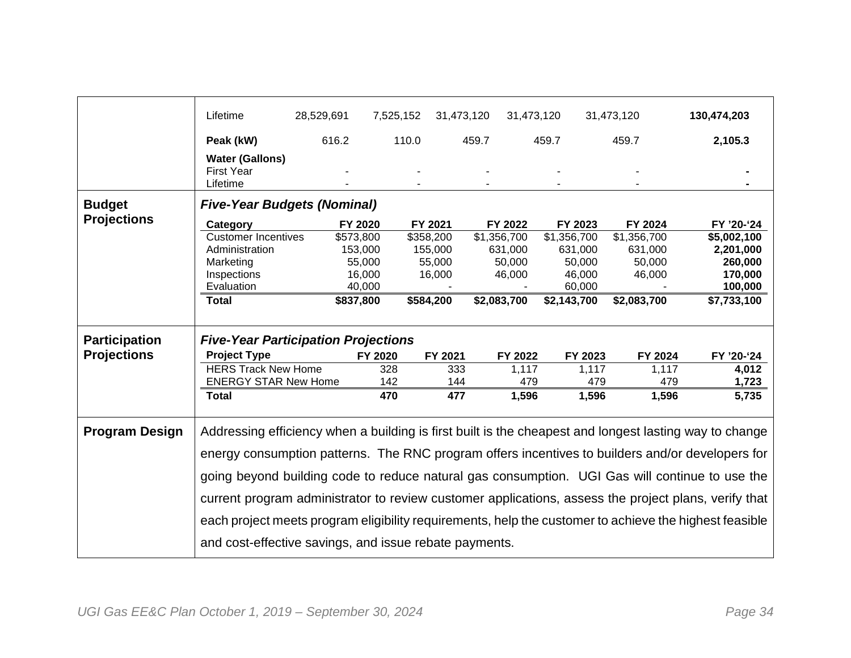|                       | Lifetime                                                                                                                                                                                                                                                                                                                                                                                                             | 28,529,691 | 7,525,152 |           | 31,473,120  | 31,473,120 |             | 31,473,120  | 130,474,203 |
|-----------------------|----------------------------------------------------------------------------------------------------------------------------------------------------------------------------------------------------------------------------------------------------------------------------------------------------------------------------------------------------------------------------------------------------------------------|------------|-----------|-----------|-------------|------------|-------------|-------------|-------------|
|                       | Peak (kW)                                                                                                                                                                                                                                                                                                                                                                                                            | 616.2      |           | 110.0     | 459.7       |            | 459.7       | 459.7       | 2,105.3     |
|                       | <b>Water (Gallons)</b><br><b>First Year</b>                                                                                                                                                                                                                                                                                                                                                                          |            |           |           |             |            |             |             |             |
|                       | Lifetime                                                                                                                                                                                                                                                                                                                                                                                                             |            |           |           |             |            |             |             |             |
| <b>Budget</b>         | <b>Five-Year Budgets (Nominal)</b>                                                                                                                                                                                                                                                                                                                                                                                   |            |           |           |             |            |             |             |             |
| <b>Projections</b>    | Category                                                                                                                                                                                                                                                                                                                                                                                                             |            | FY 2020   | FY 2021   |             | FY 2022    | FY 2023     | FY 2024     | FY '20-'24  |
|                       | <b>Customer Incentives</b>                                                                                                                                                                                                                                                                                                                                                                                           |            | \$573,800 | \$358,200 | \$1,356,700 |            | \$1,356,700 | \$1,356,700 | \$5,002,100 |
|                       | Administration                                                                                                                                                                                                                                                                                                                                                                                                       |            | 153,000   | 155,000   |             | 631,000    | 631,000     | 631,000     | 2,201,000   |
|                       | Marketing                                                                                                                                                                                                                                                                                                                                                                                                            |            | 55,000    | 55,000    |             | 50,000     | 50,000      | 50,000      | 260,000     |
|                       | Inspections                                                                                                                                                                                                                                                                                                                                                                                                          |            | 16,000    | 16,000    |             | 46,000     | 46,000      | 46,000      | 170,000     |
|                       | Evaluation                                                                                                                                                                                                                                                                                                                                                                                                           |            | 40,000    |           |             |            | 60,000      |             | 100,000     |
|                       | <b>Total</b>                                                                                                                                                                                                                                                                                                                                                                                                         |            | \$837,800 | \$584,200 | \$2,083,700 |            | \$2,143,700 | \$2,083,700 | \$7,733,100 |
|                       |                                                                                                                                                                                                                                                                                                                                                                                                                      |            |           |           |             |            |             |             |             |
|                       |                                                                                                                                                                                                                                                                                                                                                                                                                      |            |           |           |             |            |             |             |             |
| <b>Participation</b>  | <b>Five-Year Participation Projections</b>                                                                                                                                                                                                                                                                                                                                                                           |            |           |           |             |            |             |             |             |
| <b>Projections</b>    | <b>Project Type</b>                                                                                                                                                                                                                                                                                                                                                                                                  |            | FY 2020   | FY 2021   |             | FY 2022    | FY 2023     | FY 2024     | FY '20-'24  |
|                       | <b>HERS Track New Home</b>                                                                                                                                                                                                                                                                                                                                                                                           |            | 328       | 333       |             | 1,117      | 1,117       | 1,117       | 4,012       |
|                       | <b>ENERGY STAR New Home</b>                                                                                                                                                                                                                                                                                                                                                                                          |            | 142       | 144       |             | 479        | 479         | 479         | 1,723       |
|                       | <b>Total</b>                                                                                                                                                                                                                                                                                                                                                                                                         |            | 470       | 477       |             | 1,596      | 1,596       | 1,596       | 5,735       |
| <b>Program Design</b> | Addressing efficiency when a building is first built is the cheapest and longest lasting way to change<br>energy consumption patterns. The RNC program offers incentives to builders and/or developers for<br>going beyond building code to reduce natural gas consumption. UGI Gas will continue to use the<br>current program administrator to review customer applications, assess the project plans, verify that |            |           |           |             |            |             |             |             |
|                       | each project meets program eligibility requirements, help the customer to achieve the highest feasible<br>and cost-effective savings, and issue rebate payments.                                                                                                                                                                                                                                                     |            |           |           |             |            |             |             |             |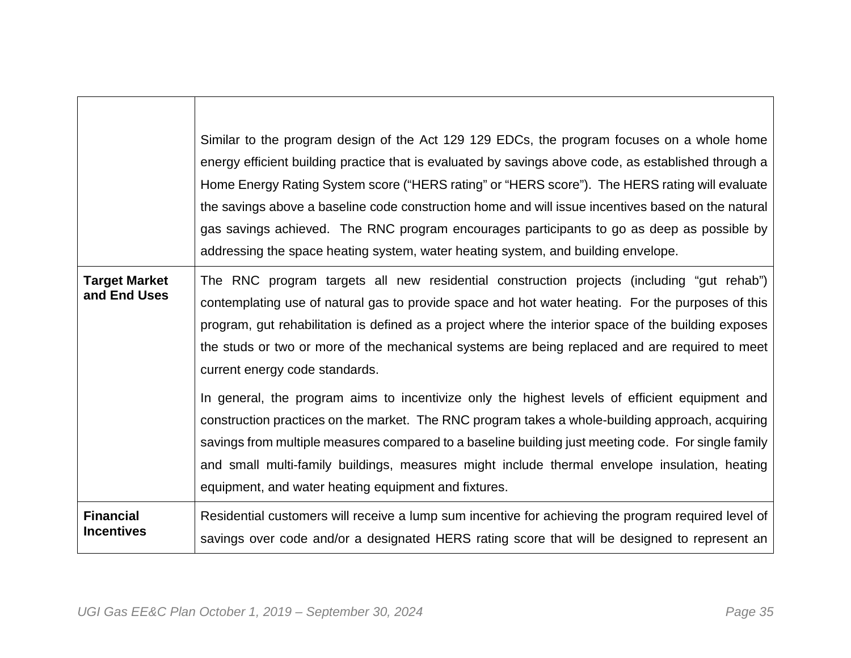|                                       | Similar to the program design of the Act 129 129 EDCs, the program focuses on a whole home<br>energy efficient building practice that is evaluated by savings above code, as established through a<br>Home Energy Rating System score ("HERS rating" or "HERS score"). The HERS rating will evaluate<br>the savings above a baseline code construction home and will issue incentives based on the natural<br>gas savings achieved. The RNC program encourages participants to go as deep as possible by<br>addressing the space heating system, water heating system, and building envelope.                                                                                                                                                                                                                                                                                                                    |
|---------------------------------------|------------------------------------------------------------------------------------------------------------------------------------------------------------------------------------------------------------------------------------------------------------------------------------------------------------------------------------------------------------------------------------------------------------------------------------------------------------------------------------------------------------------------------------------------------------------------------------------------------------------------------------------------------------------------------------------------------------------------------------------------------------------------------------------------------------------------------------------------------------------------------------------------------------------|
| <b>Target Market</b><br>and End Uses  | The RNC program targets all new residential construction projects (including "gut rehab")<br>contemplating use of natural gas to provide space and hot water heating. For the purposes of this<br>program, gut rehabilitation is defined as a project where the interior space of the building exposes<br>the studs or two or more of the mechanical systems are being replaced and are required to meet<br>current energy code standards.<br>In general, the program aims to incentivize only the highest levels of efficient equipment and<br>construction practices on the market. The RNC program takes a whole-building approach, acquiring<br>savings from multiple measures compared to a baseline building just meeting code. For single family<br>and small multi-family buildings, measures might include thermal envelope insulation, heating<br>equipment, and water heating equipment and fixtures. |
| <b>Financial</b><br><b>Incentives</b> | Residential customers will receive a lump sum incentive for achieving the program required level of<br>savings over code and/or a designated HERS rating score that will be designed to represent an                                                                                                                                                                                                                                                                                                                                                                                                                                                                                                                                                                                                                                                                                                             |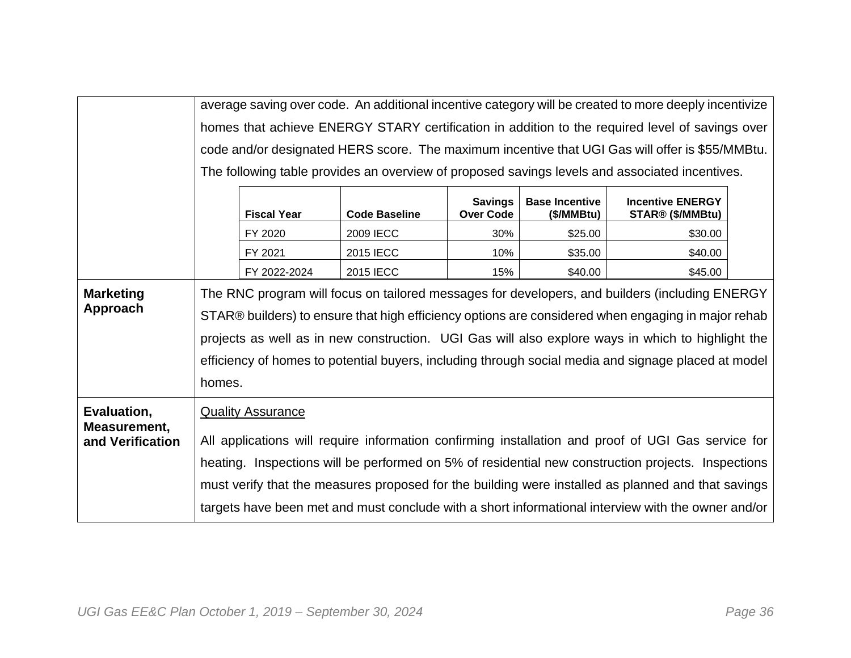|                                  |        | average saving over code. An additional incentive category will be created to more deeply incentivize |                      |                                    |                                     |                                                                                                     |  |  |
|----------------------------------|--------|-------------------------------------------------------------------------------------------------------|----------------------|------------------------------------|-------------------------------------|-----------------------------------------------------------------------------------------------------|--|--|
|                                  |        | homes that achieve ENERGY STARY certification in addition to the required level of savings over       |                      |                                    |                                     |                                                                                                     |  |  |
|                                  |        |                                                                                                       |                      |                                    |                                     | code and/or designated HERS score. The maximum incentive that UGI Gas will offer is \$55/MMBtu.     |  |  |
|                                  |        | The following table provides an overview of proposed savings levels and associated incentives.        |                      |                                    |                                     |                                                                                                     |  |  |
|                                  |        | <b>Fiscal Year</b>                                                                                    | <b>Code Baseline</b> | <b>Savings</b><br><b>Over Code</b> | <b>Base Incentive</b><br>(\$/MMBtu) | <b>Incentive ENERGY</b><br>STAR® (\$/MMBtu)                                                         |  |  |
|                                  |        | FY 2020                                                                                               | 2009 IECC            | 30%                                | \$25.00                             | \$30.00                                                                                             |  |  |
|                                  |        | FY 2021                                                                                               | 2015 IECC            | 10%                                | \$35.00                             | \$40.00                                                                                             |  |  |
|                                  |        | FY 2022-2024                                                                                          | 2015 IECC            | 15%                                | \$40.00                             | \$45.00                                                                                             |  |  |
| <b>Marketing</b>                 |        |                                                                                                       |                      |                                    |                                     | The RNC program will focus on tailored messages for developers, and builders (including ENERGY      |  |  |
| Approach                         |        |                                                                                                       |                      |                                    |                                     | STAR® builders) to ensure that high efficiency options are considered when engaging in major rehab  |  |  |
|                                  |        |                                                                                                       |                      |                                    |                                     | projects as well as in new construction. UGI Gas will also explore ways in which to highlight the   |  |  |
|                                  |        |                                                                                                       |                      |                                    |                                     | efficiency of homes to potential buyers, including through social media and signage placed at model |  |  |
|                                  | homes. |                                                                                                       |                      |                                    |                                     |                                                                                                     |  |  |
|                                  |        |                                                                                                       |                      |                                    |                                     |                                                                                                     |  |  |
| Evaluation,                      |        | <b>Quality Assurance</b>                                                                              |                      |                                    |                                     |                                                                                                     |  |  |
| Measurement,<br>and Verification |        |                                                                                                       |                      |                                    |                                     | All applications will require information confirming installation and proof of UGI Gas service for  |  |  |
|                                  |        |                                                                                                       |                      |                                    |                                     | heating. Inspections will be performed on 5% of residential new construction projects. Inspections  |  |  |
|                                  |        |                                                                                                       |                      |                                    |                                     |                                                                                                     |  |  |
|                                  |        |                                                                                                       |                      |                                    |                                     | must verify that the measures proposed for the building were installed as planned and that savings  |  |  |
|                                  |        |                                                                                                       |                      |                                    |                                     | targets have been met and must conclude with a short informational interview with the owner and/or  |  |  |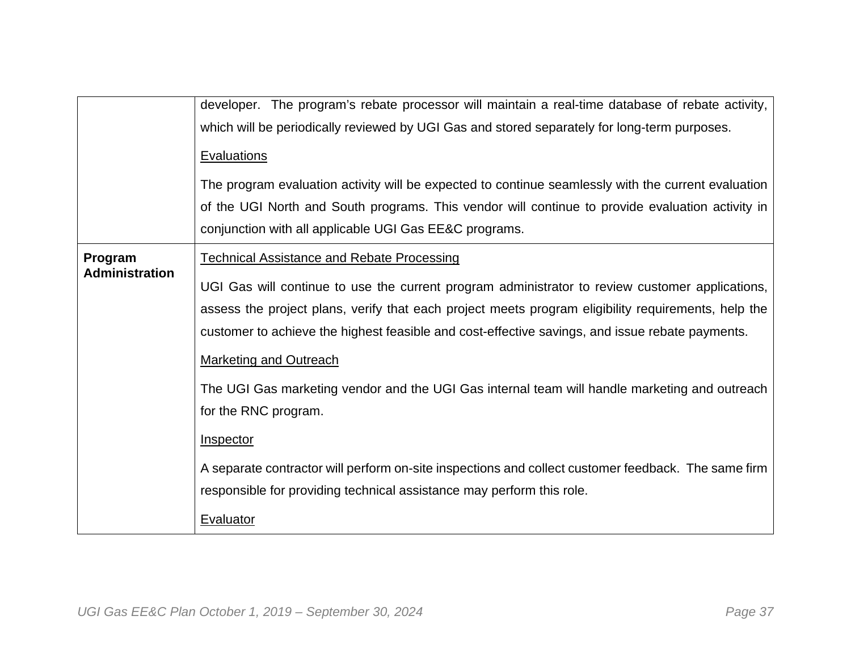|                                  | developer. The program's rebate processor will maintain a real-time database of rebate activity,    |
|----------------------------------|-----------------------------------------------------------------------------------------------------|
|                                  |                                                                                                     |
|                                  | which will be periodically reviewed by UGI Gas and stored separately for long-term purposes.        |
|                                  | <b>Evaluations</b>                                                                                  |
|                                  | The program evaluation activity will be expected to continue seamlessly with the current evaluation |
|                                  | of the UGI North and South programs. This vendor will continue to provide evaluation activity in    |
|                                  | conjunction with all applicable UGI Gas EE&C programs.                                              |
| Program<br><b>Administration</b> | <b>Technical Assistance and Rebate Processing</b>                                                   |
|                                  | UGI Gas will continue to use the current program administrator to review customer applications,     |
|                                  | assess the project plans, verify that each project meets program eligibility requirements, help the |
|                                  |                                                                                                     |
|                                  | customer to achieve the highest feasible and cost-effective savings, and issue rebate payments.     |
|                                  | <b>Marketing and Outreach</b>                                                                       |
|                                  | The UGI Gas marketing vendor and the UGI Gas internal team will handle marketing and outreach       |
|                                  |                                                                                                     |
|                                  | for the RNC program.                                                                                |
|                                  | <b>Inspector</b>                                                                                    |
|                                  | A separate contractor will perform on-site inspections and collect customer feedback. The same firm |
|                                  | responsible for providing technical assistance may perform this role.                               |
|                                  | <b>Evaluator</b>                                                                                    |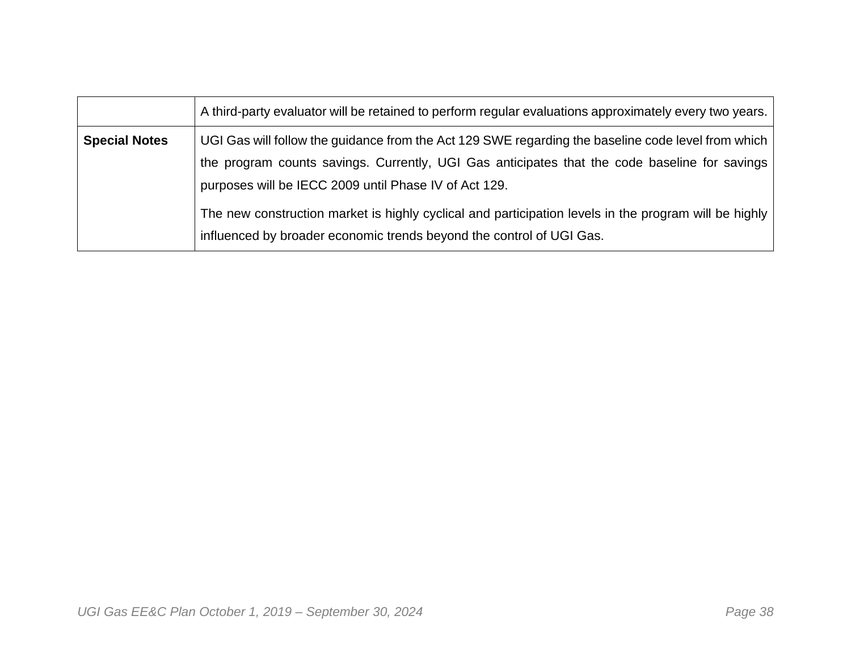|                      | A third-party evaluator will be retained to perform regular evaluations approximately every two years.                                                                                                                                                                                                                                                                |
|----------------------|-----------------------------------------------------------------------------------------------------------------------------------------------------------------------------------------------------------------------------------------------------------------------------------------------------------------------------------------------------------------------|
| <b>Special Notes</b> | UGI Gas will follow the guidance from the Act 129 SWE regarding the baseline code level from which<br>the program counts savings. Currently, UGI Gas anticipates that the code baseline for savings<br>purposes will be IECC 2009 until Phase IV of Act 129.<br>The new construction market is highly cyclical and participation levels in the program will be highly |
|                      | influenced by broader economic trends beyond the control of UGI Gas.                                                                                                                                                                                                                                                                                                  |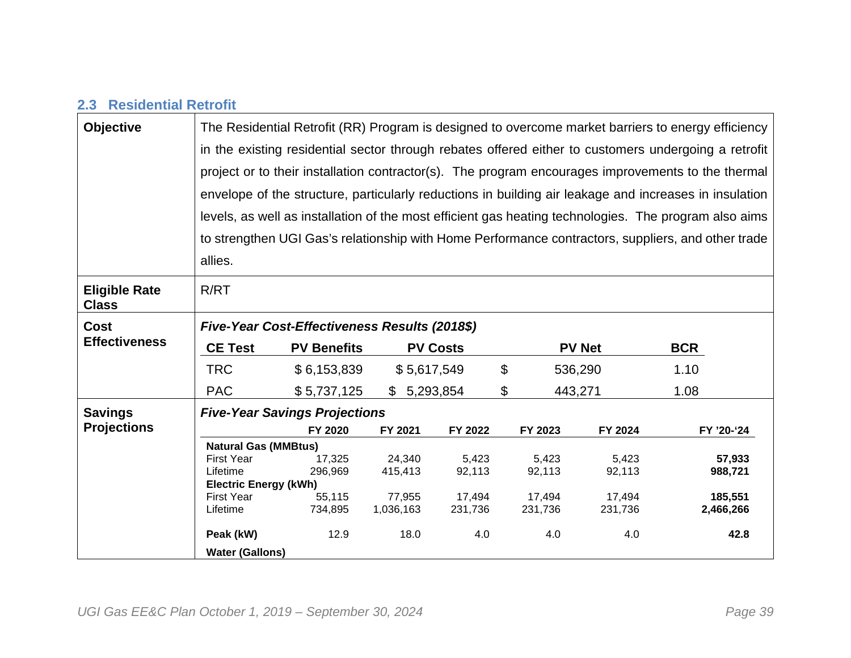### **2.3 Residential Retrofit**

| <b>Objective</b>                     | The Residential Retrofit (RR) Program is designed to overcome market barriers to energy efficiency   |                                               |             |                 |         |                |                                                                                                        |
|--------------------------------------|------------------------------------------------------------------------------------------------------|-----------------------------------------------|-------------|-----------------|---------|----------------|--------------------------------------------------------------------------------------------------------|
|                                      | in the existing residential sector through rebates offered either to customers undergoing a retrofit |                                               |             |                 |         |                |                                                                                                        |
|                                      | project or to their installation contractor(s). The program encourages improvements to the thermal   |                                               |             |                 |         |                |                                                                                                        |
|                                      |                                                                                                      |                                               |             |                 |         |                | envelope of the structure, particularly reductions in building air leakage and increases in insulation |
|                                      |                                                                                                      |                                               |             |                 |         |                | levels, as well as installation of the most efficient gas heating technologies. The program also aims  |
|                                      |                                                                                                      |                                               |             |                 |         |                | to strengthen UGI Gas's relationship with Home Performance contractors, suppliers, and other trade     |
|                                      | allies.                                                                                              |                                               |             |                 |         |                |                                                                                                        |
| <b>Eligible Rate</b><br><b>Class</b> | R/RT                                                                                                 |                                               |             |                 |         |                |                                                                                                        |
| <b>Cost</b>                          |                                                                                                      | Five-Year Cost-Effectiveness Results (2018\$) |             |                 |         |                |                                                                                                        |
| <b>Effectiveness</b>                 | <b>CE Test</b>                                                                                       | <b>PV Benefits</b>                            |             | <b>PV Costs</b> |         | <b>PV Net</b>  | <b>BCR</b>                                                                                             |
|                                      | <b>TRC</b>                                                                                           | \$6,153,839                                   | \$5,617,549 |                 | \$      | 536,290        | 1.10                                                                                                   |
|                                      | <b>PAC</b>                                                                                           | \$5,737,125                                   | \$5,293,854 |                 | \$      | 443,271        | 1.08                                                                                                   |
| <b>Savings</b>                       |                                                                                                      | <b>Five-Year Savings Projections</b>          |             |                 |         |                |                                                                                                        |
| <b>Projections</b>                   |                                                                                                      | FY 2020                                       | FY 2021     | FY 2022         | FY 2023 | FY 2024        | FY '20-'24                                                                                             |
|                                      | <b>Natural Gas (MMBtus)</b>                                                                          |                                               |             |                 |         |                |                                                                                                        |
|                                      | <b>First Year</b>                                                                                    | 17,325                                        | 24,340      | 5,423           |         | 5,423<br>5,423 | 57,933                                                                                                 |
|                                      | Lifetime                                                                                             | 296,969                                       | 415,413     | 92,113          | 92,113  | 92,113         | 988,721                                                                                                |
|                                      | <b>Electric Energy (kWh)</b>                                                                         |                                               |             |                 |         |                |                                                                                                        |
|                                      | <b>First Year</b>                                                                                    | 55,115                                        | 77,955      | 17,494          | 17,494  | 17,494         | 185,551                                                                                                |
|                                      | Lifetime                                                                                             | 734,895                                       | 1,036,163   | 231,736         | 231,736 | 231,736        | 2,466,266                                                                                              |
|                                      |                                                                                                      |                                               |             |                 |         |                |                                                                                                        |
|                                      | Peak (kW)                                                                                            | 12.9                                          | 18.0        | 4.0             |         | 4.0            | 4.0<br>42.8                                                                                            |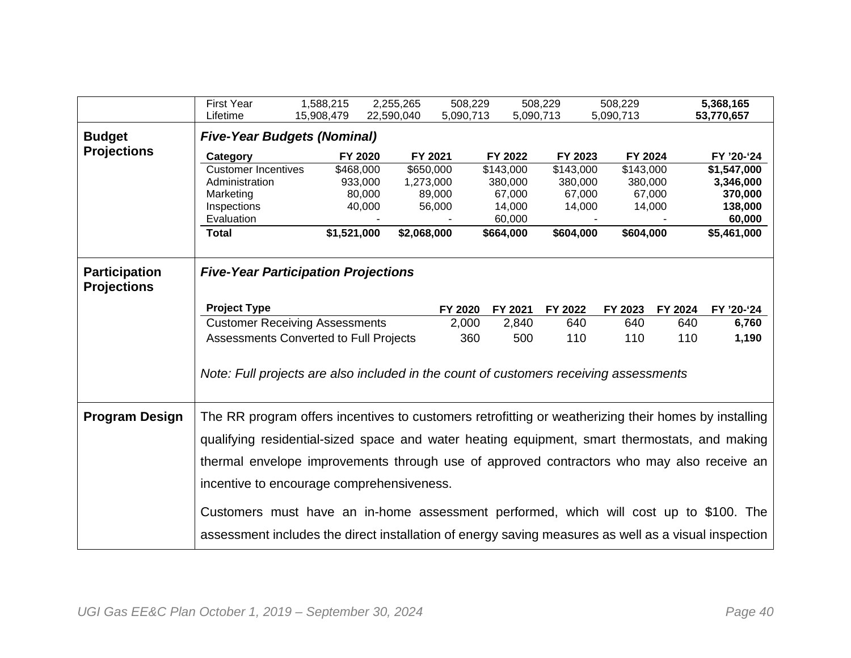|                                            | <b>First Year</b>                                                                                    | 1,588,215   | 2,255,265  | 508,229     |           | 508,229   | 508,229   |         | 5,368,165              |
|--------------------------------------------|------------------------------------------------------------------------------------------------------|-------------|------------|-------------|-----------|-----------|-----------|---------|------------------------|
|                                            | Lifetime                                                                                             | 15,908,479  | 22,590,040 | 5,090,713   |           | 5,090,713 | 5,090,713 |         | 53,770,657             |
| <b>Budget</b>                              | <b>Five-Year Budgets (Nominal)</b>                                                                   |             |            |             |           |           |           |         |                        |
| <b>Projections</b>                         | Category                                                                                             |             | FY 2020    | FY 2021     | FY 2022   | FY 2023   | FY 2024   |         | FY '20-'24             |
|                                            | <b>Customer Incentives</b>                                                                           | \$468,000   |            | \$650,000   | \$143,000 | \$143,000 | \$143,000 |         | \$1,547,000            |
|                                            | Administration                                                                                       |             | 933,000    | 1,273,000   | 380,000   | 380,000   | 380,000   |         | 3,346,000              |
|                                            | Marketing                                                                                            |             | 80,000     | 89,000      | 67,000    | 67,000    |           | 67,000  | 370,000                |
|                                            | Inspections                                                                                          |             | 40,000     | 56,000      | 14,000    | 14,000    |           | 14,000  | 138,000                |
|                                            | Evaluation                                                                                           |             |            |             | 60,000    |           |           |         | 60,000                 |
|                                            | <b>Total</b>                                                                                         | \$1,521,000 |            | \$2,068,000 | \$664,000 | \$604,000 | \$604,000 |         | $\overline{5,}461,000$ |
| <b>Participation</b><br><b>Projections</b> | <b>Five-Year Participation Projections</b>                                                           |             |            |             |           |           |           |         |                        |
|                                            | <b>Project Type</b>                                                                                  |             |            | FY 2020     | FY 2021   | FY 2022   | FY 2023   | FY 2024 | FY '20-'24             |
|                                            | <b>Customer Receiving Assessments</b>                                                                |             |            | 2,000       | 2,840     | 640       | 640       | 640     | 6,760                  |
|                                            | Assessments Converted to Full Projects                                                               |             |            | 360         | 500       | 110       | 110       | 110     | 1,190                  |
|                                            |                                                                                                      |             |            |             |           |           |           |         |                        |
|                                            | Note: Full projects are also included in the count of customers receiving assessments                |             |            |             |           |           |           |         |                        |
| <b>Program Design</b>                      | The RR program offers incentives to customers retrofitting or weatherizing their homes by installing |             |            |             |           |           |           |         |                        |
|                                            |                                                                                                      |             |            |             |           |           |           |         |                        |
|                                            | qualifying residential-sized space and water heating equipment, smart thermostats, and making        |             |            |             |           |           |           |         |                        |
|                                            |                                                                                                      |             |            |             |           |           |           |         |                        |
|                                            | thermal envelope improvements through use of approved contractors who may also receive an            |             |            |             |           |           |           |         |                        |
|                                            | incentive to encourage comprehensiveness.                                                            |             |            |             |           |           |           |         |                        |
|                                            | Customers must have an in-home assessment performed, which will cost up to \$100. The                |             |            |             |           |           |           |         |                        |
|                                            |                                                                                                      |             |            |             |           |           |           |         |                        |
|                                            | assessment includes the direct installation of energy saving measures as well as a visual inspection |             |            |             |           |           |           |         |                        |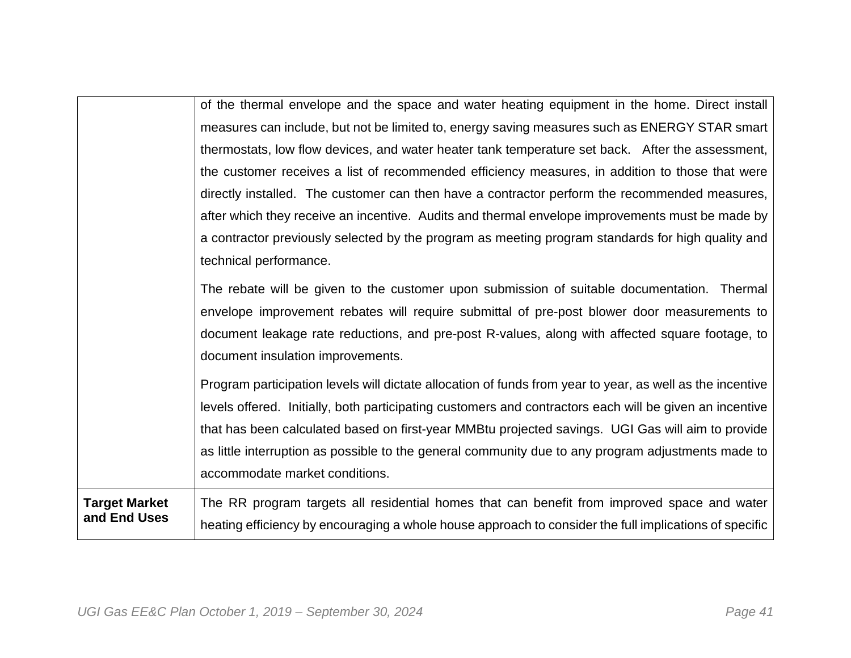|                      | of the thermal envelope and the space and water heating equipment in the home. Direct install             |
|----------------------|-----------------------------------------------------------------------------------------------------------|
|                      | measures can include, but not be limited to, energy saving measures such as ENERGY STAR smart             |
|                      | thermostats, low flow devices, and water heater tank temperature set back. After the assessment,          |
|                      | the customer receives a list of recommended efficiency measures, in addition to those that were           |
|                      | directly installed. The customer can then have a contractor perform the recommended measures,             |
|                      | after which they receive an incentive. Audits and thermal envelope improvements must be made by           |
|                      | a contractor previously selected by the program as meeting program standards for high quality and         |
|                      | technical performance.                                                                                    |
|                      | The rebate will be given to the customer upon submission of suitable documentation. Thermal               |
|                      | envelope improvement rebates will require submittal of pre-post blower door measurements to               |
|                      | document leakage rate reductions, and pre-post R-values, along with affected square footage, to           |
|                      | document insulation improvements.                                                                         |
|                      | Program participation levels will dictate allocation of funds from year to year, as well as the incentive |
|                      | levels offered. Initially, both participating customers and contractors each will be given an incentive   |
|                      | that has been calculated based on first-year MMBtu projected savings. UGI Gas will aim to provide         |
|                      | as little interruption as possible to the general community due to any program adjustments made to        |
|                      | accommodate market conditions.                                                                            |
| <b>Target Market</b> | The RR program targets all residential homes that can benefit from improved space and water               |
| and End Uses         | heating efficiency by encouraging a whole house approach to consider the full implications of specific    |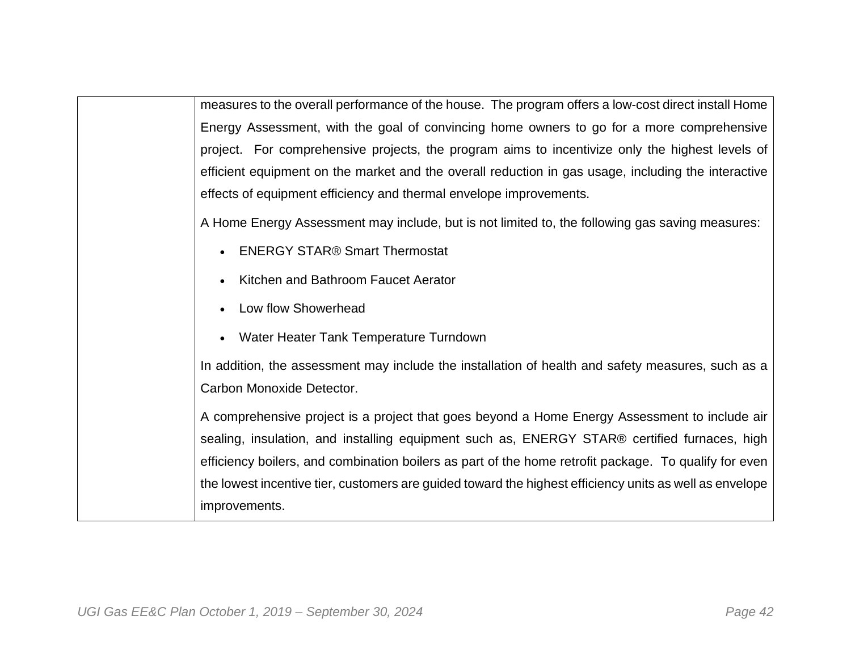measures to the overall performance of the house. The program offers a low-cost direct install Home Energy Assessment, with the goal of convincing home owners to go for a more comprehensive project. For comprehensive projects, the program aims to incentivize only the highest levels of efficient equipment on the market and the overall reduction in gas usage, including the interactive effects of equipment efficiency and thermal envelope improvements.

A Home Energy Assessment may include, but is not limited to, the following gas saving measures:

- **ENERGY STAR® Smart Thermostat**
- Kitchen and Bathroom Faucet Aerator
- Low flow Showerhead
- Water Heater Tank Temperature Turndown

In addition, the assessment may include the installation of health and safety measures, such as a Carbon Monoxide Detector.

A comprehensive project is a project that goes beyond a Home Energy Assessment to include air sealing, insulation, and installing equipment such as, ENERGY STAR® certified furnaces, high efficiency boilers, and combination boilers as part of the home retrofit package. To qualify for even the lowest incentive tier, customers are guided toward the highest efficiency units as well as envelope improvements.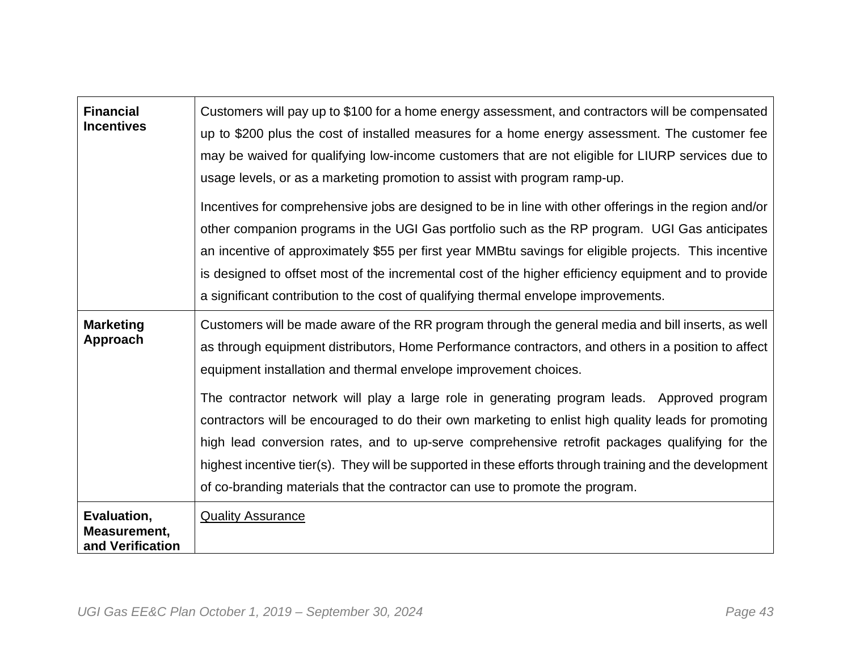| <b>Financial</b><br><b>Incentives</b>           | Customers will pay up to \$100 for a home energy assessment, and contractors will be compensated<br>up to \$200 plus the cost of installed measures for a home energy assessment. The customer fee<br>may be waived for qualifying low-income customers that are not eligible for LIURP services due to<br>usage levels, or as a marketing promotion to assist with program ramp-up.<br>Incentives for comprehensive jobs are designed to be in line with other offerings in the region and/or<br>other companion programs in the UGI Gas portfolio such as the RP program. UGI Gas anticipates<br>an incentive of approximately \$55 per first year MMB tu savings for eligible projects. This incentive<br>is designed to offset most of the incremental cost of the higher efficiency equipment and to provide<br>a significant contribution to the cost of qualifying thermal envelope improvements. |
|-------------------------------------------------|----------------------------------------------------------------------------------------------------------------------------------------------------------------------------------------------------------------------------------------------------------------------------------------------------------------------------------------------------------------------------------------------------------------------------------------------------------------------------------------------------------------------------------------------------------------------------------------------------------------------------------------------------------------------------------------------------------------------------------------------------------------------------------------------------------------------------------------------------------------------------------------------------------|
| <b>Marketing</b><br>Approach                    | Customers will be made aware of the RR program through the general media and bill inserts, as well<br>as through equipment distributors, Home Performance contractors, and others in a position to affect<br>equipment installation and thermal envelope improvement choices.<br>The contractor network will play a large role in generating program leads. Approved program<br>contractors will be encouraged to do their own marketing to enlist high quality leads for promoting<br>high lead conversion rates, and to up-serve comprehensive retrofit packages qualifying for the<br>highest incentive tier(s). They will be supported in these efforts through training and the development<br>of co-branding materials that the contractor can use to promote the program.                                                                                                                         |
| Evaluation,<br>Measurement,<br>and Verification | <b>Quality Assurance</b>                                                                                                                                                                                                                                                                                                                                                                                                                                                                                                                                                                                                                                                                                                                                                                                                                                                                                 |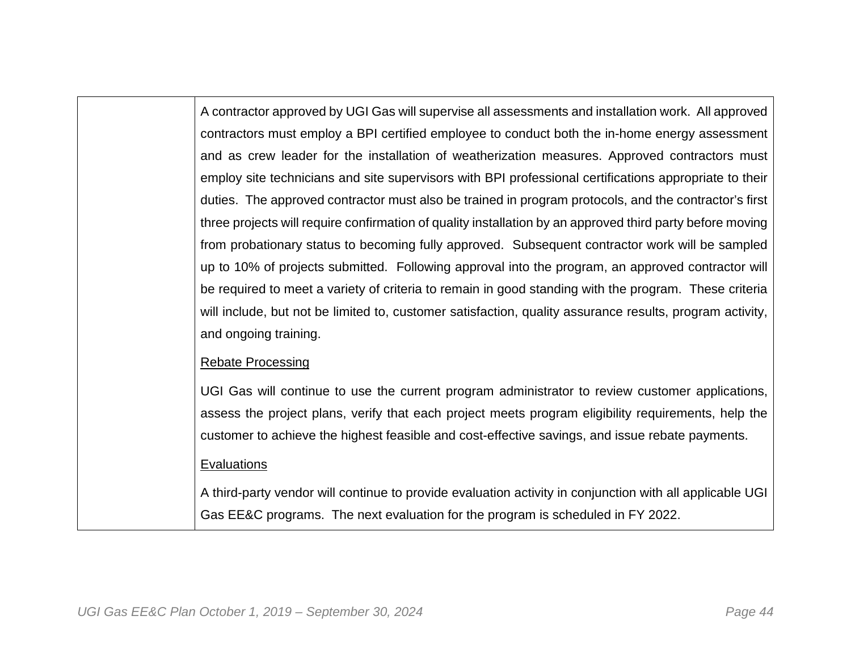A contractor approved by UGI Gas will supervise all assessments and installation work. All approved contractors must employ a BPI certified employee to conduct both the in-home energy assessment and as crew leader for the installation of weatherization measures. Approved contractors must employ site technicians and site supervisors with BPI professional certifications appropriate to their duties. The approved contractor must also be trained in program protocols, and the contractor's first three projects will require confirmation of quality installation by an approved third party before moving from probationary status to becoming fully approved. Subsequent contractor work will be sampled up to 10% of projects submitted. Following approval into the program, an approved contractor will be required to meet a variety of criteria to remain in good standing with the program. These criteria will include, but not be limited to, customer satisfaction, quality assurance results, program activity, and ongoing training.

#### Rebate Processing

UGI Gas will continue to use the current program administrator to review customer applications, assess the project plans, verify that each project meets program eligibility requirements, help the customer to achieve the highest feasible and cost-effective savings, and issue rebate payments.

#### **Evaluations**

A third-party vendor will continue to provide evaluation activity in conjunction with all applicable UGI Gas EE&C programs. The next evaluation for the program is scheduled in FY 2022.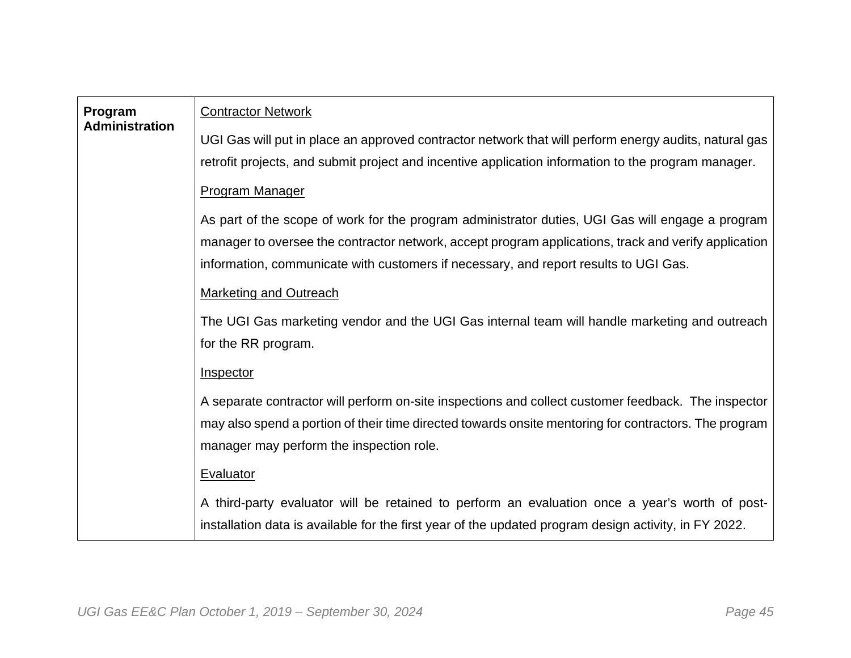| Program<br><b>Administration</b> | <b>Contractor Network</b>                                                                             |
|----------------------------------|-------------------------------------------------------------------------------------------------------|
|                                  | UGI Gas will put in place an approved contractor network that will perform energy audits, natural gas |
|                                  | retrofit projects, and submit project and incentive application information to the program manager.   |
|                                  | <b>Program Manager</b>                                                                                |
|                                  | As part of the scope of work for the program administrator duties, UGI Gas will engage a program      |
|                                  | manager to oversee the contractor network, accept program applications, track and verify application  |
|                                  | information, communicate with customers if necessary, and report results to UGI Gas.                  |
|                                  | <b>Marketing and Outreach</b>                                                                         |
|                                  | The UGI Gas marketing vendor and the UGI Gas internal team will handle marketing and outreach         |
|                                  | for the RR program.                                                                                   |
|                                  | Inspector                                                                                             |
|                                  | A separate contractor will perform on-site inspections and collect customer feedback. The inspector   |
|                                  | may also spend a portion of their time directed towards onsite mentoring for contractors. The program |
|                                  | manager may perform the inspection role.                                                              |
|                                  | <b>Evaluator</b>                                                                                      |
|                                  | A third-party evaluator will be retained to perform an evaluation once a year's worth of post-        |
|                                  | installation data is available for the first year of the updated program design activity, in FY 2022. |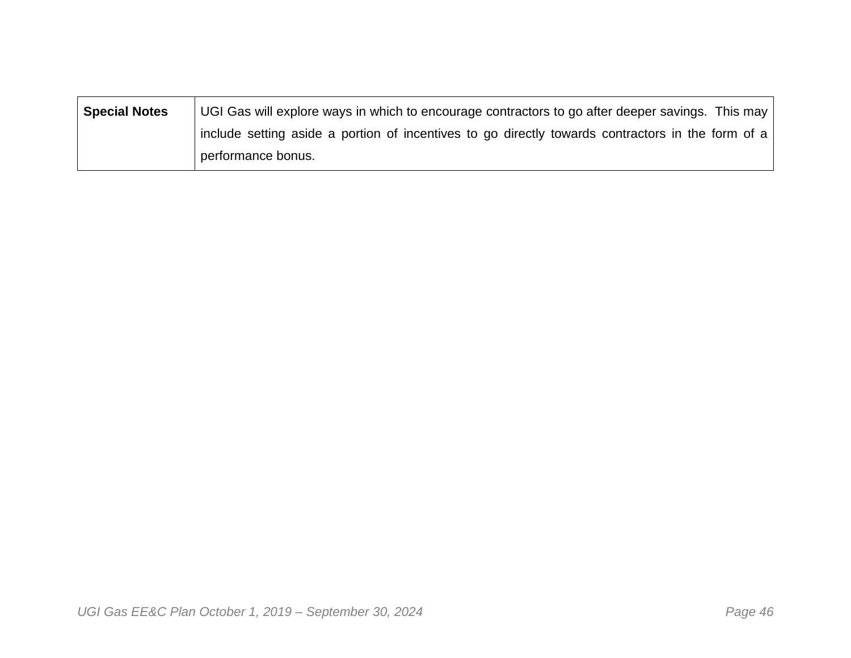| <b>Special Notes</b> | UGI Gas will explore ways in which to encourage contractors to go after deeper savings. This may  |
|----------------------|---------------------------------------------------------------------------------------------------|
|                      | include setting aside a portion of incentives to go directly towards contractors in the form of a |
|                      | performance bonus.                                                                                |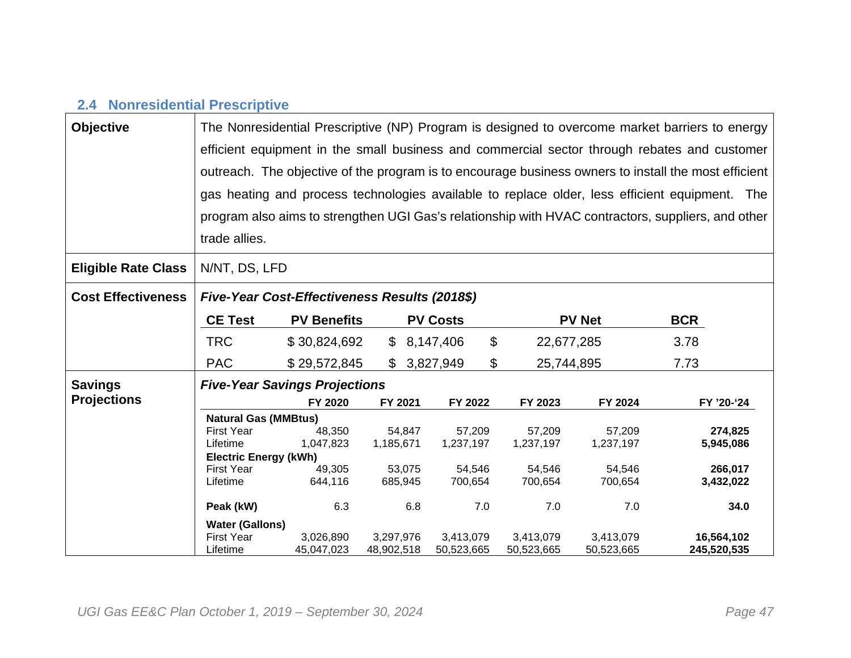## **2.4 Nonresidential Prescriptive**

| <b>Objective</b>           | The Nonresidential Prescriptive (NP) Program is designed to overcome market barriers to energy |                                                                                                      |                    |                                          |            |               |                                                                                                    |  |
|----------------------------|------------------------------------------------------------------------------------------------|------------------------------------------------------------------------------------------------------|--------------------|------------------------------------------|------------|---------------|----------------------------------------------------------------------------------------------------|--|
|                            |                                                                                                |                                                                                                      |                    |                                          |            |               | efficient equipment in the small business and commercial sector through rebates and customer       |  |
|                            |                                                                                                | outreach. The objective of the program is to encourage business owners to install the most efficient |                    |                                          |            |               |                                                                                                    |  |
|                            |                                                                                                |                                                                                                      |                    |                                          |            |               | gas heating and process technologies available to replace older, less efficient equipment. The     |  |
|                            |                                                                                                |                                                                                                      |                    |                                          |            |               |                                                                                                    |  |
|                            |                                                                                                |                                                                                                      |                    |                                          |            |               | program also aims to strengthen UGI Gas's relationship with HVAC contractors, suppliers, and other |  |
|                            | trade allies.                                                                                  |                                                                                                      |                    |                                          |            |               |                                                                                                    |  |
| <b>Eligible Rate Class</b> |                                                                                                | N/NT, DS, LFD                                                                                        |                    |                                          |            |               |                                                                                                    |  |
| <b>Cost Effectiveness</b>  |                                                                                                | Five-Year Cost-Effectiveness Results (2018\$)                                                        |                    |                                          |            |               |                                                                                                    |  |
|                            | <b>CE Test</b>                                                                                 | <b>PV Benefits</b>                                                                                   |                    | <b>PV Costs</b>                          |            | <b>PV Net</b> | <b>BCR</b>                                                                                         |  |
|                            | <b>TRC</b>                                                                                     | \$30,824,692                                                                                         |                    | $\boldsymbol{\mathsf{S}}$<br>\$8,147,406 | 22,677,285 |               | 3.78                                                                                               |  |
|                            | <b>PAC</b>                                                                                     | \$29,572,845                                                                                         |                    | \$<br>\$3,827,949                        | 25,744,895 |               | 7.73                                                                                               |  |
| <b>Savings</b>             | <b>Five-Year Savings Projections</b>                                                           |                                                                                                      |                    |                                          |            |               |                                                                                                    |  |
| <b>Projections</b>         |                                                                                                | FY 2020                                                                                              | FY 2021            | FY 2022                                  | FY 2023    | FY 2024       | FY '20-'24                                                                                         |  |
|                            | <b>Natural Gas (MMBtus)</b>                                                                    |                                                                                                      |                    |                                          |            |               |                                                                                                    |  |
|                            | <b>First Year</b>                                                                              | 48,350                                                                                               | 54,847             | 57,209                                   | 57,209     | 57,209        | 274,825                                                                                            |  |
|                            | Lifetime                                                                                       | 1,047,823                                                                                            | 1,185,671          | 1,237,197                                | 1,237,197  | 1,237,197     | 5,945,086                                                                                          |  |
|                            | <b>Electric Energy (kWh)</b><br>First Year                                                     | 49,305                                                                                               | 53,075             | 54,546                                   | 54,546     | 54,546        | 266,017                                                                                            |  |
|                            | Lifetime                                                                                       | 644,116                                                                                              | 685,945<br>700,654 |                                          | 700,654    | 700,654       | 3,432,022                                                                                          |  |
|                            |                                                                                                |                                                                                                      |                    |                                          |            |               |                                                                                                    |  |
|                            | Peak (kW)                                                                                      | 6.3                                                                                                  | 6.8                | 7.0                                      | 7.0        | 7.0           | 34.0                                                                                               |  |
|                            | <b>Water (Gallons)</b>                                                                         |                                                                                                      |                    |                                          |            |               |                                                                                                    |  |
|                            | <b>First Year</b>                                                                              | 3,026,890                                                                                            | 3,297,976          | 3,413,079                                | 3,413,079  | 3,413,079     | 16,564,102                                                                                         |  |
|                            | Lifetime                                                                                       | 45,047,023                                                                                           | 48,902,518         | 50,523,665                               | 50,523,665 | 50,523,665    | 245,520,535                                                                                        |  |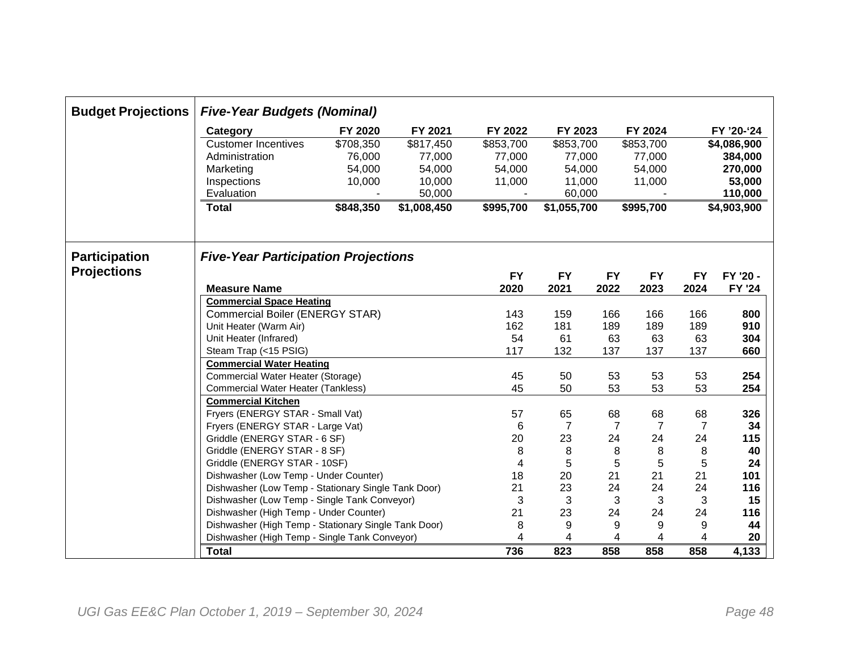| <b>Budget Projections</b> | <b>Five-Year Budgets (Nominal)</b>                                                                                                                                                          |           |             |           |                |           |                |                |               |  |
|---------------------------|---------------------------------------------------------------------------------------------------------------------------------------------------------------------------------------------|-----------|-------------|-----------|----------------|-----------|----------------|----------------|---------------|--|
|                           | Category                                                                                                                                                                                    | FY 2020   | FY 2021     | FY 2022   | FY 2023        |           | FY 2024        |                | FY '20-'24    |  |
|                           | \$708,350<br><b>Customer Incentives</b>                                                                                                                                                     |           | \$817,450   | \$853,700 | \$853,700      |           | \$853,700      |                | \$4,086,900   |  |
|                           | Administration                                                                                                                                                                              | 76,000    | 77,000      | 77,000    | 77,000         |           | 77,000         |                | 384,000       |  |
|                           | Marketing                                                                                                                                                                                   | 54,000    | 54,000      | 54,000    | 54,000         |           | 54,000         |                | 270,000       |  |
|                           | Inspections                                                                                                                                                                                 | 10,000    | 10,000      | 11,000    | 11,000         |           | 11,000         |                | 53,000        |  |
|                           | Evaluation                                                                                                                                                                                  |           | 50,000      |           | 60,000         |           |                | 110,000        |               |  |
|                           | <b>Total</b>                                                                                                                                                                                | \$848,350 | \$1,008,450 | \$995,700 | \$1,055,700    |           | \$995,700      |                | \$4,903,900   |  |
| <b>Participation</b>      | <b>Five-Year Participation Projections</b>                                                                                                                                                  |           |             |           |                |           |                |                |               |  |
| <b>Projections</b>        |                                                                                                                                                                                             |           |             | <b>FY</b> | <b>FY</b>      | <b>FY</b> | <b>FY</b>      | <b>FY</b>      | FY '20 -      |  |
|                           | <b>Measure Name</b>                                                                                                                                                                         |           |             | 2020      | 2021           | 2022      | 2023           | 2024           | <b>FY '24</b> |  |
|                           | <b>Commercial Space Heating</b>                                                                                                                                                             |           |             |           |                |           |                |                |               |  |
|                           | <b>Commercial Boiler (ENERGY STAR)</b><br>Unit Heater (Warm Air)<br>Unit Heater (Infrared)<br>Steam Trap (<15 PSIG)<br><b>Commercial Water Heating</b><br>Commercial Water Heater (Storage) |           |             | 143       | 159            | 166       | 166            | 166            | 800           |  |
|                           |                                                                                                                                                                                             |           |             | 162       | 181            | 189       | 189            | 189            | 910           |  |
|                           |                                                                                                                                                                                             |           |             | 54        | 61             | 63        | 63             | 63             | 304           |  |
|                           |                                                                                                                                                                                             |           |             | 117       | 132            | 137       | 137            | 137            | 660           |  |
|                           |                                                                                                                                                                                             |           |             |           |                |           |                |                |               |  |
|                           |                                                                                                                                                                                             |           |             | 45        | 50             | 53        | 53             | 53             | 254           |  |
|                           | Commercial Water Heater (Tankless)                                                                                                                                                          |           |             | 45        | 50             | 53        | 53             | 53             | 254           |  |
|                           | <b>Commercial Kitchen</b>                                                                                                                                                                   |           |             |           |                |           |                |                |               |  |
|                           | Fryers (ENERGY STAR - Small Vat)                                                                                                                                                            |           |             | 57        | 65             | 68        | 68             | 68             | 326           |  |
|                           | Fryers (ENERGY STAR - Large Vat)                                                                                                                                                            |           |             | 6         | $\overline{7}$ | 7         | $\overline{7}$ | $\overline{7}$ | 34            |  |
|                           | Griddle (ENERGY STAR - 6 SF)                                                                                                                                                                |           |             | 20        | 23             | 24        | 24             | 24             | 115           |  |
|                           | Griddle (ENERGY STAR - 8 SF)                                                                                                                                                                |           |             | 8         | 8              | 8         | 8              | 8              | 40            |  |
|                           | Griddle (ENERGY STAR - 10SF)                                                                                                                                                                |           |             | 4         | 5              | 5         | 5              | 5              | 24            |  |
|                           | Dishwasher (Low Temp - Under Counter)                                                                                                                                                       |           |             | 18        | 20             | 21        | 21             | 21             | 101           |  |
|                           | Dishwasher (Low Temp - Stationary Single Tank Door)                                                                                                                                         |           |             | 21        | 23             | 24        | 24             | 24             | 116           |  |
|                           | Dishwasher (Low Temp - Single Tank Conveyor)                                                                                                                                                |           |             | 3         | $\sqrt{3}$     | 3         | 3              | 3              | 15            |  |
|                           | Dishwasher (High Temp - Under Counter)                                                                                                                                                      |           |             | 21        | 23             | 24        | 24             | 24             | 116           |  |
|                           | Dishwasher (High Temp - Stationary Single Tank Door)                                                                                                                                        |           |             | 8         | 9              | 9         | 9              | 9              | 44            |  |
|                           | Dishwasher (High Temp - Single Tank Conveyor)                                                                                                                                               |           |             | 4         | 4              | 4         | 4              | 4              | 20            |  |
|                           | <b>Total</b>                                                                                                                                                                                |           |             | 736       | 823            | 858       | 858            | 858            | 4,133         |  |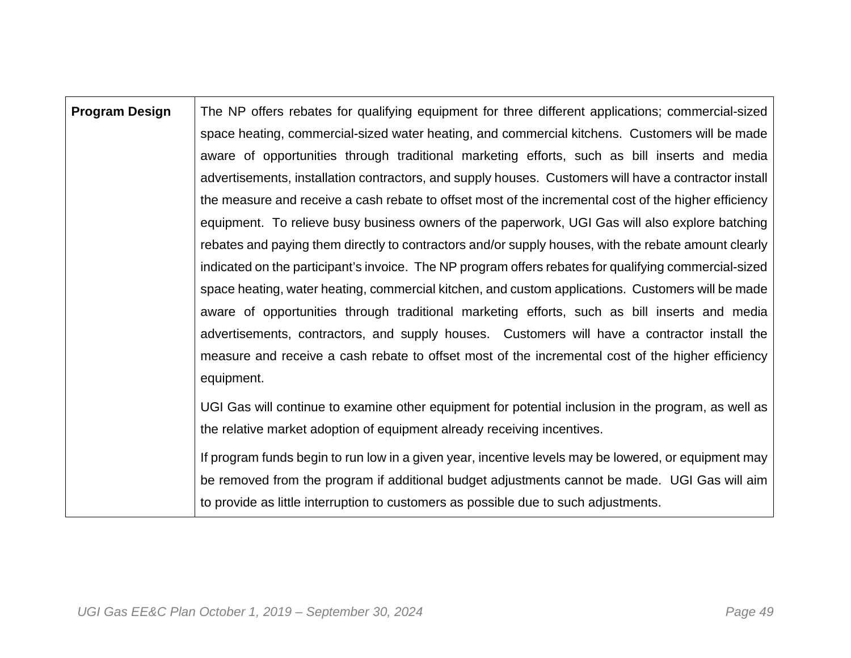| <b>Program Design</b> | The NP offers rebates for qualifying equipment for three different applications; commercial-sized     |
|-----------------------|-------------------------------------------------------------------------------------------------------|
|                       | space heating, commercial-sized water heating, and commercial kitchens. Customers will be made        |
|                       | aware of opportunities through traditional marketing efforts, such as bill inserts and media          |
|                       | advertisements, installation contractors, and supply houses. Customers will have a contractor install |
|                       | the measure and receive a cash rebate to offset most of the incremental cost of the higher efficiency |
|                       | equipment. To relieve busy business owners of the paperwork, UGI Gas will also explore batching       |
|                       | rebates and paying them directly to contractors and/or supply houses, with the rebate amount clearly  |
|                       | indicated on the participant's invoice. The NP program offers rebates for qualifying commercial-sized |
|                       | space heating, water heating, commercial kitchen, and custom applications. Customers will be made     |
|                       | aware of opportunities through traditional marketing efforts, such as bill inserts and media          |
|                       | advertisements, contractors, and supply houses. Customers will have a contractor install the          |
|                       | measure and receive a cash rebate to offset most of the incremental cost of the higher efficiency     |
|                       | equipment.                                                                                            |
|                       | UGI Gas will continue to examine other equipment for potential inclusion in the program, as well as   |
|                       | the relative market adoption of equipment already receiving incentives.                               |
|                       | If program funds begin to run low in a given year, incentive levels may be lowered, or equipment may  |
|                       | be removed from the program if additional budget adjustments cannot be made. UGI Gas will aim         |
|                       | to provide as little interruption to customers as possible due to such adjustments.                   |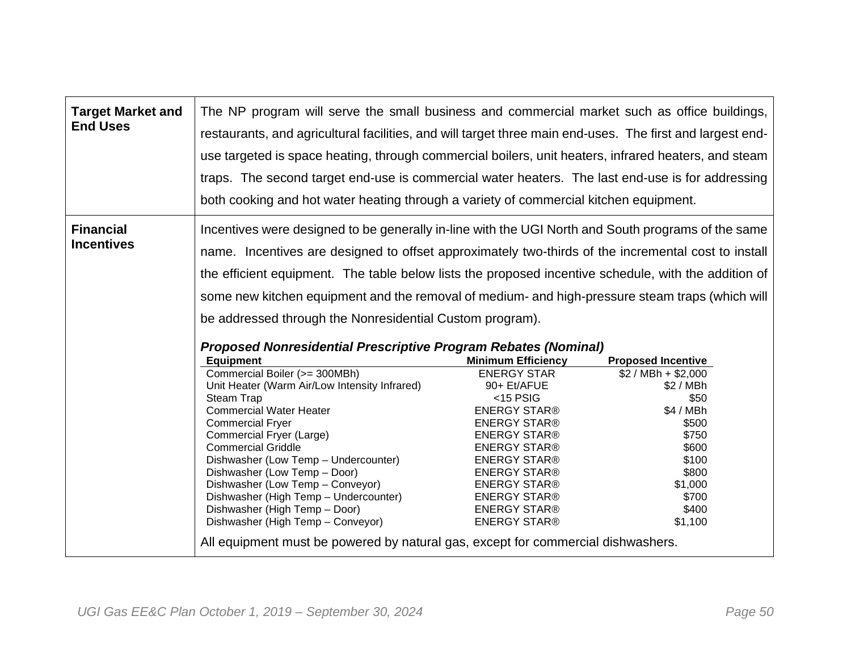| <b>Target Market and</b><br><b>End Uses</b> | The NP program will serve the small business and commercial market such as office buildings,<br>restaurants, and agricultural facilities, and will target three main end-uses. The first and largest end-<br>use targeted is space heating, through commercial boilers, unit heaters, infrared heaters, and steam<br>traps. The second target end-use is commercial water heaters. The last end-use is for addressing<br>both cooking and hot water heating through a variety of commercial kitchen equipment.                                                                                                                                                                                                                                                                                                                                                                                                                                                                            |                                                                                                                                                                                                                                                                                              |                                                                                                                                                          |
|---------------------------------------------|-------------------------------------------------------------------------------------------------------------------------------------------------------------------------------------------------------------------------------------------------------------------------------------------------------------------------------------------------------------------------------------------------------------------------------------------------------------------------------------------------------------------------------------------------------------------------------------------------------------------------------------------------------------------------------------------------------------------------------------------------------------------------------------------------------------------------------------------------------------------------------------------------------------------------------------------------------------------------------------------|----------------------------------------------------------------------------------------------------------------------------------------------------------------------------------------------------------------------------------------------------------------------------------------------|----------------------------------------------------------------------------------------------------------------------------------------------------------|
| <b>Financial</b><br><b>Incentives</b>       | Incentives were designed to be generally in-line with the UGI North and South programs of the same<br>name. Incentives are designed to offset approximately two-thirds of the incremental cost to install<br>the efficient equipment. The table below lists the proposed incentive schedule, with the addition of<br>some new kitchen equipment and the removal of medium- and high-pressure steam traps (which will<br>be addressed through the Nonresidential Custom program).<br><b>Proposed Nonresidential Prescriptive Program Rebates (Nominal)</b><br><b>Equipment</b><br>Commercial Boiler (>= 300MBh)<br>Unit Heater (Warm Air/Low Intensity Infrared)<br>Steam Trap<br><b>Commercial Water Heater</b><br><b>Commercial Fryer</b><br>Commercial Fryer (Large)<br><b>Commercial Griddle</b><br>Dishwasher (Low Temp - Undercounter)<br>Dishwasher (Low Temp - Door)<br>Dishwasher (Low Temp - Conveyor)<br>Dishwasher (High Temp - Undercounter)<br>Dishwasher (High Temp - Door) | <b>Minimum Efficiency</b><br><b>ENERGY STAR</b><br>90+ Et/AFUE<br>$<$ 15 PSIG<br><b>ENERGY STAR®</b><br><b>ENERGY STAR®</b><br><b>ENERGY STAR®</b><br><b>ENERGY STAR®</b><br><b>ENERGY STAR®</b><br><b>ENERGY STAR®</b><br><b>ENERGY STAR®</b><br><b>ENERGY STAR®</b><br><b>ENERGY STAR®</b> | <b>Proposed Incentive</b><br>$$2 / MBh + $2,000$<br>\$2/MBh<br>\$50<br>\$4/MBh<br>\$500<br>\$750<br>\$600<br>\$100<br>\$800<br>\$1,000<br>\$700<br>\$400 |
|                                             | Dishwasher (High Temp - Conveyor)<br>All equipment must be powered by natural gas, except for commercial dishwashers.                                                                                                                                                                                                                                                                                                                                                                                                                                                                                                                                                                                                                                                                                                                                                                                                                                                                     | <b>ENERGY STAR®</b>                                                                                                                                                                                                                                                                          | \$1,100                                                                                                                                                  |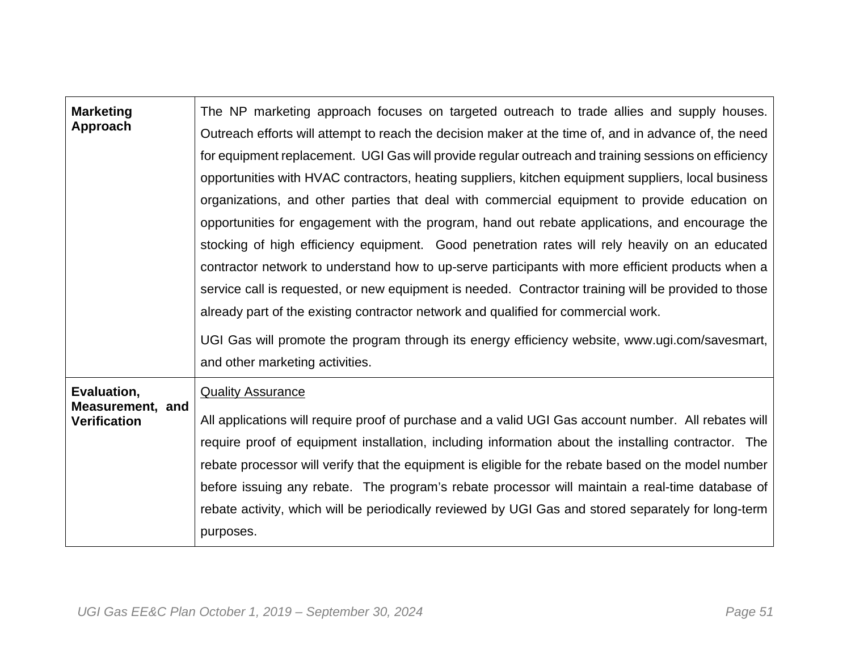| <b>Marketing</b><br>Approach                           | The NP marketing approach focuses on targeted outreach to trade allies and supply houses.<br>Outreach efforts will attempt to reach the decision maker at the time of, and in advance of, the need<br>for equipment replacement. UGI Gas will provide regular outreach and training sessions on efficiency<br>opportunities with HVAC contractors, heating suppliers, kitchen equipment suppliers, local business<br>organizations, and other parties that deal with commercial equipment to provide education on<br>opportunities for engagement with the program, hand out rebate applications, and encourage the<br>stocking of high efficiency equipment. Good penetration rates will rely heavily on an educated<br>contractor network to understand how to up-serve participants with more efficient products when a<br>service call is requested, or new equipment is needed. Contractor training will be provided to those<br>already part of the existing contractor network and qualified for commercial work.<br>UGI Gas will promote the program through its energy efficiency website, www.ugi.com/savesmart,<br>and other marketing activities. |
|--------------------------------------------------------|---------------------------------------------------------------------------------------------------------------------------------------------------------------------------------------------------------------------------------------------------------------------------------------------------------------------------------------------------------------------------------------------------------------------------------------------------------------------------------------------------------------------------------------------------------------------------------------------------------------------------------------------------------------------------------------------------------------------------------------------------------------------------------------------------------------------------------------------------------------------------------------------------------------------------------------------------------------------------------------------------------------------------------------------------------------------------------------------------------------------------------------------------------------|
| Evaluation,<br>Measurement, and<br><b>Verification</b> | <b>Quality Assurance</b><br>All applications will require proof of purchase and a valid UGI Gas account number. All rebates will<br>require proof of equipment installation, including information about the installing contractor. The<br>rebate processor will verify that the equipment is eligible for the rebate based on the model number<br>before issuing any rebate. The program's rebate processor will maintain a real-time database of<br>rebate activity, which will be periodically reviewed by UGI Gas and stored separately for long-term<br>purposes.                                                                                                                                                                                                                                                                                                                                                                                                                                                                                                                                                                                        |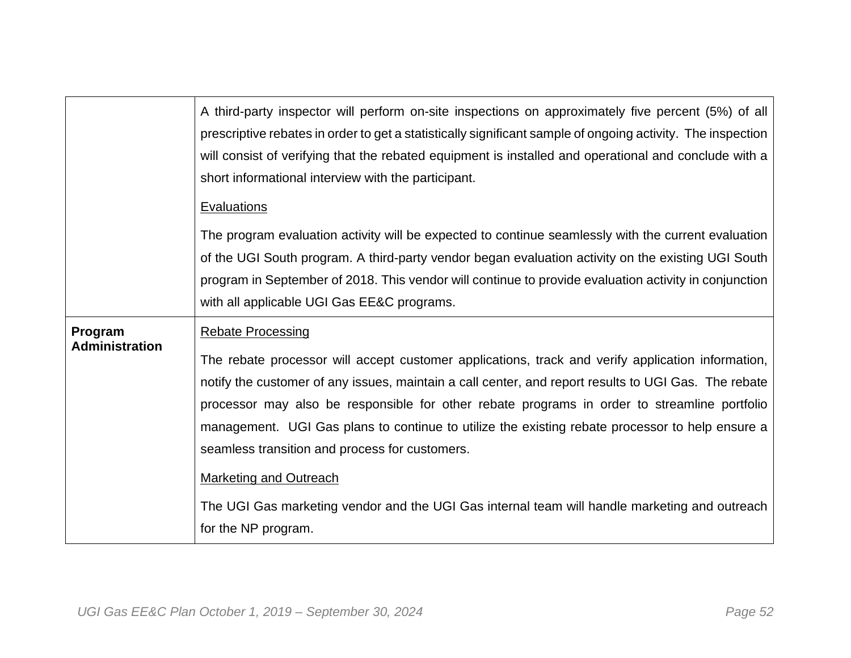|                                  | A third-party inspector will perform on-site inspections on approximately five percent (5%) of all<br>prescriptive rebates in order to get a statistically significant sample of ongoing activity. The inspection<br>will consist of verifying that the rebated equipment is installed and operational and conclude with a<br>short informational interview with the participant.<br><b>Evaluations</b>                                                                                                                                                                                                                                             |
|----------------------------------|-----------------------------------------------------------------------------------------------------------------------------------------------------------------------------------------------------------------------------------------------------------------------------------------------------------------------------------------------------------------------------------------------------------------------------------------------------------------------------------------------------------------------------------------------------------------------------------------------------------------------------------------------------|
|                                  | The program evaluation activity will be expected to continue seamlessly with the current evaluation<br>of the UGI South program. A third-party vendor began evaluation activity on the existing UGI South<br>program in September of 2018. This vendor will continue to provide evaluation activity in conjunction<br>with all applicable UGI Gas EE&C programs.                                                                                                                                                                                                                                                                                    |
| Program<br><b>Administration</b> | <b>Rebate Processing</b><br>The rebate processor will accept customer applications, track and verify application information,<br>notify the customer of any issues, maintain a call center, and report results to UGI Gas. The rebate<br>processor may also be responsible for other rebate programs in order to streamline portfolio<br>management. UGI Gas plans to continue to utilize the existing rebate processor to help ensure a<br>seamless transition and process for customers.<br><b>Marketing and Outreach</b><br>The UGI Gas marketing vendor and the UGI Gas internal team will handle marketing and outreach<br>for the NP program. |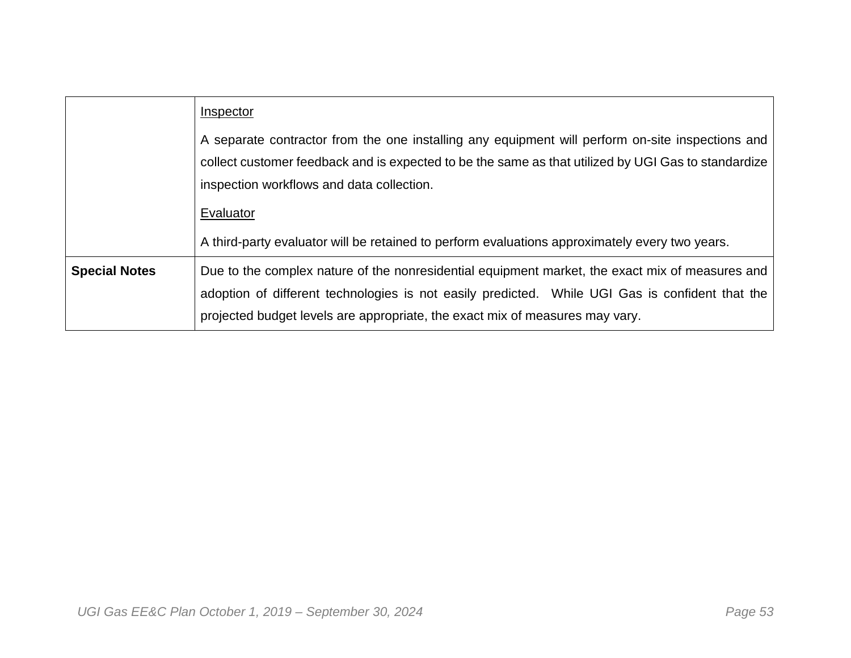|                      | Inspector                                                                                                                                                                                                                                                                          |
|----------------------|------------------------------------------------------------------------------------------------------------------------------------------------------------------------------------------------------------------------------------------------------------------------------------|
|                      | A separate contractor from the one installing any equipment will perform on-site inspections and<br>collect customer feedback and is expected to be the same as that utilized by UGI Gas to standardize<br>inspection workflows and data collection.                               |
|                      | Evaluator                                                                                                                                                                                                                                                                          |
|                      | A third-party evaluator will be retained to perform evaluations approximately every two years.                                                                                                                                                                                     |
| <b>Special Notes</b> | Due to the complex nature of the nonresidential equipment market, the exact mix of measures and<br>adoption of different technologies is not easily predicted. While UGI Gas is confident that the<br>projected budget levels are appropriate, the exact mix of measures may vary. |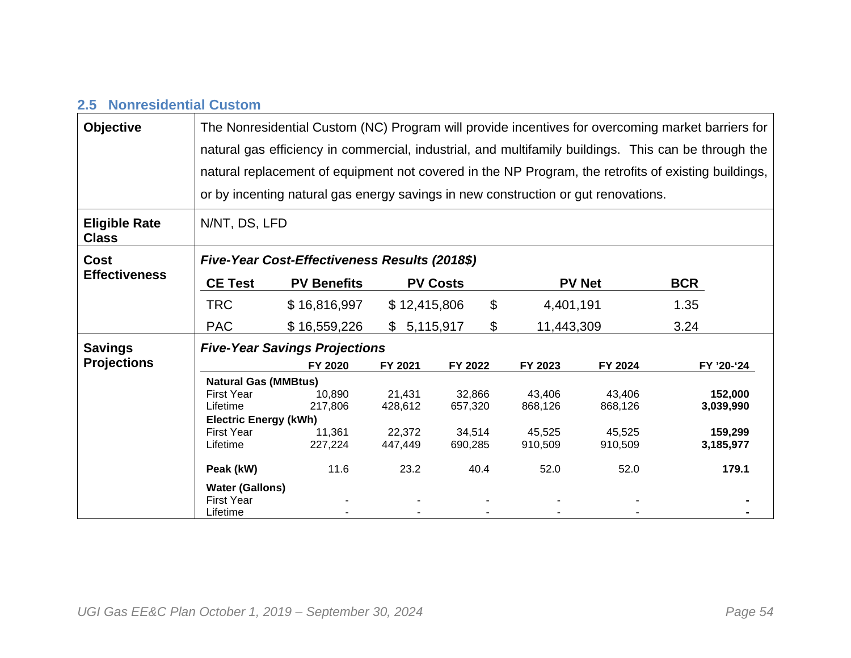## **2.5 Nonresidential Custom**

| <b>Objective</b><br><b>Eligible Rate</b> | The Nonresidential Custom (NC) Program will provide incentives for overcoming market barriers for<br>natural gas efficiency in commercial, industrial, and multifamily buildings. This can be through the<br>natural replacement of equipment not covered in the NP Program, the retrofits of existing buildings,<br>or by incenting natural gas energy savings in new construction or gut renovations.<br>N/NT, DS, LFD |                                               |                 |                           |            |               |            |
|------------------------------------------|--------------------------------------------------------------------------------------------------------------------------------------------------------------------------------------------------------------------------------------------------------------------------------------------------------------------------------------------------------------------------------------------------------------------------|-----------------------------------------------|-----------------|---------------------------|------------|---------------|------------|
| <b>Class</b>                             |                                                                                                                                                                                                                                                                                                                                                                                                                          |                                               |                 |                           |            |               |            |
| <b>Cost</b>                              |                                                                                                                                                                                                                                                                                                                                                                                                                          | Five-Year Cost-Effectiveness Results (2018\$) |                 |                           |            |               |            |
| <b>Effectiveness</b>                     | <b>CE Test</b>                                                                                                                                                                                                                                                                                                                                                                                                           | <b>PV Benefits</b>                            | <b>PV Costs</b> |                           |            | <b>PV Net</b> | <b>BCR</b> |
|                                          | <b>TRC</b>                                                                                                                                                                                                                                                                                                                                                                                                               | \$16,816,997                                  | \$12,415,806    | $\boldsymbol{\mathsf{S}}$ | 4,401,191  |               | 1.35       |
|                                          | <b>PAC</b>                                                                                                                                                                                                                                                                                                                                                                                                               | \$16,559,226                                  | \$5,115,917     | $\mathfrak{L}$            | 11,443,309 |               | 3.24       |
| <b>Savings</b>                           |                                                                                                                                                                                                                                                                                                                                                                                                                          | <b>Five-Year Savings Projections</b>          |                 |                           |            |               |            |
| <b>Projections</b>                       |                                                                                                                                                                                                                                                                                                                                                                                                                          | FY 2020                                       | FY 2021         | FY 2022                   | FY 2023    | FY 2024       | FY '20-'24 |
|                                          | <b>Natural Gas (MMBtus)</b>                                                                                                                                                                                                                                                                                                                                                                                              |                                               |                 |                           |            |               |            |
|                                          | <b>First Year</b>                                                                                                                                                                                                                                                                                                                                                                                                        | 10,890                                        | 21,431          | 32,866                    | 43,406     | 43,406        | 152,000    |
|                                          | Lifetime<br><b>Electric Energy (kWh)</b>                                                                                                                                                                                                                                                                                                                                                                                 | 217,806                                       | 428,612         | 657,320                   | 868,126    | 868,126       | 3,039,990  |
|                                          | <b>First Year</b>                                                                                                                                                                                                                                                                                                                                                                                                        | 11,361                                        | 22,372          | 34,514                    | 45,525     | 45,525        | 159,299    |
|                                          | Lifetime                                                                                                                                                                                                                                                                                                                                                                                                                 | 227,224                                       | 447,449         | 690,285                   | 910,509    | 910,509       | 3,185,977  |
|                                          | Peak (kW)                                                                                                                                                                                                                                                                                                                                                                                                                | 11.6                                          | 23.2            | 40.4                      | 52.0       | 52.0          | 179.1      |
|                                          | <b>Water (Gallons)</b>                                                                                                                                                                                                                                                                                                                                                                                                   |                                               |                 |                           |            |               |            |
|                                          | <b>First Year</b>                                                                                                                                                                                                                                                                                                                                                                                                        |                                               |                 |                           |            |               |            |
|                                          | Lifetime                                                                                                                                                                                                                                                                                                                                                                                                                 |                                               |                 |                           |            |               |            |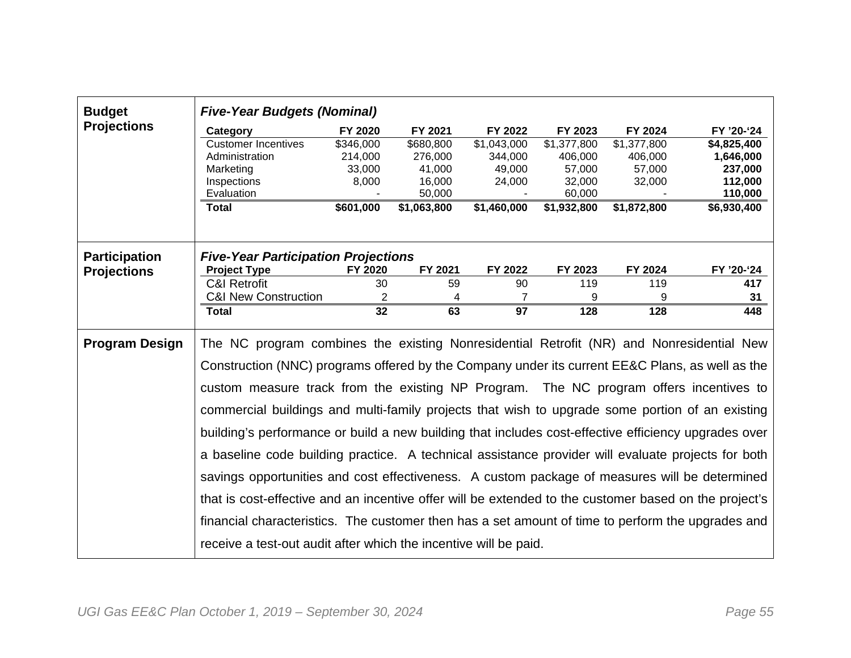| <b>Budget</b>                              | <b>Five-Year Budgets (Nominal)</b>                                                                                                                                                          |                |             |                |             |             |             |
|--------------------------------------------|---------------------------------------------------------------------------------------------------------------------------------------------------------------------------------------------|----------------|-------------|----------------|-------------|-------------|-------------|
| <b>Projections</b>                         | Category                                                                                                                                                                                    | FY 2020        | FY 2021     | FY 2022        | FY 2023     | FY 2024     | FY '20-'24  |
|                                            | <b>Customer Incentives</b>                                                                                                                                                                  | \$346,000      | \$680,800   | \$1,043,000    | \$1,377,800 | \$1,377,800 | \$4,825,400 |
|                                            | Administration                                                                                                                                                                              | 214,000        | 276,000     | 344,000        | 406,000     | 406,000     | 1,646,000   |
|                                            | Marketing                                                                                                                                                                                   | 33,000         | 41,000      | 49,000         | 57,000      | 57,000      | 237,000     |
|                                            | Inspections                                                                                                                                                                                 | 8,000          | 16,000      | 24,000         | 32,000      | 32,000      | 112,000     |
|                                            | Evaluation                                                                                                                                                                                  |                | 50,000      |                | 60,000      |             | 110,000     |
|                                            | <b>Total</b>                                                                                                                                                                                | \$601,000      | \$1,063,800 | \$1,460,000    | \$1,932,800 | \$1,872,800 | \$6,930,400 |
| <b>Participation</b><br><b>Projections</b> | <b>Five-Year Participation Projections</b><br><b>Project Type</b>                                                                                                                           | FY 2020        | FY 2021     | FY 2022        | FY 2023     | FY 2024     | FY '20-'24  |
|                                            | <b>C&amp;I Retrofit</b>                                                                                                                                                                     | 30             | 59          | 90             | 119         | 119         | 417         |
|                                            | <b>C&amp;I New Construction</b>                                                                                                                                                             | $\overline{2}$ | 4           | $\overline{7}$ | 9           | 9           | 31          |
|                                            | <b>Total</b>                                                                                                                                                                                | 32             | 63          | 97             | 128         | 128         | 448         |
|                                            |                                                                                                                                                                                             |                |             |                |             |             |             |
| <b>Program Design</b>                      | The NC program combines the existing Nonresidential Retrofit (NR) and Nonresidential New<br>Construction (NNC) programs offered by the Company under its current EE&C Plans, as well as the |                |             |                |             |             |             |
|                                            | custom measure track from the existing NP Program. The NC program offers incentives to                                                                                                      |                |             |                |             |             |             |
|                                            | commercial buildings and multi-family projects that wish to upgrade some portion of an existing                                                                                             |                |             |                |             |             |             |
|                                            | building's performance or build a new building that includes cost-effective efficiency upgrades over                                                                                        |                |             |                |             |             |             |
|                                            | a baseline code building practice. A technical assistance provider will evaluate projects for both                                                                                          |                |             |                |             |             |             |
|                                            | savings opportunities and cost effectiveness. A custom package of measures will be determined                                                                                               |                |             |                |             |             |             |
|                                            | that is cost-effective and an incentive offer will be extended to the customer based on the project's                                                                                       |                |             |                |             |             |             |
|                                            | financial characteristics. The customer then has a set amount of time to perform the upgrades and                                                                                           |                |             |                |             |             |             |
|                                            | receive a test-out audit after which the incentive will be paid.                                                                                                                            |                |             |                |             |             |             |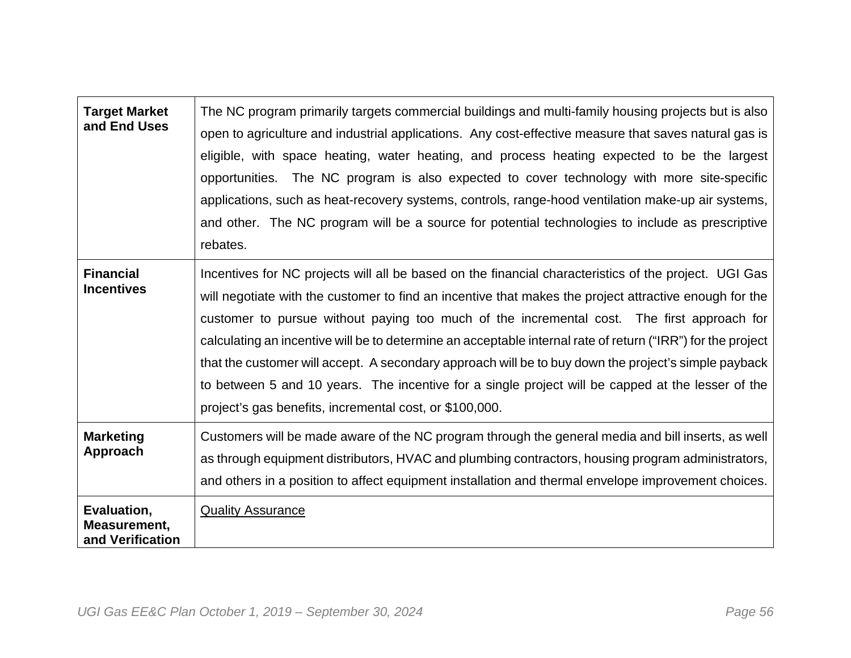| <b>Target Market</b><br>and End Uses            | The NC program primarily targets commercial buildings and multi-family housing projects but is also<br>open to agriculture and industrial applications. Any cost-effective measure that saves natural gas is<br>eligible, with space heating, water heating, and process heating expected to be the largest<br>opportunities. The NC program is also expected to cover technology with more site-specific<br>applications, such as heat-recovery systems, controls, range-hood ventilation make-up air systems,<br>and other. The NC program will be a source for potential technologies to include as prescriptive<br>rebates.                                                                      |
|-------------------------------------------------|------------------------------------------------------------------------------------------------------------------------------------------------------------------------------------------------------------------------------------------------------------------------------------------------------------------------------------------------------------------------------------------------------------------------------------------------------------------------------------------------------------------------------------------------------------------------------------------------------------------------------------------------------------------------------------------------------|
| <b>Financial</b><br><b>Incentives</b>           | Incentives for NC projects will all be based on the financial characteristics of the project. UGI Gas<br>will negotiate with the customer to find an incentive that makes the project attractive enough for the<br>customer to pursue without paying too much of the incremental cost. The first approach for<br>calculating an incentive will be to determine an acceptable internal rate of return ("IRR") for the project<br>that the customer will accept. A secondary approach will be to buy down the project's simple payback<br>to between 5 and 10 years. The incentive for a single project will be capped at the lesser of the<br>project's gas benefits, incremental cost, or \$100,000. |
| <b>Marketing</b><br>Approach                    | Customers will be made aware of the NC program through the general media and bill inserts, as well<br>as through equipment distributors, HVAC and plumbing contractors, housing program administrators,<br>and others in a position to affect equipment installation and thermal envelope improvement choices.                                                                                                                                                                                                                                                                                                                                                                                       |
| Evaluation,<br>Measurement,<br>and Verification | <b>Quality Assurance</b>                                                                                                                                                                                                                                                                                                                                                                                                                                                                                                                                                                                                                                                                             |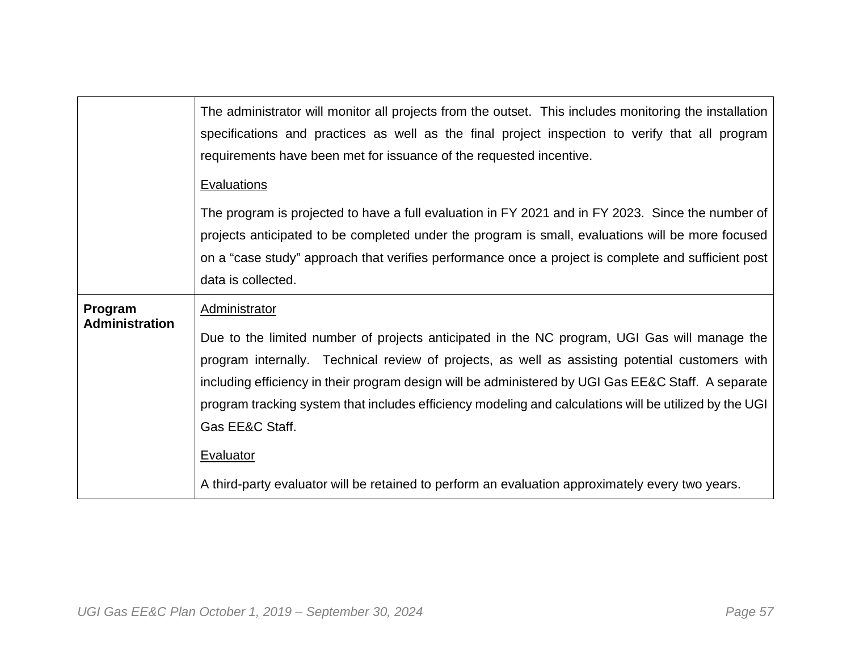|                                  | The administrator will monitor all projects from the outset. This includes monitoring the installation<br>specifications and practices as well as the final project inspection to verify that all program<br>requirements have been met for issuance of the requested incentive.<br><b>Evaluations</b>                                                                                                                                                                                                                                                                |
|----------------------------------|-----------------------------------------------------------------------------------------------------------------------------------------------------------------------------------------------------------------------------------------------------------------------------------------------------------------------------------------------------------------------------------------------------------------------------------------------------------------------------------------------------------------------------------------------------------------------|
|                                  | The program is projected to have a full evaluation in FY 2021 and in FY 2023. Since the number of<br>projects anticipated to be completed under the program is small, evaluations will be more focused<br>on a "case study" approach that verifies performance once a project is complete and sufficient post<br>data is collected.                                                                                                                                                                                                                                   |
| Program<br><b>Administration</b> | Administrator<br>Due to the limited number of projects anticipated in the NC program, UGI Gas will manage the<br>program internally. Technical review of projects, as well as assisting potential customers with<br>including efficiency in their program design will be administered by UGI Gas EE&C Staff. A separate<br>program tracking system that includes efficiency modeling and calculations will be utilized by the UGI<br>Gas EE&C Staff.<br>Evaluator<br>A third-party evaluator will be retained to perform an evaluation approximately every two years. |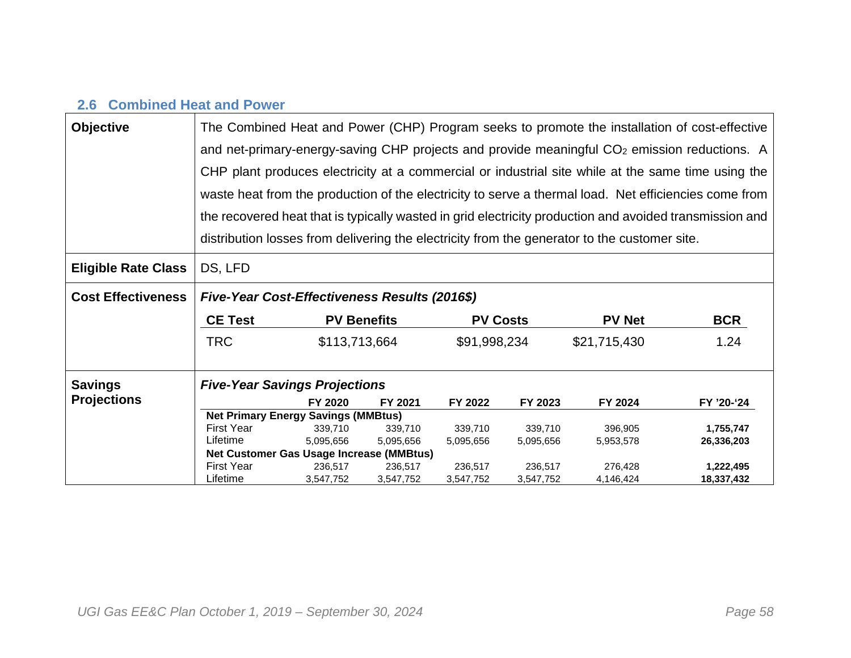## **2.6 Combined Heat and Power**

| <b>Objective</b>           |                                               |                                                                                                         |                    |                 |           | The Combined Heat and Power (CHP) Program seeks to promote the installation of cost-effective            |            |  |  |  |  |  |  |
|----------------------------|-----------------------------------------------|---------------------------------------------------------------------------------------------------------|--------------------|-----------------|-----------|----------------------------------------------------------------------------------------------------------|------------|--|--|--|--|--|--|
|                            |                                               |                                                                                                         |                    |                 |           | and net-primary-energy-saving CHP projects and provide meaningful CO <sub>2</sub> emission reductions. A |            |  |  |  |  |  |  |
|                            |                                               | CHP plant produces electricity at a commercial or industrial site while at the same time using the      |                    |                 |           |                                                                                                          |            |  |  |  |  |  |  |
|                            |                                               | waste heat from the production of the electricity to serve a thermal load. Net efficiencies come from   |                    |                 |           |                                                                                                          |            |  |  |  |  |  |  |
|                            |                                               | the recovered heat that is typically wasted in grid electricity production and avoided transmission and |                    |                 |           |                                                                                                          |            |  |  |  |  |  |  |
|                            |                                               |                                                                                                         |                    |                 |           | distribution losses from delivering the electricity from the generator to the customer site.             |            |  |  |  |  |  |  |
| <b>Eligible Rate Class</b> | DS, LFD                                       |                                                                                                         |                    |                 |           |                                                                                                          |            |  |  |  |  |  |  |
| <b>Cost Effectiveness</b>  | Five-Year Cost-Effectiveness Results (2016\$) |                                                                                                         |                    |                 |           |                                                                                                          |            |  |  |  |  |  |  |
|                            | <b>CE Test</b>                                |                                                                                                         | <b>PV Benefits</b> | <b>PV Costs</b> |           | <b>PV Net</b>                                                                                            | <b>BCR</b> |  |  |  |  |  |  |
|                            | <b>TRC</b>                                    | \$113,713,664                                                                                           |                    | \$91,998,234    |           | \$21,715,430                                                                                             | 1.24       |  |  |  |  |  |  |
| <b>Savings</b>             | <b>Five-Year Savings Projections</b>          |                                                                                                         |                    |                 |           |                                                                                                          |            |  |  |  |  |  |  |
| <b>Projections</b>         |                                               | FY 2020                                                                                                 | FY 2021            | FY 2022         | FY 2023   | FY 2024                                                                                                  | FY '20-'24 |  |  |  |  |  |  |
|                            | <b>Net Primary Energy Savings (MMBtus)</b>    |                                                                                                         |                    |                 |           |                                                                                                          |            |  |  |  |  |  |  |
|                            | <b>First Year</b>                             | 339.710                                                                                                 | 339,710            | 339.710         | 339.710   | 396.905                                                                                                  | 1,755,747  |  |  |  |  |  |  |
|                            | Lifetime                                      | 5,095,656                                                                                               | 5,095,656          | 5,095,656       | 5,095,656 | 5,953,578                                                                                                | 26,336,203 |  |  |  |  |  |  |
|                            | Net Customer Gas Usage Increase (MMBtus)      |                                                                                                         |                    |                 |           |                                                                                                          |            |  |  |  |  |  |  |
|                            | <b>First Year</b>                             | 236.517                                                                                                 | 236,517            | 236,517         | 236,517   | 276.428                                                                                                  | 1,222,495  |  |  |  |  |  |  |
|                            | Lifetime                                      | 3,547,752                                                                                               | 3,547,752          | 3,547,752       | 3,547,752 | 4,146,424                                                                                                | 18,337,432 |  |  |  |  |  |  |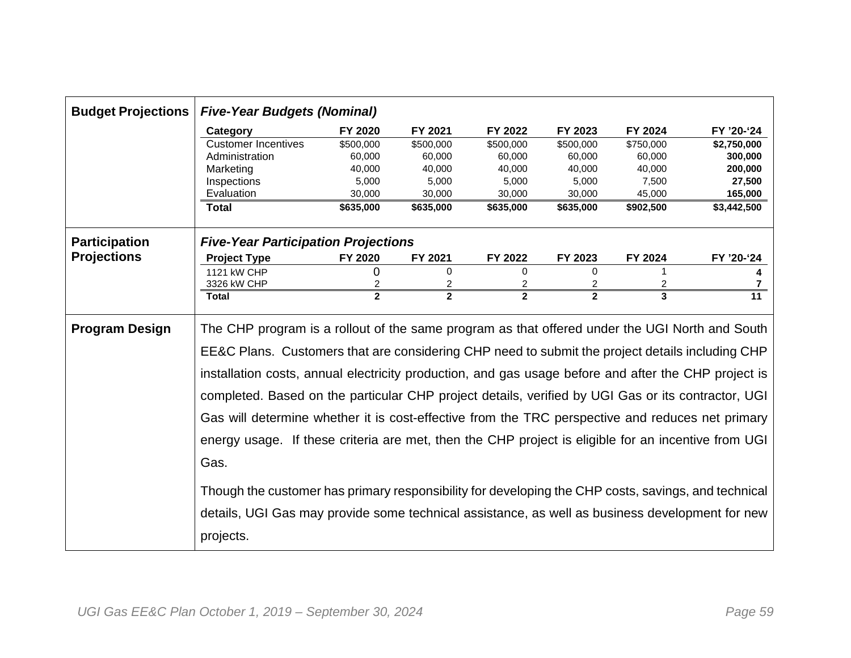| <b>Budget Projections</b> | <b>Five-Year Budgets (Nominal)</b>                                                                   |                |                |              |                |           |             |
|---------------------------|------------------------------------------------------------------------------------------------------|----------------|----------------|--------------|----------------|-----------|-------------|
|                           | Category                                                                                             | FY 2020        | FY 2021        | FY 2022      | FY 2023        | FY 2024   | FY '20-'24  |
|                           | <b>Customer Incentives</b>                                                                           | \$500,000      | \$500,000      | \$500,000    | \$500,000      | \$750,000 | \$2,750,000 |
|                           | Administration                                                                                       | 60,000         | 60,000         | 60,000       | 60,000         | 60,000    | 300,000     |
|                           | Marketing                                                                                            | 40,000         | 40,000         | 40,000       | 40,000         | 40,000    | 200,000     |
|                           | Inspections                                                                                          | 5,000          | 5,000          | 5,000        | 5,000          | 7,500     | 27,500      |
|                           | Evaluation                                                                                           | 30,000         | 30,000         | 30,000       | 30,000         | 45,000    | 165,000     |
|                           | <b>Total</b>                                                                                         | \$635,000      | \$635,000      | \$635,000    | \$635,000      | \$902,500 | \$3,442,500 |
| <b>Participation</b>      | <b>Five-Year Participation Projections</b>                                                           |                |                |              |                |           |             |
| <b>Projections</b>        | <b>Project Type</b>                                                                                  | <b>FY 2020</b> | FY 2021        | FY 2022      | FY 2023        | FY 2024   | FY '20-'24  |
|                           | 1121 kW CHP                                                                                          | 0              | 0              | 0            | $\Omega$       |           |             |
|                           | 3326 kW CHP                                                                                          | 2              | 2              | 2            | $\overline{c}$ | 2         | 7           |
|                           | <b>Total</b>                                                                                         | $\overline{2}$ | $\overline{2}$ | $\mathbf{2}$ | $\overline{2}$ | 3         | 11          |
| <b>Program Design</b>     | The CHP program is a rollout of the same program as that offered under the UGI North and South       |                |                |              |                |           |             |
|                           | EE&C Plans. Customers that are considering CHP need to submit the project details including CHP      |                |                |              |                |           |             |
|                           | installation costs, annual electricity production, and gas usage before and after the CHP project is |                |                |              |                |           |             |
|                           | completed. Based on the particular CHP project details, verified by UGI Gas or its contractor, UGI   |                |                |              |                |           |             |
|                           | Gas will determine whether it is cost-effective from the TRC perspective and reduces net primary     |                |                |              |                |           |             |
|                           | energy usage. If these criteria are met, then the CHP project is eligible for an incentive from UGI  |                |                |              |                |           |             |
|                           | Gas.                                                                                                 |                |                |              |                |           |             |
|                           |                                                                                                      |                |                |              |                |           |             |
|                           | Though the customer has primary responsibility for developing the CHP costs, savings, and technical  |                |                |              |                |           |             |
|                           | details, UGI Gas may provide some technical assistance, as well as business development for new      |                |                |              |                |           |             |
|                           |                                                                                                      |                |                |              |                |           |             |
|                           | projects.                                                                                            |                |                |              |                |           |             |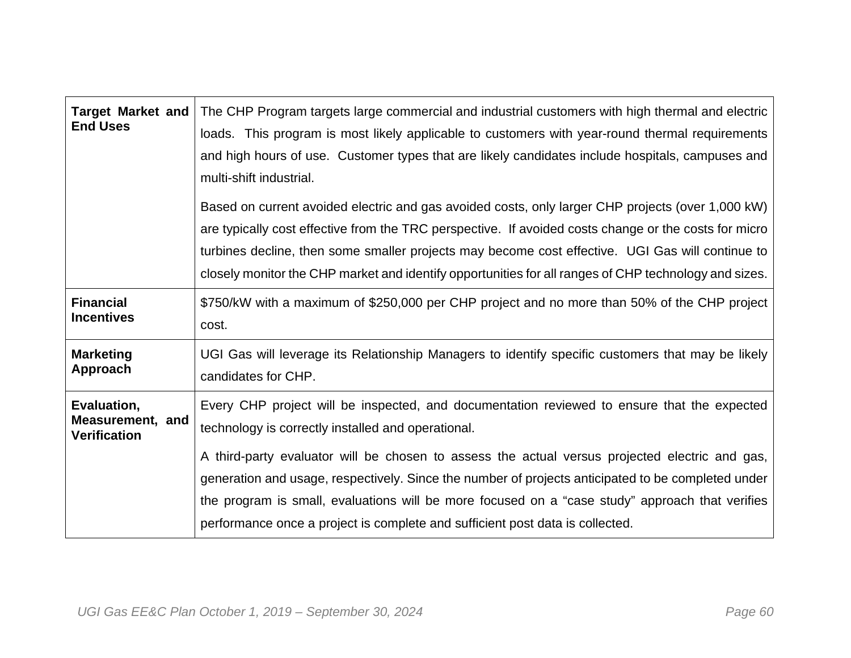| <b>Target Market and</b><br><b>End Uses</b>            | The CHP Program targets large commercial and industrial customers with high thermal and electric<br>loads. This program is most likely applicable to customers with year-round thermal requirements<br>and high hours of use. Customer types that are likely candidates include hospitals, campuses and<br>multi-shift industrial.                                                                                      |
|--------------------------------------------------------|-------------------------------------------------------------------------------------------------------------------------------------------------------------------------------------------------------------------------------------------------------------------------------------------------------------------------------------------------------------------------------------------------------------------------|
|                                                        | Based on current avoided electric and gas avoided costs, only larger CHP projects (over 1,000 kW)<br>are typically cost effective from the TRC perspective. If avoided costs change or the costs for micro<br>turbines decline, then some smaller projects may become cost effective. UGI Gas will continue to<br>closely monitor the CHP market and identify opportunities for all ranges of CHP technology and sizes. |
| <b>Financial</b><br><b>Incentives</b>                  | \$750/kW with a maximum of \$250,000 per CHP project and no more than 50% of the CHP project<br>cost.                                                                                                                                                                                                                                                                                                                   |
| <b>Marketing</b><br>Approach                           | UGI Gas will leverage its Relationship Managers to identify specific customers that may be likely<br>candidates for CHP.                                                                                                                                                                                                                                                                                                |
| Evaluation,<br>Measurement, and<br><b>Verification</b> | Every CHP project will be inspected, and documentation reviewed to ensure that the expected<br>technology is correctly installed and operational.<br>A third-party evaluator will be chosen to assess the actual versus projected electric and gas,<br>generation and usage, respectively. Since the number of projects anticipated to be completed under                                                               |
|                                                        | the program is small, evaluations will be more focused on a "case study" approach that verifies<br>performance once a project is complete and sufficient post data is collected.                                                                                                                                                                                                                                        |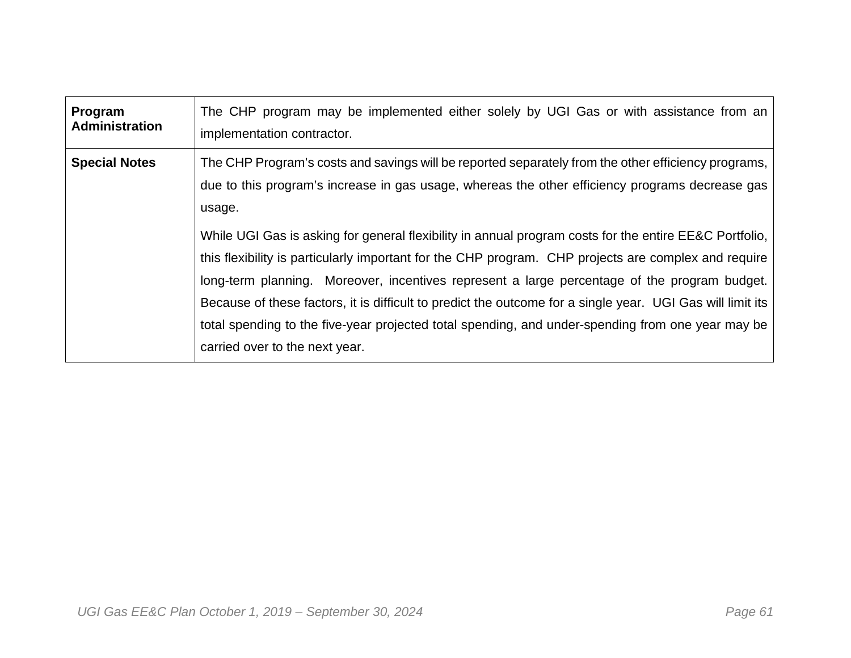| Program               | The CHP program may be implemented either solely by UGI Gas or with assistance from an                                                                                                                                                                                                                                                                                                                                                                                                                                                                                                                                                                                                                                                                                                  |
|-----------------------|-----------------------------------------------------------------------------------------------------------------------------------------------------------------------------------------------------------------------------------------------------------------------------------------------------------------------------------------------------------------------------------------------------------------------------------------------------------------------------------------------------------------------------------------------------------------------------------------------------------------------------------------------------------------------------------------------------------------------------------------------------------------------------------------|
| <b>Administration</b> | implementation contractor.                                                                                                                                                                                                                                                                                                                                                                                                                                                                                                                                                                                                                                                                                                                                                              |
| <b>Special Notes</b>  | The CHP Program's costs and savings will be reported separately from the other efficiency programs,<br>due to this program's increase in gas usage, whereas the other efficiency programs decrease gas<br>usage.<br>While UGI Gas is asking for general flexibility in annual program costs for the entire EE&C Portfolio,<br>this flexibility is particularly important for the CHP program. CHP projects are complex and require<br>long-term planning. Moreover, incentives represent a large percentage of the program budget.<br>Because of these factors, it is difficult to predict the outcome for a single year. UGI Gas will limit its<br>total spending to the five-year projected total spending, and under-spending from one year may be<br>carried over to the next year. |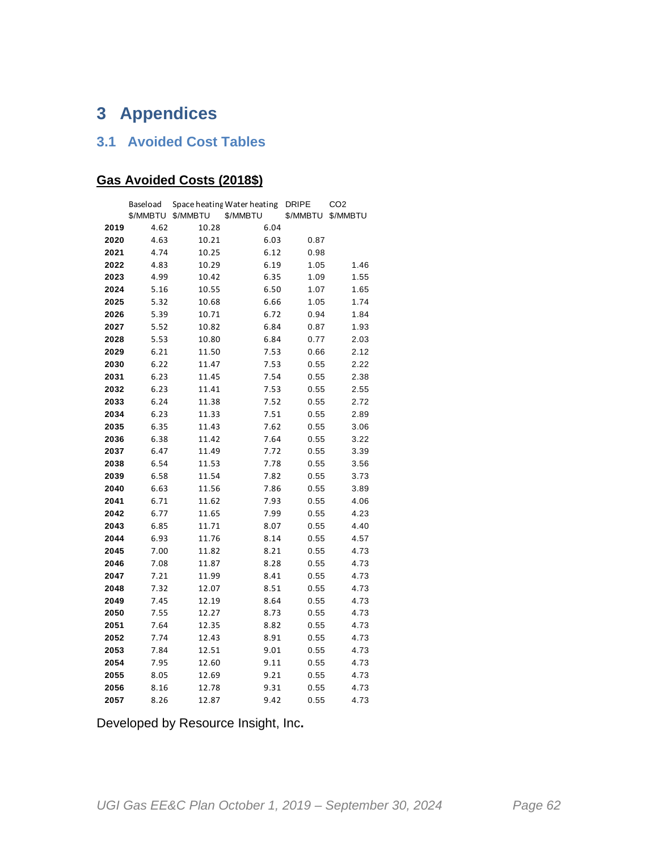# **3 Appendices**

#### **3.1 Avoided Cost Tables**

### **Gas Avoided Costs (2018\$)**

|      | Baseload |          | Space heating Water heating | <b>DRIPE</b> | CO <sub>2</sub> |
|------|----------|----------|-----------------------------|--------------|-----------------|
|      | \$/MMBTU | \$/MMBTU | \$/MMBTU                    | \$/MMBTU     | \$/MMBTU        |
| 2019 | 4.62     | 10.28    | 6.04                        |              |                 |
| 2020 | 4.63     | 10.21    | 6.03                        | 0.87         |                 |
| 2021 | 4.74     | 10.25    | 6.12                        | 0.98         |                 |
| 2022 | 4.83     | 10.29    | 6.19                        | 1.05         | 1.46            |
| 2023 | 4.99     | 10.42    | 6.35                        | 1.09         | 1.55            |
| 2024 | 5.16     | 10.55    | 6.50                        | 1.07         | 1.65            |
| 2025 | 5.32     | 10.68    | 6.66                        | 1.05         | 1.74            |
| 2026 | 5.39     | 10.71    | 6.72                        | 0.94         | 1.84            |
| 2027 | 5.52     | 10.82    | 6.84                        | 0.87         | 1.93            |
| 2028 | 5.53     | 10.80    | 6.84                        | 0.77         | 2.03            |
| 2029 | 6.21     | 11.50    | 7.53                        | 0.66         | 2.12            |
| 2030 | 6.22     | 11.47    | 7.53                        | 0.55         | 2.22            |
| 2031 | 6.23     | 11.45    | 7.54                        | 0.55         | 2.38            |
| 2032 | 6.23     | 11.41    | 7.53                        | 0.55         | 2.55            |
| 2033 | 6.24     | 11.38    | 7.52                        | 0.55         | 2.72            |
| 2034 | 6.23     | 11.33    | 7.51                        | 0.55         | 2.89            |
| 2035 | 6.35     | 11.43    | 7.62                        | 0.55         | 3.06            |
| 2036 | 6.38     | 11.42    | 7.64                        | 0.55         | 3.22            |
| 2037 | 6.47     | 11.49    | 7.72                        | 0.55         | 3.39            |
| 2038 | 6.54     | 11.53    | 7.78                        | 0.55         | 3.56            |
| 2039 | 6.58     | 11.54    | 7.82                        | 0.55         | 3.73            |
| 2040 | 6.63     | 11.56    | 7.86                        | 0.55         | 3.89            |
| 2041 | 6.71     | 11.62    | 7.93                        | 0.55         | 4.06            |
| 2042 | 6.77     | 11.65    | 7.99                        | 0.55         | 4.23            |
| 2043 | 6.85     | 11.71    | 8.07                        | 0.55         | 4.40            |
| 2044 | 6.93     | 11.76    | 8.14                        | 0.55         | 4.57            |
| 2045 | 7.00     | 11.82    | 8.21                        | 0.55         | 4.73            |
| 2046 | 7.08     | 11.87    | 8.28                        | 0.55         | 4.73            |
| 2047 | 7.21     | 11.99    | 8.41                        | 0.55         | 4.73            |
| 2048 | 7.32     | 12.07    | 8.51                        | 0.55         | 4.73            |
| 2049 | 7.45     | 12.19    | 8.64                        | 0.55         | 4.73            |
| 2050 | 7.55     | 12.27    | 8.73                        | 0.55         | 4.73            |
| 2051 | 7.64     | 12.35    | 8.82                        | 0.55         | 4.73            |
| 2052 | 7.74     | 12.43    | 8.91                        | 0.55         | 4.73            |
| 2053 | 7.84     | 12.51    | 9.01                        | 0.55         | 4.73            |
| 2054 | 7.95     | 12.60    | 9.11                        | 0.55         | 4.73            |
| 2055 | 8.05     | 12.69    | 9.21                        | 0.55         | 4.73            |
| 2056 | 8.16     | 12.78    | 9.31                        | 0.55         | 4.73            |
| 2057 | 8.26     | 12.87    | 9.42                        | 0.55         | 4.73            |

Developed by Resource Insight, Inc**.**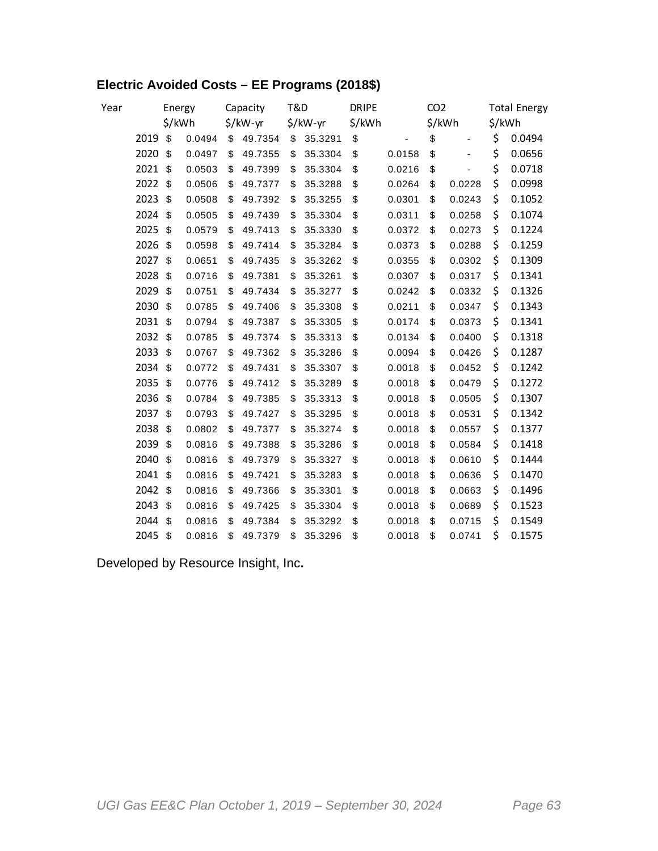### **Electric Avoided Costs – EE Programs (2018\$)**

| Year |      |        | Energy | Capacity      | T&D |          | <b>DRIPE</b> |                          | CO <sub>2</sub> |                              | <b>Total Energy</b> |
|------|------|--------|--------|---------------|-----|----------|--------------|--------------------------|-----------------|------------------------------|---------------------|
|      |      | \$/kWh |        | \$/kW-yr      |     | \$/kW-yr | \$/kWh       |                          |                 | \$/kWh                       | \$/kWh              |
|      | 2019 | \$     | 0.0494 | \$<br>49.7354 | \$  | 35.3291  | \$           | $\overline{\phantom{0}}$ | \$              | $\qquad \qquad \blacksquare$ | \$<br>0.0494        |
|      | 2020 | \$     | 0.0497 | \$<br>49.7355 | \$  | 35.3304  | \$           | 0.0158                   | \$              |                              | \$<br>0.0656        |
|      | 2021 | \$     | 0.0503 | \$<br>49.7399 | \$  | 35.3304  | \$           | 0.0216                   | \$              | L,                           | \$<br>0.0718        |
|      | 2022 | \$     | 0.0506 | \$<br>49.7377 | \$  | 35.3288  | \$           | 0.0264                   | \$              | 0.0228                       | \$<br>0.0998        |
|      | 2023 | \$     | 0.0508 | \$<br>49.7392 | \$  | 35.3255  | \$           | 0.0301                   | \$              | 0.0243                       | \$<br>0.1052        |
|      | 2024 | \$     | 0.0505 | \$<br>49.7439 | \$  | 35.3304  | \$           | 0.0311                   | \$              | 0.0258                       | \$<br>0.1074        |
|      | 2025 | \$     | 0.0579 | \$<br>49.7413 | \$  | 35.3330  | \$           | 0.0372                   | \$              | 0.0273                       | \$<br>0.1224        |
|      | 2026 | \$     | 0.0598 | \$<br>49.7414 | \$  | 35.3284  | \$           | 0.0373                   | \$              | 0.0288                       | \$<br>0.1259        |
|      | 2027 | \$     | 0.0651 | \$<br>49.7435 | \$  | 35.3262  | \$           | 0.0355                   | \$              | 0.0302                       | \$<br>0.1309        |
|      | 2028 | \$     | 0.0716 | \$<br>49.7381 | \$  | 35.3261  | \$           | 0.0307                   | \$              | 0.0317                       | \$<br>0.1341        |
|      | 2029 | \$     | 0.0751 | \$<br>49.7434 | \$  | 35.3277  | \$           | 0.0242                   | \$              | 0.0332                       | \$<br>0.1326        |
|      | 2030 | \$     | 0.0785 | \$<br>49.7406 | \$  | 35.3308  | \$           | 0.0211                   | \$              | 0.0347                       | \$<br>0.1343        |
|      | 2031 | \$     | 0.0794 | \$<br>49.7387 | \$  | 35.3305  | \$           | 0.0174                   | \$              | 0.0373                       | \$<br>0.1341        |
|      | 2032 | \$     | 0.0785 | \$<br>49.7374 | \$  | 35.3313  | \$           | 0.0134                   | \$              | 0.0400                       | \$<br>0.1318        |
|      | 2033 | \$     | 0.0767 | \$<br>49.7362 | \$  | 35.3286  | \$           | 0.0094                   | \$              | 0.0426                       | \$<br>0.1287        |
|      | 2034 | \$     | 0.0772 | \$<br>49.7431 | \$  | 35.3307  | \$           | 0.0018                   | \$              | 0.0452                       | \$<br>0.1242        |
|      | 2035 | \$     | 0.0776 | \$<br>49.7412 | \$  | 35.3289  | \$           | 0.0018                   | \$              | 0.0479                       | \$<br>0.1272        |
|      | 2036 | \$     | 0.0784 | \$<br>49.7385 | \$  | 35.3313  | \$           | 0.0018                   | \$              | 0.0505                       | \$<br>0.1307        |
|      | 2037 | \$     | 0.0793 | \$<br>49.7427 | \$  | 35.3295  | \$           | 0.0018                   | \$              | 0.0531                       | \$<br>0.1342        |
|      | 2038 | \$     | 0.0802 | \$<br>49.7377 | \$  | 35.3274  | \$           | 0.0018                   | \$              | 0.0557                       | \$<br>0.1377        |
|      | 2039 | \$     | 0.0816 | \$<br>49.7388 | \$  | 35.3286  | \$           | 0.0018                   | \$              | 0.0584                       | \$<br>0.1418        |
|      | 2040 | \$     | 0.0816 | \$<br>49.7379 | \$  | 35.3327  | \$           | 0.0018                   | \$              | 0.0610                       | \$<br>0.1444        |
|      | 2041 | \$     | 0.0816 | \$<br>49.7421 | \$  | 35.3283  | \$           | 0.0018                   | \$              | 0.0636                       | \$<br>0.1470        |
|      | 2042 | \$     | 0.0816 | \$<br>49.7366 | \$  | 35.3301  | \$           | 0.0018                   | \$              | 0.0663                       | \$<br>0.1496        |
|      | 2043 | \$     | 0.0816 | \$<br>49.7425 | \$  | 35.3304  | \$           | 0.0018                   | \$              | 0.0689                       | \$<br>0.1523        |
|      | 2044 | \$     | 0.0816 | \$<br>49.7384 | \$  | 35.3292  | \$           | 0.0018                   | \$              | 0.0715                       | \$<br>0.1549        |
|      | 2045 | \$     | 0.0816 | \$<br>49.7379 | \$  | 35.3296  | \$           | 0.0018                   | \$              | 0.0741                       | \$<br>0.1575        |

Developed by Resource Insight, Inc**.**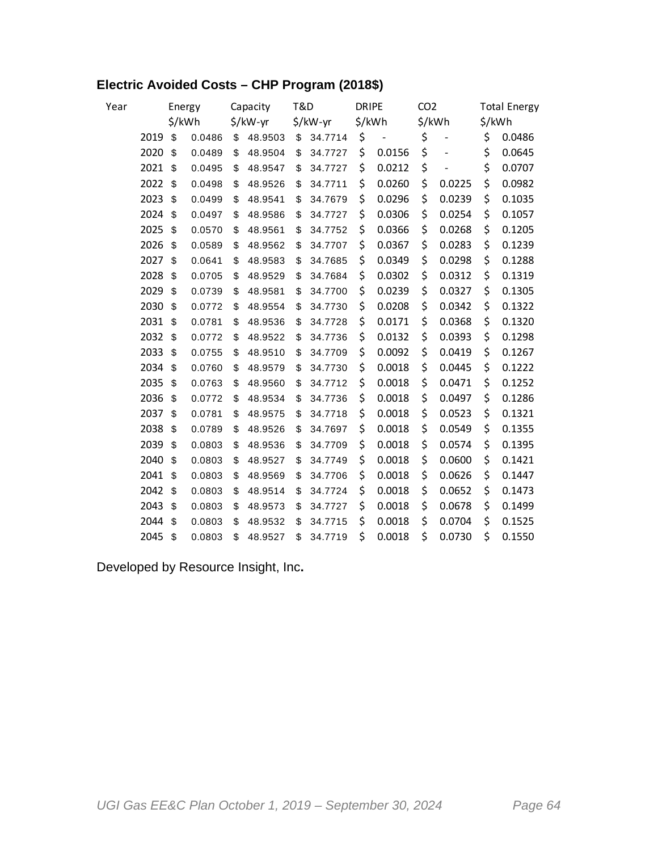### **Electric Avoided Costs – CHP Program (2018\$)**

| Year | Energy |        | Capacity | <b>T&amp;D</b> |          | <b>DRIPE</b> |          | CO <sub>2</sub> |                   | <b>Total Energy</b> |        |        |        |
|------|--------|--------|----------|----------------|----------|--------------|----------|-----------------|-------------------|---------------------|--------|--------|--------|
|      |        | \$/kWh |          |                | \$/kW-yr |              | \$/kW-yr |                 | \$/kWh            | \$/kWh              |        | \$/kWh |        |
|      | 2019   | \$     | 0.0486   | \$             | 48.9503  | \$           | 34.7714  | \$              | $\qquad \qquad -$ | \$                  |        | \$     | 0.0486 |
|      | 2020   | \$     | 0.0489   | \$             | 48.9504  | \$           | 34.7727  | \$              | 0.0156            | \$                  |        | \$     | 0.0645 |
|      | 2021   | \$     | 0.0495   | \$             | 48.9547  | \$           | 34.7727  | \$              | 0.0212            | \$                  |        | \$     | 0.0707 |
|      | 2022   | \$     | 0.0498   | \$             | 48.9526  | \$           | 34.7711  | \$              | 0.0260            | \$                  | 0.0225 | \$     | 0.0982 |
|      | 2023   | \$     | 0.0499   | \$             | 48.9541  | \$           | 34.7679  | \$              | 0.0296            | \$                  | 0.0239 | \$     | 0.1035 |
|      | 2024   | \$     | 0.0497   | \$             | 48.9586  | \$           | 34.7727  | \$              | 0.0306            | \$                  | 0.0254 | \$     | 0.1057 |
|      | 2025   | \$     | 0.0570   | \$             | 48.9561  | \$           | 34.7752  | \$              | 0.0366            | \$                  | 0.0268 | \$     | 0.1205 |
|      | 2026   | \$     | 0.0589   | \$             | 48.9562  | \$           | 34.7707  | \$              | 0.0367            | \$                  | 0.0283 | \$     | 0.1239 |
|      | 2027   | \$     | 0.0641   | \$             | 48.9583  | \$           | 34.7685  | \$              | 0.0349            | \$                  | 0.0298 | \$     | 0.1288 |
|      | 2028   | \$     | 0.0705   | \$             | 48.9529  | \$           | 34.7684  | \$              | 0.0302            | \$                  | 0.0312 | \$     | 0.1319 |
|      | 2029   | \$     | 0.0739   | \$             | 48.9581  | \$           | 34.7700  | \$              | 0.0239            | \$                  | 0.0327 | \$     | 0.1305 |
|      | 2030   | \$     | 0.0772   | \$             | 48.9554  | \$           | 34.7730  | \$              | 0.0208            | \$                  | 0.0342 | \$     | 0.1322 |
|      | 2031   | \$     | 0.0781   | \$             | 48.9536  | \$           | 34.7728  | \$              | 0.0171            | \$                  | 0.0368 | \$     | 0.1320 |
|      | 2032   | \$     | 0.0772   | \$             | 48.9522  | \$           | 34.7736  | \$              | 0.0132            | \$                  | 0.0393 | \$     | 0.1298 |
|      | 2033   | \$     | 0.0755   | \$             | 48.9510  | \$           | 34.7709  | \$              | 0.0092            | \$                  | 0.0419 | \$     | 0.1267 |
|      | 2034   | \$     | 0.0760   | \$             | 48.9579  | \$           | 34.7730  | \$              | 0.0018            | \$                  | 0.0445 | \$     | 0.1222 |
|      | 2035   | \$     | 0.0763   | \$             | 48.9560  | \$           | 34.7712  | \$              | 0.0018            | \$                  | 0.0471 | \$     | 0.1252 |
|      | 2036   | \$     | 0.0772   | \$             | 48.9534  | \$           | 34.7736  | \$              | 0.0018            | \$                  | 0.0497 | \$     | 0.1286 |
|      | 2037   | \$     | 0.0781   | \$             | 48.9575  | \$           | 34.7718  | \$              | 0.0018            | \$                  | 0.0523 | \$     | 0.1321 |
|      | 2038   | \$     | 0.0789   | \$             | 48.9526  | \$           | 34.7697  | \$              | 0.0018            | \$                  | 0.0549 | \$     | 0.1355 |
|      | 2039   | \$     | 0.0803   | \$             | 48.9536  | \$           | 34.7709  | \$              | 0.0018            | \$                  | 0.0574 | \$     | 0.1395 |
|      | 2040   | \$     | 0.0803   | \$             | 48.9527  | \$           | 34.7749  | \$              | 0.0018            | \$                  | 0.0600 | \$     | 0.1421 |
|      | 2041   | \$     | 0.0803   | \$             | 48.9569  | \$           | 34.7706  | \$              | 0.0018            | \$                  | 0.0626 | \$     | 0.1447 |
|      | 2042   | \$     | 0.0803   | \$             | 48.9514  | \$           | 34.7724  | \$              | 0.0018            | \$                  | 0.0652 | \$     | 0.1473 |
|      | 2043   | \$     | 0.0803   | \$             | 48.9573  | \$           | 34.7727  | \$              | 0.0018            | \$                  | 0.0678 | \$     | 0.1499 |
|      | 2044   | \$     | 0.0803   | \$             | 48.9532  | \$           | 34.7715  | \$              | 0.0018            | \$                  | 0.0704 | \$     | 0.1525 |
|      | 2045   | \$     | 0.0803   | \$             | 48.9527  | \$           | 34.7719  | \$              | 0.0018            | \$                  | 0.0730 | \$     | 0.1550 |

Developed by Resource Insight, Inc**.**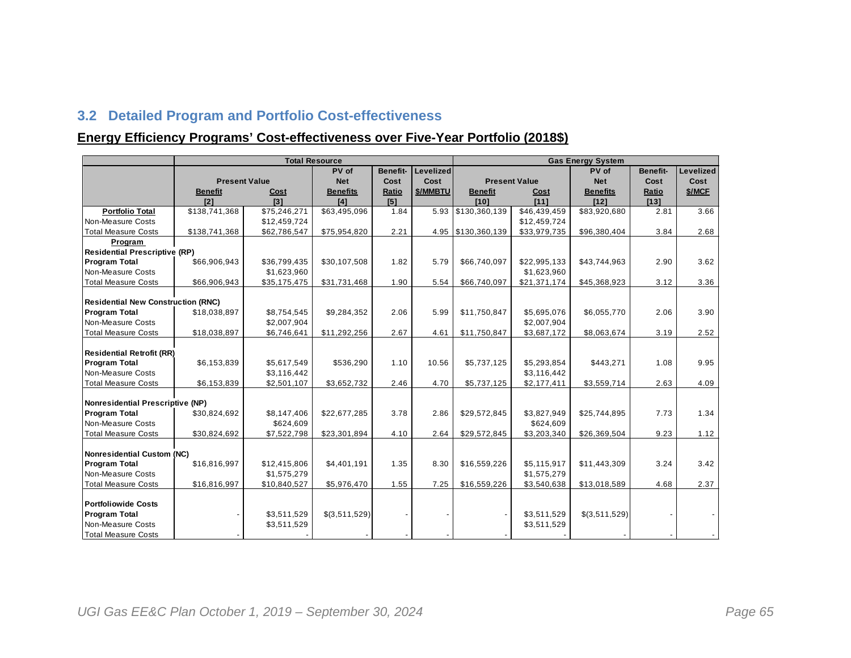### **3.2 Detailed Program and Portfolio Cost-effectiveness**

#### **Energy Efficiency Programs' Cost-effectiveness over Five-Year Portfolio (2018\$)**

|                                           |                      |              | <b>Total Resource</b> |                 | <b>Gas Energy System</b> |                    |                          |                 |                 |           |  |
|-------------------------------------------|----------------------|--------------|-----------------------|-----------------|--------------------------|--------------------|--------------------------|-----------------|-----------------|-----------|--|
|                                           |                      |              | PV of                 | <b>Benefit-</b> | Levelized                |                    |                          | PV of           | <b>Benefit-</b> | Levelized |  |
|                                           | <b>Present Value</b> |              | <b>Net</b>            | Cost            | Cost                     |                    | <b>Present Value</b>     | <b>Net</b>      | Cost            | Cost      |  |
|                                           | <b>Benefit</b>       | Cost         | <b>Benefits</b>       | Ratio           | \$/MMBTU                 | <b>Benefit</b>     | Cost                     | <b>Benefits</b> | Ratio           | \$/MCF    |  |
|                                           | I21                  | $131$        | [4]                   | [5]             |                          | I101               | I111                     | [12]            | $[13]$          |           |  |
| <b>Portfolio Total</b>                    | \$138,741,368        | \$75,246,271 | \$63,495,096          | 1.84            |                          | 5.93 \$130,360,139 | $\overline{$46,439,459}$ | \$83,920,680    | 2.81            | 3.66      |  |
| Non-Measure Costs                         |                      | \$12,459,724 |                       |                 |                          |                    | \$12,459,724             |                 |                 |           |  |
| <b>Total Measure Costs</b>                | \$138,741,368        | \$62,786,547 | \$75,954,820          | 2.21            |                          | 4.95 \$130,360,139 | \$33,979,735             | \$96,380,404    | 3.84            | 2.68      |  |
| Program                                   |                      |              |                       |                 |                          |                    |                          |                 |                 |           |  |
| <b>Residential Prescriptive (RP)</b>      |                      |              |                       |                 |                          |                    |                          |                 |                 |           |  |
| <b>Program Total</b>                      | \$66,906,943         | \$36,799,435 | \$30,107,508          | 1.82            | 5.79                     | \$66,740,097       | \$22,995,133             | \$43,744,963    | 2.90            | 3.62      |  |
| Non-Measure Costs                         |                      | \$1,623,960  |                       |                 |                          |                    | \$1,623,960              |                 |                 |           |  |
| <b>Total Measure Costs</b>                | \$66,906,943         | \$35,175,475 | \$31,731,468          | 1.90            | 5.54                     | \$66,740,097       | \$21,371,174             | \$45,368,923    | 3.12            | 3.36      |  |
|                                           |                      |              |                       |                 |                          |                    |                          |                 |                 |           |  |
| <b>Residential New Construction (RNC)</b> |                      |              |                       |                 |                          |                    |                          |                 |                 |           |  |
| <b>Program Total</b>                      | \$18,038,897         | \$8,754,545  | \$9,284,352           | 2.06            | 5.99                     | \$11,750,847       | \$5,695,076              | \$6,055,770     | 2.06            | 3.90      |  |
| Non-Measure Costs                         |                      | \$2,007,904  |                       |                 |                          |                    | \$2,007,904              |                 |                 |           |  |
| <b>Total Measure Costs</b>                | \$18,038,897         | \$6,746,641  | \$11,292,256          | 2.67            | 4.61                     | \$11,750,847       | \$3,687,172              | \$8,063,674     | 3.19            | 2.52      |  |
|                                           |                      |              |                       |                 |                          |                    |                          |                 |                 |           |  |
| <b>Residential Retrofit (RR)</b>          |                      |              |                       |                 |                          |                    |                          |                 |                 |           |  |
| <b>Program Total</b>                      | \$6,153,839          | \$5,617,549  | \$536,290             | 1.10            | 10.56                    | \$5,737,125        | \$5,293,854              | \$443,271       | 1.08            | 9.95      |  |
| Non-Measure Costs                         |                      | \$3,116,442  |                       |                 |                          |                    | \$3,116,442              |                 |                 |           |  |
| <b>Total Measure Costs</b>                | \$6,153,839          | \$2,501,107  | \$3,652,732           | 2.46            | 4.70                     | \$5,737,125        | \$2,177,411              | \$3,559,714     | 2.63            | 4.09      |  |
|                                           |                      |              |                       |                 |                          |                    |                          |                 |                 |           |  |
| <b>Nonresidential Prescriptive (NP)</b>   |                      |              |                       |                 |                          |                    |                          |                 |                 |           |  |
| <b>Program Total</b>                      | \$30,824,692         | \$8,147,406  | \$22,677,285          | 3.78            | 2.86                     | \$29,572,845       | \$3,827,949              | \$25,744,895    | 7.73            | 1.34      |  |
| Non-Measure Costs                         |                      | \$624,609    |                       |                 |                          |                    | \$624,609                |                 |                 |           |  |
| <b>Total Measure Costs</b>                | \$30,824,692         | \$7,522,798  | \$23,301,894          | 4.10            | 2.64                     | \$29,572,845       | \$3,203,340              | \$26,369,504    | 9.23            | 1.12      |  |
|                                           |                      |              |                       |                 |                          |                    |                          |                 |                 |           |  |
| Nonresidential Custom (NC)                |                      |              |                       |                 |                          |                    |                          |                 |                 |           |  |
| <b>Program Total</b><br>Non-Measure Costs | \$16,816,997         | \$12,415,806 | \$4,401,191           | 1.35            | 8.30                     | \$16,559,226       | \$5,115,917              | \$11,443,309    | 3.24            | 3.42      |  |
|                                           |                      | \$1,575,279  |                       |                 |                          |                    | \$1,575,279              |                 |                 | 2.37      |  |
| <b>Total Measure Costs</b>                | \$16,816,997         | \$10,840,527 | \$5,976,470           | 1.55            | 7.25                     | \$16,559,226       | \$3,540,638              | \$13,018,589    | 4.68            |           |  |
| <b>Portfoliowide Costs</b>                |                      |              |                       |                 |                          |                    |                          |                 |                 |           |  |
| <b>Program Total</b>                      |                      | \$3,511,529  | \$(3,511,529)         |                 |                          |                    | \$3,511,529              | \$(3,511,529)   |                 |           |  |
| Non-Measure Costs                         |                      | \$3,511,529  |                       |                 |                          |                    | \$3,511,529              |                 |                 |           |  |
|                                           |                      |              |                       |                 |                          |                    |                          |                 |                 |           |  |
| <b>Total Measure Costs</b>                |                      |              |                       |                 |                          |                    |                          |                 |                 |           |  |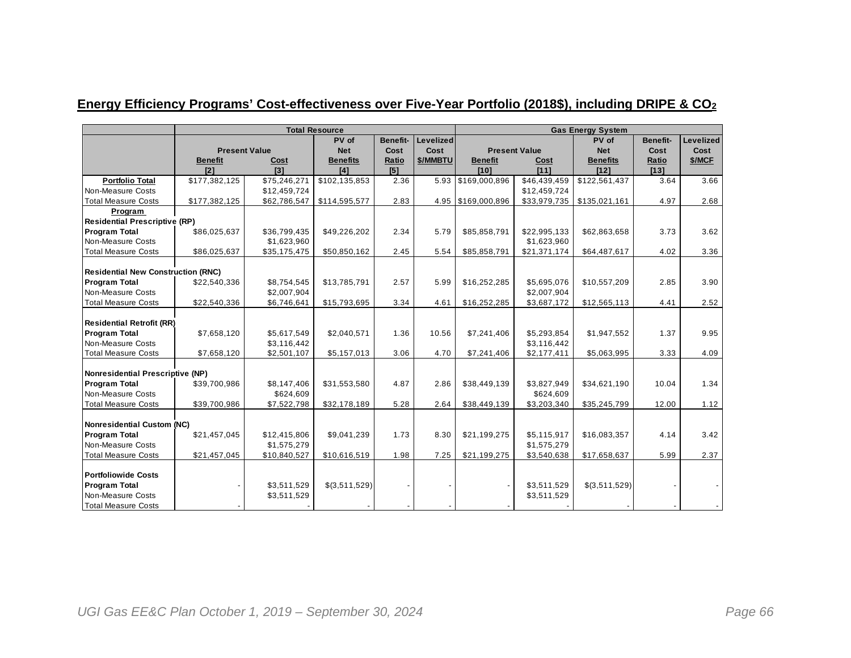## **Energy Efficiency Programs' Cost-effectiveness over Five-Year Portfolio (2018\$), including DRIPE & CO<sup>2</sup>**

|                                           |                |                      | <b>Total Resource</b> |                 | <b>Gas Energy System</b> |                    |                      |                 |                 |           |  |
|-------------------------------------------|----------------|----------------------|-----------------------|-----------------|--------------------------|--------------------|----------------------|-----------------|-----------------|-----------|--|
|                                           |                |                      | PV of                 | <b>Benefit-</b> | Levelized                |                    |                      | PV of           | <b>Benefit-</b> | Levelized |  |
|                                           |                | <b>Present Value</b> | <b>Net</b>            | Cost            | Cost                     |                    | <b>Present Value</b> | <b>Net</b>      | Cost            | Cost      |  |
|                                           | <b>Benefit</b> | Cost                 | <b>Benefits</b>       | Ratio           | \$/MMBTU                 | <b>Benefit</b>     | Cost                 | <b>Benefits</b> | Ratio           | \$/MCF    |  |
|                                           | I21            | <b>I31</b>           | [4]                   | [5]             |                          | [10]               | I111                 | [12]            | [13]            |           |  |
| <b>Portfolio Total</b>                    | \$177,382,125  | \$75,246,271         | \$102,135,853         | 2.36            |                          | 5.93 \$169,000,896 | \$46,439,459         | \$122,561,437   | 3.64            | 3.66      |  |
| Non-Measure Costs                         |                | \$12,459,724         |                       |                 |                          |                    | \$12,459,724         |                 |                 |           |  |
| <b>Total Measure Costs</b>                | \$177,382,125  | \$62,786,547         | \$114,595,577         | 2.83            |                          | 4.95 \$169,000,896 | \$33,979,735         | \$135,021,161   | 4.97            | 2.68      |  |
| Program                                   |                |                      |                       |                 |                          |                    |                      |                 |                 |           |  |
| <b>Residential Prescriptive (RP)</b>      |                |                      |                       |                 |                          |                    |                      |                 |                 |           |  |
| <b>Program Total</b>                      | \$86,025,637   | \$36,799,435         | \$49,226,202          | 2.34            | 5.79                     | \$85,858,791       | \$22,995,133         | \$62,863,658    | 3.73            | 3.62      |  |
| Non-Measure Costs                         |                | \$1,623,960          |                       |                 |                          |                    | \$1,623,960          |                 |                 |           |  |
| <b>Total Measure Costs</b>                | \$86,025,637   | \$35,175,475         | \$50,850,162          | 2.45            | 5.54                     | \$85,858,791       | \$21,371,174         | \$64,487,617    | 4.02            | 3.36      |  |
|                                           |                |                      |                       |                 |                          |                    |                      |                 |                 |           |  |
| <b>Residential New Construction (RNC)</b> |                |                      |                       |                 |                          |                    |                      |                 |                 |           |  |
| <b>Program Total</b>                      | \$22,540,336   | \$8,754,545          | \$13,785,791          | 2.57            | 5.99                     | \$16,252,285       | \$5.695.076          | \$10,557,209    | 2.85            | 3.90      |  |
| Non-Measure Costs                         |                | \$2,007,904          |                       |                 |                          |                    | \$2,007,904          |                 |                 |           |  |
| <b>Total Measure Costs</b>                | \$22,540,336   | \$6,746,641          | \$15,793,695          | 3.34            | 4.61                     | \$16,252,285       | \$3,687,172          | \$12,565,113    | 4.41            | 2.52      |  |
|                                           |                |                      |                       |                 |                          |                    |                      |                 |                 |           |  |
| <b>Residential Retrofit (RR)</b>          |                |                      |                       |                 |                          |                    |                      |                 |                 |           |  |
| <b>Program Total</b>                      | \$7,658,120    | \$5,617,549          | \$2,040,571           | 1.36            | 10.56                    | \$7,241,406        | \$5,293,854          | \$1,947,552     | 1.37            | 9.95      |  |
| Non-Measure Costs                         |                | \$3,116,442          |                       |                 |                          |                    | \$3,116,442          |                 |                 |           |  |
| <b>Total Measure Costs</b>                | \$7,658,120    | \$2,501,107          | \$5,157,013           | 3.06            | 4.70                     | \$7,241,406        | \$2,177,411          | \$5,063,995     | 3.33            | 4.09      |  |
|                                           |                |                      |                       |                 |                          |                    |                      |                 |                 |           |  |
| <b>Nonresidential Prescriptive (NP)</b>   |                |                      |                       |                 |                          |                    |                      |                 |                 |           |  |
| <b>Program Total</b>                      | \$39,700,986   | \$8,147,406          | \$31,553,580          | 4.87            | 2.86                     | \$38,449,139       | \$3,827,949          | \$34,621,190    | 10.04           | 1.34      |  |
| Non-Measure Costs                         |                | \$624,609            |                       |                 |                          |                    | \$624,609            |                 |                 |           |  |
| <b>Total Measure Costs</b>                | \$39,700,986   | \$7,522,798          | \$32,178,189          | 5.28            | 2.64                     | \$38,449,139       | \$3,203,340          | \$35,245,799    | 12.00           | 1.12      |  |
|                                           |                |                      |                       |                 |                          |                    |                      |                 |                 |           |  |
| <b>Nonresidential Custom (NC)</b>         |                |                      |                       |                 |                          |                    |                      |                 |                 |           |  |
| <b>Program Total</b>                      | \$21,457,045   | \$12,415,806         | \$9,041,239           | 1.73            | 8.30                     | \$21,199,275       | \$5,115,917          | \$16,083,357    | 4.14            | 3.42      |  |
| Non-Measure Costs                         |                | \$1,575,279          |                       |                 |                          |                    | \$1,575,279          |                 |                 |           |  |
| <b>Total Measure Costs</b>                | \$21,457,045   | \$10,840,527         | \$10,616,519          | 1.98            | 7.25                     | \$21,199,275       | \$3,540,638          | \$17,658,637    | 5.99            | 2.37      |  |
|                                           |                |                      |                       |                 |                          |                    |                      |                 |                 |           |  |
| <b>Portfoliowide Costs</b>                |                |                      |                       |                 |                          |                    |                      |                 |                 |           |  |
| <b>Program Total</b>                      |                | \$3,511,529          | \$(3,511,529)         |                 |                          |                    | \$3,511,529          | \$(3,511,529)   |                 |           |  |
| Non-Measure Costs                         |                | \$3,511,529          |                       |                 |                          |                    | \$3,511,529          |                 |                 |           |  |
| <b>Total Measure Costs</b>                |                |                      |                       |                 |                          |                    |                      |                 |                 |           |  |